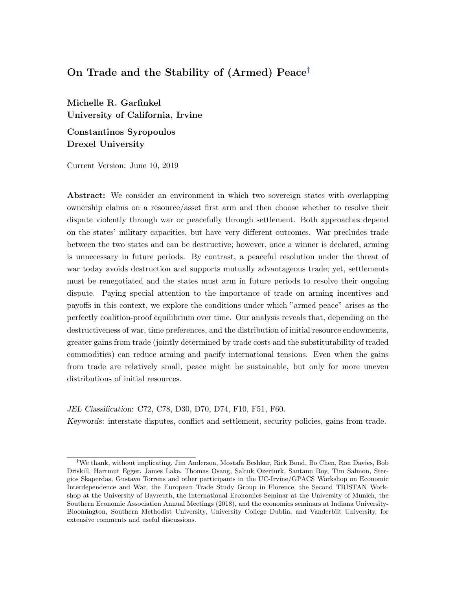# On Trade and the Stability of (Armed) Peace[†](#page-0-0)

Michelle R. Garfinkel University of California, Irvine

Constantinos Syropoulos Drexel University

Current Version: June 10, 2019

Abstract: We consider an environment in which two sovereign states with overlapping ownership claims on a resource/asset first arm and then choose whether to resolve their dispute violently through war or peacefully through settlement. Both approaches depend on the states' military capacities, but have very different outcomes. War precludes trade between the two states and can be destructive; however, once a winner is declared, arming is unnecessary in future periods. By contrast, a peaceful resolution under the threat of war today avoids destruction and supports mutually advantageous trade; yet, settlements must be renegotiated and the states must arm in future periods to resolve their ongoing dispute. Paying special attention to the importance of trade on arming incentives and payoffs in this context, we explore the conditions under which "armed peace" arises as the perfectly coalition-proof equilibrium over time. Our analysis reveals that, depending on the destructiveness of war, time preferences, and the distribution of initial resource endowments, greater gains from trade (jointly determined by trade costs and the substitutability of traded commodities) can reduce arming and pacify international tensions. Even when the gains from trade are relatively small, peace might be sustainable, but only for more uneven distributions of initial resources.

## JEL Classification: C72, C78, D30, D70, D74, F10, F51, F60.

Keywords: interstate disputes, conflict and settlement, security policies, gains from trade.

<span id="page-0-0"></span><sup>†</sup>We thank, without implicating, Jim Anderson, Mostafa Beshkar, Rick Bond, Bo Chen, Ron Davies, Bob Driskill, Hartmut Egger, James Lake, Thomas Osang, Saltuk Ozerturk, Santanu Roy, Tim Salmon, Stergios Skaperdas, Gustavo Torrens and other participants in the UC-Irvine/GPACS Workshop on Economic Interdependence and War, the European Trade Study Group in Florence, the Second TRISTAN Workshop at the University of Bayreuth, the International Economics Seminar at the University of Munich, the Southern Economic Association Annual Meetings (2018), and the economics seminars at Indiana University-Bloomington, Southern Methodist University, University College Dublin, and Vanderbilt University, for extensive comments and useful discussions.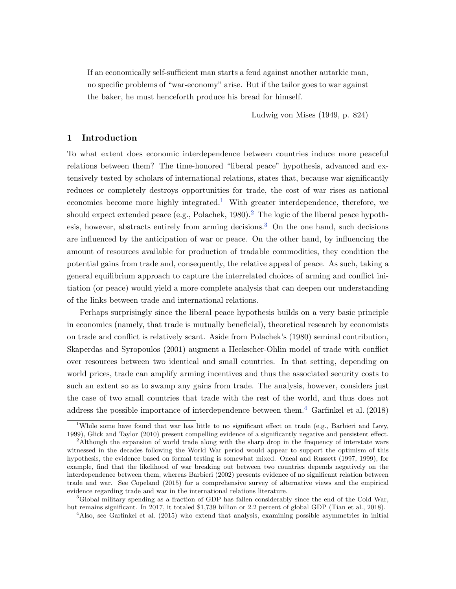If an economically self-sufficient man starts a feud against another autarkic man, no specific problems of "war-economy" arise. But if the tailor goes to war against the baker, he must henceforth produce his bread for himself.

Ludwig von Mises (1949, p. 824)

## 1 Introduction

To what extent does economic interdependence between countries induce more peaceful relations between them? The time-honored "liberal peace" hypothesis, advanced and extensively tested by scholars of international relations, states that, because war significantly reduces or completely destroys opportunities for trade, the cost of war rises as national economies become more highly integrated.<sup>[1](#page-1-0)</sup> With greater interdependence, therefore, we should expect extended peace (e.g., Polachek, 1980).<sup>[2](#page-1-1)</sup> The logic of the liberal peace hypothesis, however, abstracts entirely from arming decisions.[3](#page-1-2) On the one hand, such decisions are influenced by the anticipation of war or peace. On the other hand, by influencing the amount of resources available for production of tradable commodities, they condition the potential gains from trade and, consequently, the relative appeal of peace. As such, taking a general equilibrium approach to capture the interrelated choices of arming and conflict initiation (or peace) would yield a more complete analysis that can deepen our understanding of the links between trade and international relations.

Perhaps surprisingly since the liberal peace hypothesis builds on a very basic principle in economics (namely, that trade is mutually beneficial), theoretical research by economists on trade and conflict is relatively scant. Aside from Polachek's (1980) seminal contribution, Skaperdas and Syropoulos (2001) augment a Heckscher-Ohlin model of trade with conflict over resources between two identical and small countries. In that setting, depending on world prices, trade can amplify arming incentives and thus the associated security costs to such an extent so as to swamp any gains from trade. The analysis, however, considers just the case of two small countries that trade with the rest of the world, and thus does not address the possible importance of interdependence between them.<sup>[4](#page-1-3)</sup> Garfinkel et al. (2018)

<span id="page-1-0"></span><sup>&</sup>lt;sup>1</sup>While some have found that war has little to no significant effect on trade (e.g., Barbieri and Levy, 1999), Glick and Taylor (2010) present compelling evidence of a significantly negative and persistent effect.

<span id="page-1-1"></span><sup>&</sup>lt;sup>2</sup>Although the expansion of world trade along with the sharp drop in the frequency of interstate wars witnessed in the decades following the World War period would appear to support the optimism of this hypothesis, the evidence based on formal testing is somewhat mixed. Oneal and Russett (1997, 1999), for example, find that the likelihood of war breaking out between two countries depends negatively on the interdependence between them, whereas Barbieri (2002) presents evidence of no significant relation between trade and war. See Copeland (2015) for a comprehensive survey of alternative views and the empirical evidence regarding trade and war in the international relations literature.

<span id="page-1-2"></span><sup>3</sup>Global military spending as a fraction of GDP has fallen considerably since the end of the Cold War, but remains significant. In 2017, it totaled \$1,739 billion or 2.2 percent of global GDP (Tian et al., 2018).

<span id="page-1-3"></span><sup>4</sup>Also, see Garfinkel et al. (2015) who extend that analysis, examining possible asymmetries in initial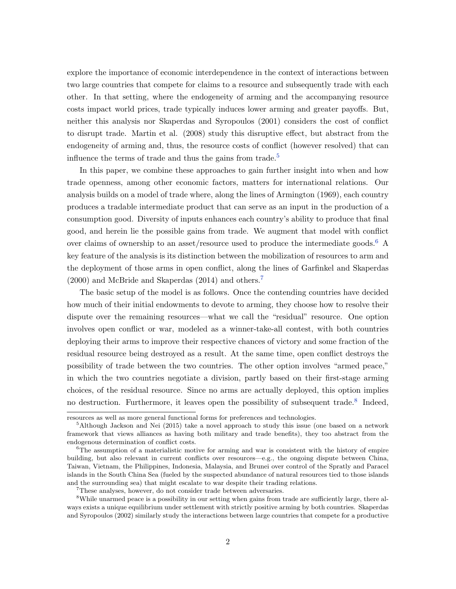explore the importance of economic interdependence in the context of interactions between two large countries that compete for claims to a resource and subsequently trade with each other. In that setting, where the endogeneity of arming and the accompanying resource costs impact world prices, trade typically induces lower arming and greater payoffs. But, neither this analysis nor Skaperdas and Syropoulos (2001) considers the cost of conflict to disrupt trade. Martin et al. (2008) study this disruptive effect, but abstract from the endogeneity of arming and, thus, the resource costs of conflict (however resolved) that can influence the terms of trade and thus the gains from trade.<sup>[5](#page-2-0)</sup>

In this paper, we combine these approaches to gain further insight into when and how trade openness, among other economic factors, matters for international relations. Our analysis builds on a model of trade where, along the lines of Armington (1969), each country produces a tradable intermediate product that can serve as an input in the production of a consumption good. Diversity of inputs enhances each country's ability to produce that final good, and herein lie the possible gains from trade. We augment that model with conflict over claims of ownership to an asset/resource used to produce the intermediate goods.<sup>[6](#page-2-1)</sup> A key feature of the analysis is its distinction between the mobilization of resources to arm and the deployment of those arms in open conflict, along the lines of Garfinkel and Skaperdas (2000) and McBride and Skaperdas (2014) and others.[7](#page-2-2)

The basic setup of the model is as follows. Once the contending countries have decided how much of their initial endowments to devote to arming, they choose how to resolve their dispute over the remaining resources—what we call the "residual" resource. One option involves open conflict or war, modeled as a winner-take-all contest, with both countries deploying their arms to improve their respective chances of victory and some fraction of the residual resource being destroyed as a result. At the same time, open conflict destroys the possibility of trade between the two countries. The other option involves "armed peace," in which the two countries negotiate a division, partly based on their first-stage arming choices, of the residual resource. Since no arms are actually deployed, this option implies no destruction. Furthermore, it leaves open the possibility of subsequent trade.<sup>[8](#page-2-3)</sup> Indeed,

resources as well as more general functional forms for preferences and technologies.

<span id="page-2-0"></span><sup>5</sup>Although Jackson and Nei (2015) take a novel approach to study this issue (one based on a network framework that views alliances as having both military and trade benefits), they too abstract from the endogenous determination of conflict costs.

<span id="page-2-1"></span><sup>&</sup>lt;sup>6</sup>The assumption of a materialistic motive for arming and war is consistent with the history of empire building, but also relevant in current conflicts over resources—e.g., the ongoing dispute between China, Taiwan, Vietnam, the Philippines, Indonesia, Malaysia, and Brunei over control of the Spratly and Paracel islands in the South China Sea (fueled by the suspected abundance of natural resources tied to those islands and the surrounding sea) that might escalate to war despite their trading relations.

<span id="page-2-3"></span><span id="page-2-2"></span><sup>7</sup>These analyses, however, do not consider trade between adversaries.

<sup>&</sup>lt;sup>8</sup>While unarmed peace is a possibility in our setting when gains from trade are sufficiently large, there always exists a unique equilibrium under settlement with strictly positive arming by both countries. Skaperdas and Syropoulos (2002) similarly study the interactions between large countries that compete for a productive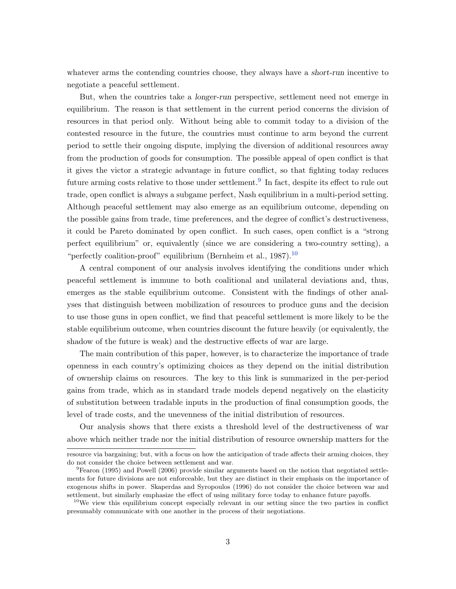whatever arms the contending countries choose, they always have a *short-run* incentive to negotiate a peaceful settlement.

But, when the countries take a longer-run perspective, settlement need not emerge in equilibrium. The reason is that settlement in the current period concerns the division of resources in that period only. Without being able to commit today to a division of the contested resource in the future, the countries must continue to arm beyond the current period to settle their ongoing dispute, implying the diversion of additional resources away from the production of goods for consumption. The possible appeal of open conflict is that it gives the victor a strategic advantage in future conflict, so that fighting today reduces future arming costs relative to those under settlement.<sup>[9](#page-3-0)</sup> In fact, despite its effect to rule out trade, open conflict is always a subgame perfect, Nash equilibrium in a multi-period setting. Although peaceful settlement may also emerge as an equilibrium outcome, depending on the possible gains from trade, time preferences, and the degree of conflict's destructiveness, it could be Pareto dominated by open conflict. In such cases, open conflict is a "strong perfect equilibrium" or, equivalently (since we are considering a two-country setting), a "perfectly coalition-proof" equilibrium (Bernheim et al., 1987).<sup>[10](#page-3-1)</sup>

A central component of our analysis involves identifying the conditions under which peaceful settlement is immune to both coalitional and unilateral deviations and, thus, emerges as the stable equilibrium outcome. Consistent with the findings of other analyses that distinguish between mobilization of resources to produce guns and the decision to use those guns in open conflict, we find that peaceful settlement is more likely to be the stable equilibrium outcome, when countries discount the future heavily (or equivalently, the shadow of the future is weak) and the destructive effects of war are large.

The main contribution of this paper, however, is to characterize the importance of trade openness in each country's optimizing choices as they depend on the initial distribution of ownership claims on resources. The key to this link is summarized in the per-period gains from trade, which as in standard trade models depend negatively on the elasticity of substitution between tradable inputs in the production of final consumption goods, the level of trade costs, and the unevenness of the initial distribution of resources.

Our analysis shows that there exists a threshold level of the destructiveness of war above which neither trade nor the initial distribution of resource ownership matters for the

resource via bargaining; but, with a focus on how the anticipation of trade affects their arming choices, they do not consider the choice between settlement and war.

<span id="page-3-0"></span><sup>9</sup>Fearon (1995) and Powell (2006) provide similar arguments based on the notion that negotiated settlements for future divisions are not enforceable, but they are distinct in their emphasis on the importance of exogenous shifts in power. Skaperdas and Syropoulos (1996) do not consider the choice between war and settlement, but similarly emphasize the effect of using military force today to enhance future payoffs.

<span id="page-3-1"></span><sup>&</sup>lt;sup>10</sup>We view this equilibrium concept especially relevant in our setting since the two parties in conflict presumably communicate with one another in the process of their negotiations.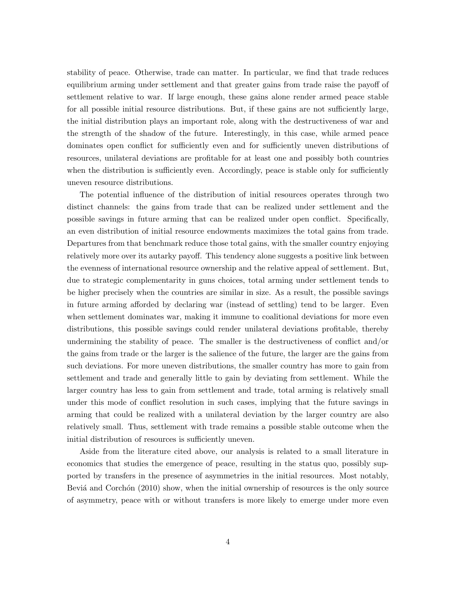stability of peace. Otherwise, trade can matter. In particular, we find that trade reduces equilibrium arming under settlement and that greater gains from trade raise the payoff of settlement relative to war. If large enough, these gains alone render armed peace stable for all possible initial resource distributions. But, if these gains are not sufficiently large, the initial distribution plays an important role, along with the destructiveness of war and the strength of the shadow of the future. Interestingly, in this case, while armed peace dominates open conflict for sufficiently even and for sufficiently uneven distributions of resources, unilateral deviations are profitable for at least one and possibly both countries when the distribution is sufficiently even. Accordingly, peace is stable only for sufficiently uneven resource distributions.

The potential influence of the distribution of initial resources operates through two distinct channels: the gains from trade that can be realized under settlement and the possible savings in future arming that can be realized under open conflict. Specifically, an even distribution of initial resource endowments maximizes the total gains from trade. Departures from that benchmark reduce those total gains, with the smaller country enjoying relatively more over its autarky payoff. This tendency alone suggests a positive link between the evenness of international resource ownership and the relative appeal of settlement. But, due to strategic complementarity in guns choices, total arming under settlement tends to be higher precisely when the countries are similar in size. As a result, the possible savings in future arming afforded by declaring war (instead of settling) tend to be larger. Even when settlement dominates war, making it immune to coalitional deviations for more even distributions, this possible savings could render unilateral deviations profitable, thereby undermining the stability of peace. The smaller is the destructiveness of conflict and/or the gains from trade or the larger is the salience of the future, the larger are the gains from such deviations. For more uneven distributions, the smaller country has more to gain from settlement and trade and generally little to gain by deviating from settlement. While the larger country has less to gain from settlement and trade, total arming is relatively small under this mode of conflict resolution in such cases, implying that the future savings in arming that could be realized with a unilateral deviation by the larger country are also relatively small. Thus, settlement with trade remains a possible stable outcome when the initial distribution of resources is sufficiently uneven.

Aside from the literature cited above, our analysis is related to a small literature in economics that studies the emergence of peace, resulting in the status quo, possibly supported by transfers in the presence of asymmetries in the initial resources. Most notably, Beviá and Corchón (2010) show, when the initial ownership of resources is the only source of asymmetry, peace with or without transfers is more likely to emerge under more even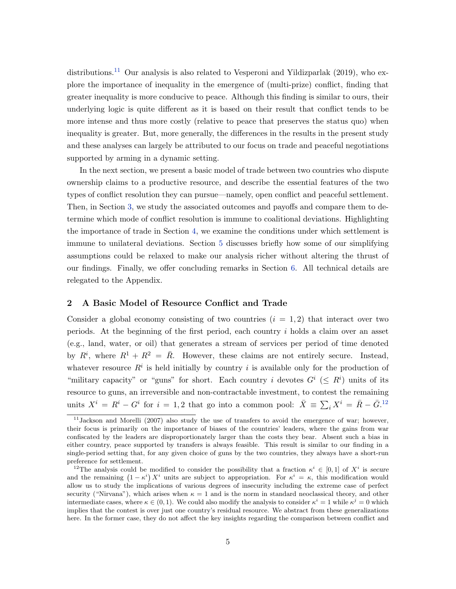distributions.<sup>[11](#page-5-0)</sup> Our analysis is also related to Vesperoni and Yildizparlak (2019), who explore the importance of inequality in the emergence of (multi-prize) conflict, finding that greater inequality is more conducive to peace. Although this finding is similar to ours, their underlying logic is quite different as it is based on their result that conflict tends to be more intense and thus more costly (relative to peace that preserves the status quo) when inequality is greater. But, more generally, the differences in the results in the present study and these analyses can largely be attributed to our focus on trade and peaceful negotiations supported by arming in a dynamic setting.

In the next section, we present a basic model of trade between two countries who dispute ownership claims to a productive resource, and describe the essential features of the two types of conflict resolution they can pursue—namely, open conflict and peaceful settlement. Then, in Section [3,](#page-10-0) we study the associated outcomes and payoffs and compare them to determine which mode of conflict resolution is immune to coalitional deviations. Highlighting the importance of trade in Section [4,](#page-28-0) we examine the conditions under which settlement is immune to unilateral deviations. Section [5](#page-31-0) discusses briefly how some of our simplifying assumptions could be relaxed to make our analysis richer without altering the thrust of our findings. Finally, we offer concluding remarks in Section [6.](#page-33-0) All technical details are relegated to the Appendix.

## 2 A Basic Model of Resource Conflict and Trade

Consider a global economy consisting of two countries  $(i = 1, 2)$  that interact over two periods. At the beginning of the first period, each country i holds a claim over an asset (e.g., land, water, or oil) that generates a stream of services per period of time denoted by  $R^i$ , where  $R^1 + R^2 = \overline{R}$ . However, these claims are not entirely secure. Instead, whatever resource  $R^i$  is held initially by country i is available only for the production of "military capacity" or "guns" for short. Each country i devotes  $G^i$  ( $\leq R^i$ ) units of its resource to guns, an irreversible and non-contractable investment, to contest the remaining units  $X^i = R^i - G^i$  for  $i = 1, 2$  that go into a common pool:  $\bar{X} \equiv \sum_i X^i = \bar{R} - \bar{G}^{12}$  $\bar{X} \equiv \sum_i X^i = \bar{R} - \bar{G}^{12}$  $\bar{X} \equiv \sum_i X^i = \bar{R} - \bar{G}^{12}$ 

<span id="page-5-0"></span> $11$ Jackson and Morelli (2007) also study the use of transfers to avoid the emergence of war; however, their focus is primarily on the importance of biases of the countries' leaders, where the gains from war confiscated by the leaders are disproportionately larger than the costs they bear. Absent such a bias in either country, peace supported by transfers is always feasible. This result is similar to our finding in a single-period setting that, for any given choice of guns by the two countries, they always have a short-run preference for settlement.

<span id="page-5-1"></span><sup>&</sup>lt;sup>12</sup>The analysis could be modified to consider the possibility that a fraction  $\kappa^i \in [0,1]$  of  $X^i$  is secure and the remaining  $(1 - \kappa^i) X^i$  units are subject to appropriation. For  $\kappa^i = \kappa$ , this modification would allow us to study the implications of various degrees of insecurity including the extreme case of perfect security ("Nirvana"), which arises when  $\kappa = 1$  and is the norm in standard neoclassical theory, and other intermediate cases, where  $\kappa \in (0,1)$ . We could also modify the analysis to consider  $\kappa^i = 1$  while  $\kappa^j = 0$  which implies that the contest is over just one country's residual resource. We abstract from these generalizations here. In the former case, they do not affect the key insights regarding the comparison between conflict and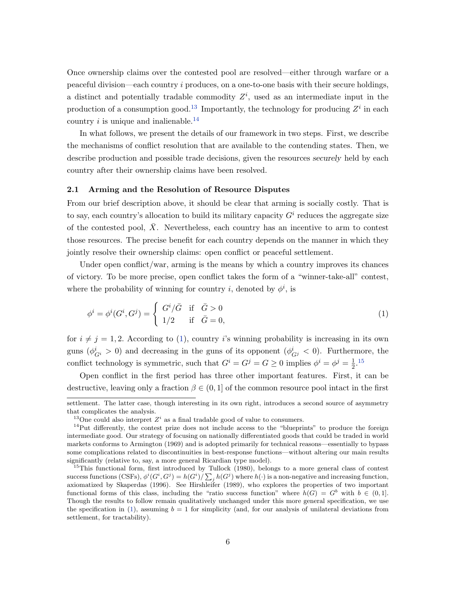Once ownership claims over the contested pool are resolved—either through warfare or a peaceful division—each country i produces, on a one-to-one basis with their secure holdings, a distinct and potentially tradable commodity  $Z<sup>i</sup>$ , used as an intermediate input in the production of a consumption good.<sup>[13](#page-6-0)</sup> Importantly, the technology for producing  $Z<sup>i</sup>$  in each country i is unique and inalienable.<sup>[14](#page-6-1)</sup>

In what follows, we present the details of our framework in two steps. First, we describe the mechanisms of conflict resolution that are available to the contending states. Then, we describe production and possible trade decisions, given the resources securely held by each country after their ownership claims have been resolved.

#### 2.1 Arming and the Resolution of Resource Disputes

From our brief description above, it should be clear that arming is socially costly. That is to say, each country's allocation to build its military capacity  $G^i$  reduces the aggregate size of the contested pool,  $\bar{X}$ . Nevertheless, each country has an incentive to arm to contest those resources. The precise benefit for each country depends on the manner in which they jointly resolve their ownership claims: open conflict or peaceful settlement.

Under open conflict/war, arming is the means by which a country improves its chances of victory. To be more precise, open conflict takes the form of a "winner-take-all" contest, where the probability of winning for country *i*, denoted by  $\phi^i$ , is

<span id="page-6-2"></span>
$$
\phi^i = \phi^i(G^i, G^j) = \begin{cases} G^i/\bar{G} & \text{if } \bar{G} > 0 \\ 1/2 & \text{if } \bar{G} = 0, \end{cases}
$$
 (1)

for  $i \neq j = 1, 2$ . According to [\(1\)](#page-6-2), country i's winning probability is increasing in its own guns  $(\phi_{G_i}^i > 0)$  and decreasing in the guns of its opponent  $(\phi_{G_i}^i < 0)$ . Furthermore, the conflict technology is symmetric, such that  $G^i = G^j = G \geq 0$  implies  $\phi^i = \phi^j = \frac{1}{2}$  $\frac{1}{2}$ .<sup>[15](#page-6-3)</sup>

Open conflict in the first period has three other important features. First, it can be destructive, leaving only a fraction  $\beta \in (0,1]$  of the common resource pool intact in the first

settlement. The latter case, though interesting in its own right, introduces a second source of asymmetry that complicates the analysis.

<span id="page-6-1"></span><span id="page-6-0"></span><sup>&</sup>lt;sup>13</sup>One could also interpret  $Z<sup>i</sup>$  as a final tradable good of value to consumers.

 $14$ Put differently, the contest prize does not include access to the "blueprints" to produce the foreign intermediate good. Our strategy of focusing on nationally differentiated goods that could be traded in world markets conforms to Armington (1969) and is adopted primarily for technical reasons—essentially to bypass some complications related to discontinuities in best-response functions—without altering our main results significantly (relative to, say, a more general Ricardian type model).

<span id="page-6-3"></span><sup>&</sup>lt;sup>15</sup>This functional form, first introduced by Tullock (1980), belongs to a more general class of contest success functions (CSFs),  $\phi^i(G^i, G^j) = h(G^i)/\sum_j h(G^j)$  where  $h(\cdot)$  is a non-negative and increasing function, axiomatized by Skaperdas (1996). See Hirshleifer (1989), who explores the properties of two important functional forms of this class, including the "ratio success function" where  $h(G) = G^b$  with  $b \in (0,1]$ . Though the results to follow remain qualitatively unchanged under this more general specification, we use the specification in [\(1\)](#page-6-2), assuming  $b = 1$  for simplicity (and, for our analysis of unilateral deviations from settlement, for tractability).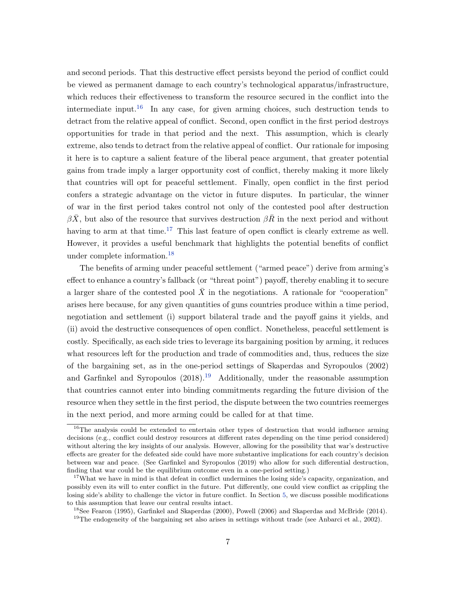and second periods. That this destructive effect persists beyond the period of conflict could be viewed as permanent damage to each country's technological apparatus/infrastructure, which reduces their effectiveness to transform the resource secured in the conflict into the intermediate input.<sup>[16](#page-7-0)</sup> In any case, for given arming choices, such destruction tends to detract from the relative appeal of conflict. Second, open conflict in the first period destroys opportunities for trade in that period and the next. This assumption, which is clearly extreme, also tends to detract from the relative appeal of conflict. Our rationale for imposing it here is to capture a salient feature of the liberal peace argument, that greater potential gains from trade imply a larger opportunity cost of conflict, thereby making it more likely that countries will opt for peaceful settlement. Finally, open conflict in the first period confers a strategic advantage on the victor in future disputes. In particular, the winner of war in the first period takes control not only of the contested pool after destruction  $\beta \bar{X}$ , but also of the resource that survives destruction  $\beta \bar{R}$  in the next period and without having to arm at that time.<sup>[17](#page-7-1)</sup> This last feature of open conflict is clearly extreme as well. However, it provides a useful benchmark that highlights the potential benefits of conflict under complete information.[18](#page-7-2)

The benefits of arming under peaceful settlement ("armed peace") derive from arming's effect to enhance a country's fallback (or "threat point") payoff, thereby enabling it to secure a larger share of the contested pool  $\bar{X}$  in the negotiations. A rationale for "cooperation" arises here because, for any given quantities of guns countries produce within a time period, negotiation and settlement (i) support bilateral trade and the payoff gains it yields, and (ii) avoid the destructive consequences of open conflict. Nonetheless, peaceful settlement is costly. Specifically, as each side tries to leverage its bargaining position by arming, it reduces what resources left for the production and trade of commodities and, thus, reduces the size of the bargaining set, as in the one-period settings of Skaperdas and Syropoulos (2002) and Garfinkel and Syropoulos  $(2018).^{19}$  $(2018).^{19}$  $(2018).^{19}$  Additionally, under the reasonable assumption that countries cannot enter into binding commitments regarding the future division of the resource when they settle in the first period, the dispute between the two countries reemerges in the next period, and more arming could be called for at that time.

<span id="page-7-0"></span> $16$ The analysis could be extended to entertain other types of destruction that would influence arming decisions (e.g., conflict could destroy resources at different rates depending on the time period considered) without altering the key insights of our analysis. However, allowing for the possibility that war's destructive effects are greater for the defeated side could have more substantive implications for each country's decision between war and peace. (See Garfinkel and Syropoulos (2019) who allow for such differential destruction, finding that war could be the equilibrium outcome even in a one-period setting.)

<span id="page-7-1"></span><sup>&</sup>lt;sup>17</sup>What we have in mind is that defeat in conflict undermines the losing side's capacity, organization, and possibly even its will to enter conflict in the future. Put differently, one could view conflict as crippling the losing side's ability to challenge the victor in future conflict. In Section [5,](#page-31-0) we discuss possible modifications to this assumption that leave our central results intact.

<span id="page-7-2"></span><sup>18</sup>See Fearon (1995), Garfinkel and Skaperdas (2000), Powell (2006) and Skaperdas and McBride (2014).

<span id="page-7-3"></span><sup>&</sup>lt;sup>19</sup>The endogeneity of the bargaining set also arises in settings without trade (see Anbarci et al., 2002).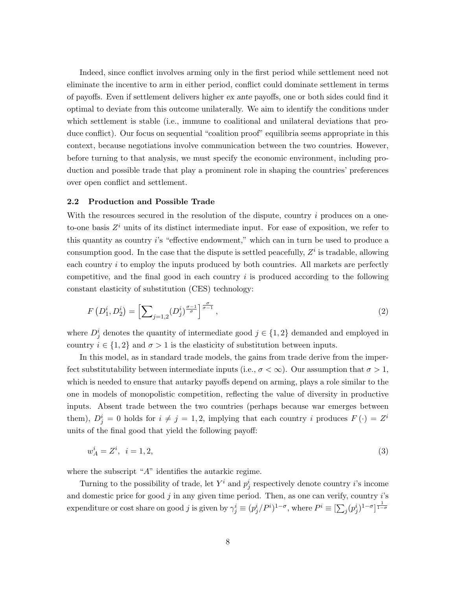Indeed, since conflict involves arming only in the first period while settlement need not eliminate the incentive to arm in either period, conflict could dominate settlement in terms of payoffs. Even if settlement delivers higher ex ante payoffs, one or both sides could find it optimal to deviate from this outcome unilaterally. We aim to identify the conditions under which settlement is stable (i.e., immune to coalitional and unilateral deviations that produce conflict). Our focus on sequential "coalition proof" equilibria seems appropriate in this context, because negotiations involve communication between the two countries. However, before turning to that analysis, we must specify the economic environment, including production and possible trade that play a prominent role in shaping the countries' preferences over open conflict and settlement.

#### 2.2 Production and Possible Trade

With the resources secured in the resolution of the dispute, country  $i$  produces on a oneto-one basis  $Z<sup>i</sup>$  units of its distinct intermediate input. For ease of exposition, we refer to this quantity as country i's "effective endowment," which can in turn be used to produce a consumption good. In the case that the dispute is settled peacefully,  $Z<sup>i</sup>$  is tradable, allowing each country i to employ the inputs produced by both countries. All markets are perfectly competitive, and the final good in each country  $i$  is produced according to the following constant elasticity of substitution (CES) technology:

<span id="page-8-0"></span>
$$
F(D_1^i, D_2^i) = \left[\sum_{j=1,2} (D_j^i)^{\frac{\sigma-1}{\sigma}}\right]^{\frac{\sigma}{\sigma-1}},\tag{2}
$$

where  $D_j^i$  denotes the quantity of intermediate good  $j \in \{1,2\}$  demanded and employed in country  $i \in \{1,2\}$  and  $\sigma > 1$  is the elasticity of substitution between inputs.

In this model, as in standard trade models, the gains from trade derive from the imperfect substitutability between intermediate inputs (i.e.,  $\sigma < \infty$ ). Our assumption that  $\sigma > 1$ , which is needed to ensure that autarky payoffs depend on arming, plays a role similar to the one in models of monopolistic competition, reflecting the value of diversity in productive inputs. Absent trade between the two countries (perhaps because war emerges between them),  $D_j^i = 0$  holds for  $i \neq j = 1, 2$ , implying that each country i produces  $F(\cdot) = Z^i$ units of the final good that yield the following payoff:

<span id="page-8-1"></span>
$$
w_A^i = Z^i, \ \ i = 1, 2,\tag{3}
$$

where the subscript " $A$ " identifies the autarkic regime.

Turning to the possibility of trade, let  $Y^i$  and  $p_j^i$  respectively denote country *i*'s income and domestic price for good  $j$  in any given time period. Then, as one can verify, country  $i$ 's expenditure or cost share on good j is given by  $\gamma_j^i \equiv (p_j^i/P^i)^{1-\sigma}$ , where  $P^i \equiv [\sum_j (p_j^i)^{1-\sigma}]^{\frac{1}{1-\sigma}}$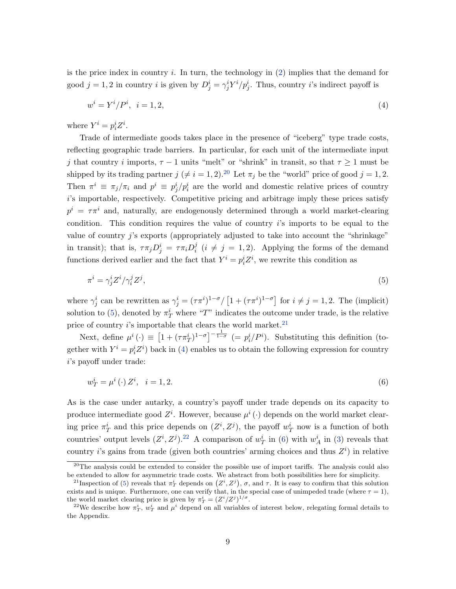is the price index in country  $i$ . In turn, the technology in  $(2)$  implies that the demand for good  $j = 1, 2$  in country i is given by  $D_j^i = \gamma_j^i Y^i / p_j^i$ . Thus, country i's indirect payoff is

<span id="page-9-3"></span>
$$
w^{i} = Y^{i}/P^{i}, \quad i = 1, 2,\tag{4}
$$

where  $Y^i = p_i^i Z^i$ .

Trade of intermediate goods takes place in the presence of "iceberg" type trade costs, reflecting geographic trade barriers. In particular, for each unit of the intermediate input j that country i imports,  $\tau - 1$  units "melt" or "shrink" in transit, so that  $\tau \geq 1$  must be shipped by its trading partner  $j \neq i = 1, 2$ .<sup>[20](#page-9-0)</sup> Let  $\pi_j$  be the "world" price of good  $j = 1, 2$ . Then  $\pi^i \equiv \pi_j/\pi_i$  and  $p^i \equiv p^i_j/p^i_i$  are the world and domestic relative prices of country i's importable, respectively. Competitive pricing and arbitrage imply these prices satisfy  $p^i = \tau \pi^i$  and, naturally, are endogenously determined through a world market-clearing condition. This condition requires the value of country  $i$ 's imports to be equal to the value of country j's exports (appropriately adjusted to take into account the "shrinkage" in transit); that is,  $\tau \pi_j D_j^i = \tau \pi_i D_i^j$  $i_i^j$  ( $i \neq j = 1, 2$ ). Applying the forms of the demand functions derived earlier and the fact that  $Y^i = p_i^i Z^i$ , we rewrite this condition as

<span id="page-9-1"></span>
$$
\pi^i = \gamma^i_j Z^i / \gamma^j_i Z^j,\tag{5}
$$

where  $\gamma_j^i$  can be rewritten as  $\gamma_j^i = (\tau \pi^i)^{1-\sigma} / [1 + (\tau \pi^i)^{1-\sigma}]$  for  $i \neq j = 1, 2$ . The (implicit) solution to [\(5\)](#page-9-1), denoted by  $\pi_T^i$  where "T" indicates the outcome under trade, is the relative price of country  $i$ 's importable that clears the world market.<sup>[21](#page-9-2)</sup>

Next, define  $\mu^i(\cdot) \equiv \left[1 + (\tau \pi_T^i)^{1-\sigma}\right]^{-\frac{1}{1-\sigma}}$   $(= p_i^i/P^i)$ . Substituting this definition (together with  $Y^i = p_i^i Z^i$  back in [\(4\)](#page-9-3) enables us to obtain the following expression for country i's payoff under trade:

<span id="page-9-5"></span>
$$
w_T^i = \mu^i(\cdot) Z^i, \quad i = 1, 2. \tag{6}
$$

As is the case under autarky, a country's payoff under trade depends on its capacity to produce intermediate good  $Z^i$ . However, because  $\mu^i(\cdot)$  depends on the world market clearing price  $\pi_T^i$  and this price depends on  $(Z^i, Z^j)$ , the payoff  $w_T^i$  now is a function of both countries' output levels  $(Z^i, Z^j)$ .<sup>[22](#page-9-4)</sup> A comparison of  $w_T^i$  in [\(6\)](#page-9-5) with  $w_A^i$  in [\(3\)](#page-8-1) reveals that country *i*'s gains from trade (given both countries' arming choices and thus  $Z<sup>i</sup>$ ) in relative

<span id="page-9-0"></span><sup>&</sup>lt;sup>20</sup>The analysis could be extended to consider the possible use of import tariffs. The analysis could also be extended to allow for asymmetric trade costs. We abstract from both possibilities here for simplicity.

<span id="page-9-2"></span><sup>&</sup>lt;sup>21</sup>Inspection of [\(5\)](#page-9-1) reveals that  $\pi_T^i$  depends on  $(Z^i, Z^j)$ ,  $\sigma$ , and  $\tau$ . It is easy to confirm that this solution exists and is unique. Furthermore, one can verify that, in the special case of unimpeded trade (where  $\tau = 1$ ), the world market clearing price is given by  $\pi_T^i = (Z^i/Z^j)^{1/\sigma}$ .

<span id="page-9-4"></span><sup>&</sup>lt;sup>22</sup>We describe how  $\pi_T^i$ ,  $w_T^i$  and  $\mu^i$  depend on all variables of interest below, relegating formal details to the Appendix.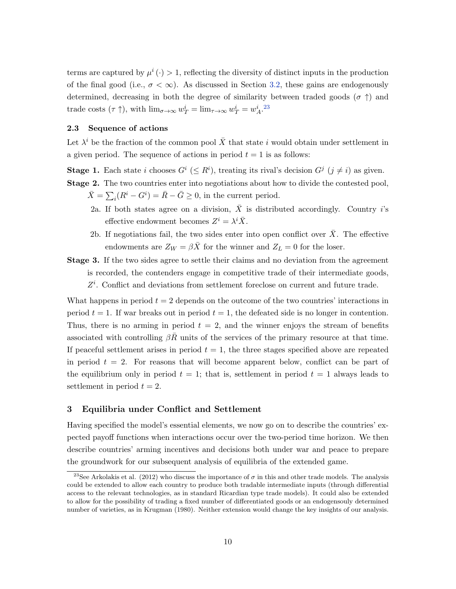terms are captured by  $\mu^{i}(\cdot) > 1$ , reflecting the diversity of distinct inputs in the production of the final good (i.e.,  $\sigma < \infty$ ). As discussed in Section [3.2,](#page-16-0) these gains are endogenously determined, decreasing in both the degree of similarity between traded goods ( $\sigma$ ) and trade costs  $(\tau \uparrow)$ , with  $\lim_{\sigma \to \infty} w_T^i = \lim_{\tau \to \infty} w_T^i = w_A^i$ .<sup>[23](#page-10-1)</sup>

#### 2.3 Sequence of actions

Let  $\lambda^i$  be the fraction of the common pool  $\bar{X}$  that state i would obtain under settlement in a given period. The sequence of actions in period  $t = 1$  is as follows:

**Stage 1.** Each state i chooses  $G^i$  ( $\leq R^i$ ), treating its rival's decision  $G^j$  ( $j \neq i$ ) as given. Stage 2. The two countries enter into negotiations about how to divide the contested pool,

- $\bar{X} = \sum_i (R^i G^i) = \bar{R} \bar{G} \ge 0$ , in the current period.
- 2a. If both states agree on a division,  $\bar{X}$  is distributed accordingly. Country i's effective endowment becomes  $Z^i = \lambda^i \overline{X}$ .
- 2b. If negotiations fail, the two sides enter into open conflict over  $\bar{X}$ . The effective endowments are  $Z_W = \beta \bar{X}$  for the winner and  $Z_L = 0$  for the loser.
- Stage 3. If the two sides agree to settle their claims and no deviation from the agreement is recorded, the contenders engage in competitive trade of their intermediate goods,  $Z<sup>i</sup>$ . Conflict and deviations from settlement foreclose on current and future trade.

What happens in period  $t = 2$  depends on the outcome of the two countries' interactions in period  $t = 1$ . If war breaks out in period  $t = 1$ , the defeated side is no longer in contention. Thus, there is no arming in period  $t = 2$ , and the winner enjoys the stream of benefits associated with controlling  $\beta R$  units of the services of the primary resource at that time. If peaceful settlement arises in period  $t = 1$ , the three stages specified above are repeated in period  $t = 2$ . For reasons that will become apparent below, conflict can be part of the equilibrium only in period  $t = 1$ ; that is, settlement in period  $t = 1$  always leads to settlement in period  $t = 2$ .

## <span id="page-10-0"></span>3 Equilibria under Conflict and Settlement

Having specified the model's essential elements, we now go on to describe the countries' expected payoff functions when interactions occur over the two-period time horizon. We then describe countries' arming incentives and decisions both under war and peace to prepare the groundwork for our subsequent analysis of equilibria of the extended game.

<span id="page-10-1"></span><sup>&</sup>lt;sup>23</sup>See Arkolakis et al. (2012) who discuss the importance of  $\sigma$  in this and other trade models. The analysis could be extended to allow each country to produce both tradable intermediate inputs (through differential access to the relevant technologies, as in standard Ricardian type trade models). It could also be extended to allow for the possibility of trading a fixed number of differentiated goods or an endogensouly determined number of varieties, as in Krugman (1980). Neither extension would change the key insights of our analysis.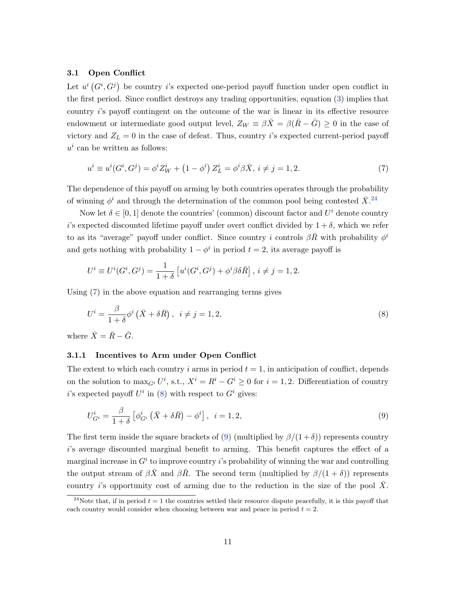## 3.1 Open Conflict

Let  $u^i(G^i, G^j)$  be country i's expected one-period payoff function under open conflict in the first period. Since conflict destroys any trading opportunities, equation [\(3\)](#page-8-1) implies that country i's payoff contingent on the outcome of the war is linear in its effective resource endowment or intermediate good output level,  $Z_W \equiv \beta \bar{X} = \beta (\bar{R} - \bar{G}) \geq 0$  in the case of victory and  $Z_L = 0$  in the case of defeat. Thus, country *i*'s expected current-period payoff  $u^i$  can be written as follows:

<span id="page-11-1"></span>
$$
u^{i} \equiv u^{i}(G^{i}, G^{j}) = \phi^{i} Z_{W}^{i} + (1 - \phi^{i}) Z_{L}^{i} = \phi^{i} \beta \bar{X}, i \neq j = 1, 2.
$$
 (7)

The dependence of this payoff on arming by both countries operates through the probability of winning  $\phi^i$  and through the determination of the common pool being contested  $\bar{X}$ .<sup>[24](#page-11-0)</sup>

Now let  $\delta \in [0,1]$  denote the countries' (common) discount factor and  $U^i$  denote country is expected discounted lifetime payoff under overt conflict divided by  $1 + \delta$ , which we refer to as its "average" payoff under conflict. Since country i controls  $\beta \bar{R}$  with probability  $\phi^i$ and gets nothing with probability  $1 - \phi^i$  in period  $t = 2$ , its average payoff is

$$
U^{i} \equiv U^{i}(G^{i}, G^{j}) = \frac{1}{1+\delta} \left[ u^{i}(G^{i}, G^{j}) + \phi^{i} \beta \delta \bar{R} \right], i \neq j = 1, 2.
$$

Using [\(7\)](#page-11-1) in the above equation and rearranging terms gives

<span id="page-11-2"></span>
$$
U^i = \frac{\beta}{1+\delta} \phi^i \left( \bar{X} + \delta \bar{R} \right), \quad i \neq j = 1, 2,
$$
\n<sup>(8)</sup>

where  $\bar{X} = \bar{R} - \bar{G}$ .

## 3.1.1 Incentives to Arm under Open Conflict

The extent to which each country i arms in period  $t = 1$ , in anticipation of conflict, depends on the solution to  $\max_{G^i} U^i$ , s.t.,  $X^i = R^i - G^i \geq 0$  for  $i = 1, 2$ . Differentiation of country i's expected payoff  $U^i$  in [\(8\)](#page-11-2) with respect to  $G^i$  gives:

<span id="page-11-3"></span>
$$
U_{G^i}^i = \frac{\beta}{1+\delta} \left[ \phi_{G^i}^i \left( \bar{X} + \delta \bar{R} \right) - \phi^i \right], \quad i = 1, 2,
$$
\n
$$
(9)
$$

The first term inside the square brackets of [\(9\)](#page-11-3) (multiplied by  $\beta/(1+\delta)$ ) represents country i's average discounted marginal benefit to arming. This benefit captures the effect of a marginal increase in  $G^i$  to improve country i's probability of winning the war and controlling the output stream of  $\beta \bar{X}$  and  $\beta \bar{R}$ . The second term (multiplied by  $\beta/(1+\delta)$ ) represents country is opportunity cost of arming due to the reduction in the size of the pool  $X$ .

<span id="page-11-0"></span><sup>&</sup>lt;sup>24</sup>Note that, if in period  $t = 1$  the countries settled their resource dispute peacefully, it is this payoff that each country would consider when choosing between war and peace in period  $t = 2$ .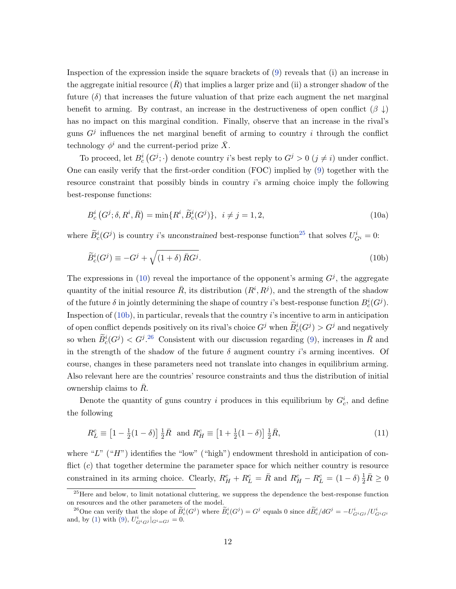Inspection of the expression inside the square brackets of [\(9\)](#page-11-3) reveals that (i) an increase in the aggregate initial resource  $(R)$  that implies a larger prize and (ii) a stronger shadow of the future  $(\delta)$  that increases the future valuation of that prize each augment the net marginal benefit to arming. By contrast, an increase in the destructiveness of open conflict  $(\beta \downarrow)$ has no impact on this marginal condition. Finally, observe that an increase in the rival's guns  $G<sup>j</sup>$  influences the net marginal benefit of arming to country i through the conflict technology  $\phi^i$  and the current-period prize  $\bar{X}$ .

To proceed, let  $B_c^i(G^j; \cdot)$  denote country *i*'s best reply to  $G^j > 0$   $(j \neq i)$  under conflict. One can easily verify that the first-order condition (FOC) implied by [\(9\)](#page-11-3) together with the resource constraint that possibly binds in country i's arming choice imply the following best-response functions:

<span id="page-12-2"></span><span id="page-12-1"></span>
$$
B_c^i(G^j; \delta, R^i, \bar{R}) = \min\{R^i, \tilde{B}_c^i(G^j)\}, \ i \neq j = 1, 2,
$$
\n(10a)

where  $\widetilde{B}^i_c(G^j)$  is country *i*'s unconstrained best-response function<sup>[25](#page-12-0)</sup> that solves  $U^i_{G^i} = 0$ :

$$
\widetilde{B}_c^i(G^j) \equiv -G^j + \sqrt{(1+\delta)\,\bar{R}G^j}.\tag{10b}
$$

The expressions in [\(10\)](#page-12-1) reveal the importance of the opponent's arming  $G<sup>j</sup>$ , the aggregate quantity of the initial resource  $\overline{R}$ , its distribution  $(R^i, R^j)$ , and the strength of the shadow of the future  $\delta$  in jointly determining the shape of country i's best-response function  $B_c^i(G^j)$ . Inspection of  $(10b)$ , in particular, reveals that the country i's incentive to arm in anticipation of open conflict depends positively on its rival's choice  $G^j$  when  $\widetilde{B}^i_c(G^j) > G^j$  and negatively so when  $\widetilde{B}_c^i(G^j) < G^j$ .<sup>[26](#page-12-3)</sup> Consistent with our discussion regarding [\(9\)](#page-11-3), increases in  $\overline{R}$  and in the strength of the shadow of the future  $\delta$  augment country i's arming incentives. Of course, changes in these parameters need not translate into changes in equilibrium arming. Also relevant here are the countries' resource constraints and thus the distribution of initial ownership claims to  $\bar{R}$ .

Denote the quantity of guns country i produces in this equilibrium by  $G_c^i$ , and define the following

<span id="page-12-4"></span>
$$
R_L^c \equiv \left[1 - \frac{1}{2}(1 - \delta)\right] \frac{1}{2}\bar{R} \text{ and } R_H^c \equiv \left[1 + \frac{1}{2}(1 - \delta)\right] \frac{1}{2}\bar{R},\tag{11}
$$

where "L"  $(H)$ " identifies the "low" ("high") endowment threshold in anticipation of conflict  $(c)$  that together determine the parameter space for which neither country is resource constrained in its arming choice. Clearly,  $R_H^c + R_L^c = \bar{R}$  and  $R_H^c - R_L^c = (1 - \delta) \frac{1}{2} \bar{R} \ge 0$ 

<span id="page-12-0"></span><sup>&</sup>lt;sup>25</sup>Here and below, to limit notational cluttering, we suppress the dependence the best-response function on resources and the other parameters of the model.

<span id="page-12-3"></span><sup>&</sup>lt;sup>26</sup>One can verify that the slope of  $\widetilde{B}^i_c(G^j)$  where  $\widetilde{B}^i_c(G^j) = G^j$  equals 0 since  $d\widetilde{B}^i_c/dG^j = -U^i_{G^iG^j}/U^i_{G^iG^i}$ and, by [\(1\)](#page-6-2) with [\(9\)](#page-11-3),  $U_{G^iG^j}|_{G^i=G^j}=0$ .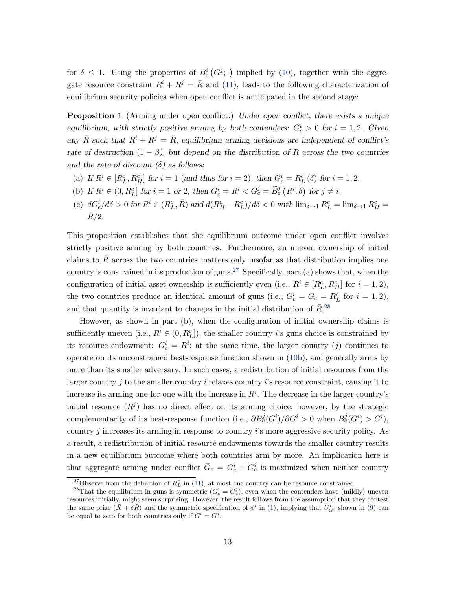<span id="page-13-2"></span>for  $\delta \leq 1$ . Using the properties of  $B_c^i(G^j; \cdot)$  implied by [\(10\)](#page-12-1), together with the aggregate resource constraint  $R^i + R^j = \overline{R}$  and [\(11\)](#page-12-4), leads to the following characterization of equilibrium security policies when open conflict is anticipated in the second stage:

**Proposition 1** (Arming under open conflict.) Under open conflict, there exists a unique equilibrium, with strictly positive arming by both contenders:  $G_c^i > 0$  for  $i = 1, 2$ . Given any  $\bar{R}$  such that  $R^i + R^j = \bar{R}$ , equilibrium arming decisions are independent of conflict's rate of destruction  $(1 - \beta)$ , but depend on the distribution of  $\overline{R}$  across the two countries and the rate of discount  $(\delta)$  as follows:

- (a) If  $R^i \in [R_L^c, R_H^c]$  for  $i = 1$  (and thus for  $i = 2$ ), then  $G_c^i = R_L^c(\delta)$  for  $i = 1, 2$ .
- (b) If  $R^i \in (0, R_L^c]$  for  $i = 1$  or 2, then  $G_c^i = R^i < G_c^j = \widetilde{B}_c^j \left( R^i, \delta \right)$  for  $j \neq i$ .
- (c)  $dG_c^i/d\delta > 0$  for  $R^i \in (R_L^c, \bar{R})$  and  $d(R_H^c R_L^c)/d\delta < 0$  with  $\lim_{\delta \to 1} R_L^c = \lim_{\delta \to 1} R_H^c =$  $\bar{R}/2$ .

This proposition establishes that the equilibrium outcome under open conflict involves strictly positive arming by both countries. Furthermore, an uneven ownership of initial claims to  $R$  across the two countries matters only insofar as that distribution implies one country is constrained in its production of guns.<sup>[27](#page-13-0)</sup> Specifically, part (a) shows that, when the configuration of initial asset ownership is sufficiently even (i.e.,  $R^i \in [R_L^c, R_H^c]$  for  $i = 1, 2$ ), the two countries produce an identical amount of guns (i.e.,  $G_c^i = G_c = R_L^c$  for  $i = 1, 2$ ), and that quantity is invariant to changes in the initial distribution of  $\bar{R}^{28}$  $\bar{R}^{28}$  $\bar{R}^{28}$ 

However, as shown in part (b), when the configuration of initial ownership claims is sufficiently uneven (i.e.,  $R^i \in (0, R_L^c]$ ), the smaller country *i*'s guns choice is constrained by its resource endowment:  $G_c^i = R^i$ ; at the same time, the larger country (j) continues to operate on its unconstrained best-response function shown in [\(10b\)](#page-12-2), and generally arms by more than its smaller adversary. In such cases, a redistribution of initial resources from the larger country  $j$  to the smaller country  $i$  relaxes country  $i$ 's resource constraint, causing it to increase its arming one-for-one with the increase in  $R<sup>i</sup>$ . The decrease in the larger country's initial resource  $(R<sup>j</sup>)$  has no direct effect on its arming choice; however, by the strategic complementarity of its best-response function (i.e.,  $\partial B_c^j(G^i)/\partial G^i > 0$  when  $B_c^j(G^i) > G^i$ ), country  $j$  increases its arming in response to country  $i$ 's more aggressive security policy. As a result, a redistribution of initial resource endowments towards the smaller country results in a new equilibrium outcome where both countries arm by more. An implication here is that aggregate arming under conflict  $\bar{G}_c = G_c^i + G_c^j$  is maximized when neither country

<span id="page-13-1"></span><span id="page-13-0"></span><sup>&</sup>lt;sup>27</sup>Observe from the definition of  $R<sub>L</sub><sup>c</sup>$  in [\(11\)](#page-12-4), at most one country can be resource constrained.

<sup>&</sup>lt;sup>28</sup>That the equilibrium in guns is symmetric  $(G_c^i = G_c^j)$ , even when the contenders have (mildly) uneven resources initially, might seem surprising. However, the result follows from the assumption that they contest the same prize  $(\bar{X} + \bar{\delta}\bar{R})$  and the symmetric specification of  $\phi^i$  in [\(1\)](#page-6-2), implying that  $U^i_{G^i}$  shown in [\(9\)](#page-11-3) can be equal to zero for both countries only if  $G^i = G^j$ .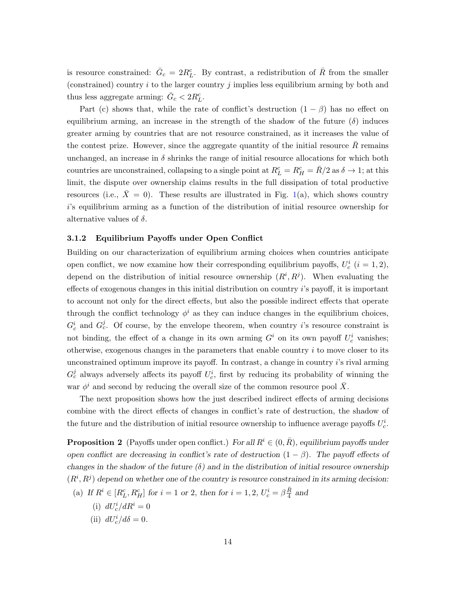is resource constrained:  $\bar{G}_c = 2R_L^c$ . By contrast, a redistribution of  $\bar{R}$  from the smaller (constrained) country  $i$  to the larger country  $j$  implies less equilibrium arming by both and thus less aggregate arming:  $\bar{G}_c < 2R_L^c$ .

Part (c) shows that, while the rate of conflict's destruction  $(1 - \beta)$  has no effect on equilibrium arming, an increase in the strength of the shadow of the future  $(\delta)$  induces greater arming by countries that are not resource constrained, as it increases the value of the contest prize. However, since the aggregate quantity of the initial resource  $R$  remains unchanged, an increase in  $\delta$  shrinks the range of initial resource allocations for which both countries are unconstrained, collapsing to a single point at  $R_L^c = R_H^c = \bar{R}/2$  as  $\delta \to 1$ ; at this limit, the dispute over ownership claims results in the full dissipation of total productive resources (i.e.,  $\bar{X} = 0$ ). These results are illustrated in Fig. [1\(](#page-37-0)a), which shows country i's equilibrium arming as a function of the distribution of initial resource ownership for alternative values of  $\delta$ .

#### 3.1.2 Equilibrium Payoffs under Open Conflict

Building on our characterization of equilibrium arming choices when countries anticipate open conflict, we now examine how their corresponding equilibrium payoffs,  $U_c^i$   $(i = 1, 2)$ , depend on the distribution of initial resource ownership  $(R^i, R^j)$ . When evaluating the effects of exogenous changes in this initial distribution on country  $i$ 's payoff, it is important to account not only for the direct effects, but also the possible indirect effects that operate through the conflict technology  $\phi^i$  as they can induce changes in the equilibrium choices,  $G_c^i$  and  $G_c^j$ . Of course, by the envelope theorem, when country *i*'s resource constraint is not binding, the effect of a change in its own arming  $G^i$  on its own payoff  $U_c^i$  vanishes; otherwise, exogenous changes in the parameters that enable country  $i$  to move closer to its unconstrained optimum improve its payoff. In contrast, a change in country i's rival arming  $G_c^j$  always adversely affects its payoff  $U_c^i$ , first by reducing its probability of winning the war  $\phi^i$  and second by reducing the overall size of the common resource pool  $\bar{X}$ .

<span id="page-14-0"></span>The next proposition shows how the just described indirect effects of arming decisions combine with the direct effects of changes in conflict's rate of destruction, the shadow of the future and the distribution of initial resource ownership to influence average payoffs  $U_c^i$ .

**Proposition 2** (Payoffs under open conflict.) For all  $R^i \in (0, \bar{R})$ , equilibrium payoffs under open conflict are decreasing in conflict's rate of destruction  $(1 - \beta)$ . The payoff effects of changes in the shadow of the future  $(\delta)$  and in the distribution of initial resource ownership  $(R^i, R^j)$  depend on whether one of the country is resource constrained in its arming decision:

- (a) If  $R^i \in [R_L^c, R_H^c]$  for  $i = 1$  or 2, then for  $i = 1, 2, U_c^i = \beta \frac{\bar{R}}{4}$  $\frac{R}{4}$  and
	- (i)  $dU_c^i/dR^i = 0$
	- (ii)  $dU_c^i/d\delta = 0$ .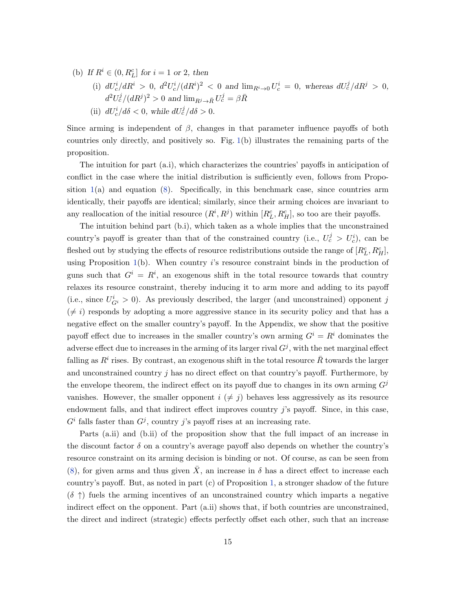- (b) If  $R^i \in (0, R_L^c]$  for  $i = 1$  or 2, then
	- (i)  $dU_c^i/dR^i > 0$ ,  $d^2U_c^i/(dR^i)^2 < 0$  and  $\lim_{R^i \to 0} U_c^i = 0$ , whereas  $dU_c^j/dR^j > 0$ ,  $d^2U_c^j/(dR^j)^2 > 0$  and  $\lim_{R^j \to \bar{R}} U_c^j = \beta \bar{R}$
	- (ii)  $dU_c^i/d\delta < 0$ , while  $dU_c^j/d\delta > 0$ .

Since arming is independent of  $\beta$ , changes in that parameter influence payoffs of both countries only directly, and positively so. Fig. [1\(](#page-37-0)b) illustrates the remaining parts of the proposition.

The intuition for part (a.i), which characterizes the countries' payoffs in anticipation of conflict in the case where the initial distribution is sufficiently even, follows from Proposition  $1(a)$  $1(a)$  and equation [\(8\)](#page-11-2). Specifically, in this benchmark case, since countries arm identically, their payoffs are identical; similarly, since their arming choices are invariant to any reallocation of the initial resource  $(R^i, R^j)$  within  $[R_L^c, R_H^c]$ , so too are their payoffs.

The intuition behind part (b.i), which taken as a whole implies that the unconstrained country's payoff is greater than that of the constrained country (i.e.,  $U_c^j > U_c^i$ ), can be fleshed out by studying the effects of resource redistributions outside the range of  $[R_L^c, R_H^c]$ , using Proposition  $1(b)$  $1(b)$ . When country i's resource constraint binds in the production of guns such that  $G^i = R^i$ , an exogenous shift in the total resource towards that country relaxes its resource constraint, thereby inducing it to arm more and adding to its payoff (i.e., since  $U_{G}^{i} > 0$ ). As previously described, the larger (and unconstrained) opponent j  $(\neq i)$  responds by adopting a more aggressive stance in its security policy and that has a negative effect on the smaller country's payoff. In the Appendix, we show that the positive payoff effect due to increases in the smaller country's own arming  $G^i = R^i$  dominates the adverse effect due to increases in the arming of its larger rival  $G<sup>j</sup>$ , with the net marginal effect falling as  $R^i$  rises. By contrast, an exogenous shift in the total resource  $\bar{R}$  towards the larger and unconstrained country  $i$  has no direct effect on that country's payoff. Furthermore, by the envelope theorem, the indirect effect on its payoff due to changes in its own arming  $G<sup>j</sup>$ vanishes. However, the smaller opponent  $i \neq j$  behaves less aggressively as its resource endowment falls, and that indirect effect improves country  $i$ 's payoff. Since, in this case,  $G<sup>i</sup>$  falls faster than  $G<sup>j</sup>$ , country j's payoff rises at an increasing rate.

Parts (a.ii) and (b.ii) of the proposition show that the full impact of an increase in the discount factor  $\delta$  on a country's average payoff also depends on whether the country's resource constraint on its arming decision is binding or not. Of course, as can be seen from [\(8\)](#page-11-2), for given arms and thus given  $\bar{X}$ , an increase in  $\delta$  has a direct effect to increase each country's payoff. But, as noted in part (c) of Proposition [1,](#page-13-2) a stronger shadow of the future  $(\delta \uparrow)$  fuels the arming incentives of an unconstrained country which imparts a negative indirect effect on the opponent. Part (a.ii) shows that, if both countries are unconstrained, the direct and indirect (strategic) effects perfectly offset each other, such that an increase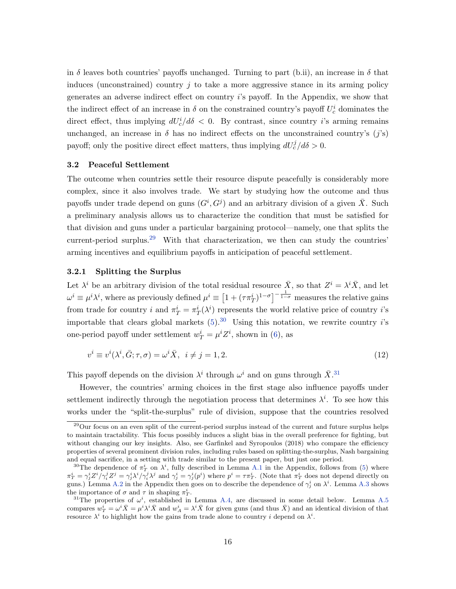in  $\delta$  leaves both countries' payoffs unchanged. Turning to part (b.ii), an increase in  $\delta$  that induces (unconstrained) country  $j$  to take a more aggressive stance in its arming policy generates an adverse indirect effect on country i's payoff. In the Appendix, we show that the indirect effect of an increase in  $\delta$  on the constrained country's payoff  $U_c^i$  dominates the direct effect, thus implying  $dU_c^i/d\delta < 0$ . By contrast, since country *i*'s arming remains unchanged, an increase in  $\delta$  has no indirect effects on the unconstrained country's  $(j's)$ payoff; only the positive direct effect matters, thus implying  $dU_c^j/d\delta > 0$ .

## <span id="page-16-0"></span>3.2 Peaceful Settlement

The outcome when countries settle their resource dispute peacefully is considerably more complex, since it also involves trade. We start by studying how the outcome and thus payoffs under trade depend on guns  $(G^i, G^j)$  and an arbitrary division of a given  $\overline{X}$ . Such a preliminary analysis allows us to characterize the condition that must be satisfied for that division and guns under a particular bargaining protocol—namely, one that splits the current-period surplus.<sup>[29](#page-16-1)</sup> With that characterization, we then can study the countries' arming incentives and equilibrium payoffs in anticipation of peaceful settlement.

## 3.2.1 Splitting the Surplus

Let  $\lambda^i$  be an arbitrary division of the total residual resource  $\bar{X}$ , so that  $Z^i = \lambda^i \bar{X}$ , and let  $\omega^i \equiv \mu^i \lambda^i$ , where as previously defined  $\mu^i \equiv \left[1+(\tau \pi_T^i)^{1-\sigma}\right]^{-\frac{1}{1-\sigma}}$  measures the relative gains from trade for country i and  $\pi_T^i = \pi_T^i(\lambda^i)$  represents the world relative price of country i's importable that clears global markets  $(5)$ .<sup>[30](#page-16-2)</sup> Using this notation, we rewrite country *i*'s one-period payoff under settlement  $w_T^i = \mu^i Z^i$ , shown in [\(6\)](#page-9-5), as

<span id="page-16-4"></span>
$$
v^{i} \equiv v^{i}(\lambda^{i}, \bar{G}; \tau, \sigma) = \omega^{i} \bar{X}, \quad i \neq j = 1, 2. \tag{12}
$$

This payoff depends on the division  $\lambda^i$  through  $\omega^i$  and on guns through  $\bar{X}$ .<sup>[31](#page-16-3)</sup>

However, the countries' arming choices in the first stage also influence payoffs under settlement indirectly through the negotiation process that determines  $\lambda^{i}$ . To see how this works under the "split-the-surplus" rule of division, suppose that the countries resolved

<span id="page-16-1"></span> $^{29}$ Our focus on an even split of the current-period surplus instead of the current and future surplus helps to maintain tractability. This focus possibly induces a slight bias in the overall preference for fighting, but without changing our key insights. Also, see Garfinkel and Syropoulos (2018) who compare the efficiency properties of several prominent division rules, including rules based on splitting-the-surplus, Nash bargaining and equal sacrifice, in a setting with trade similar to the present paper, but just one period.

<span id="page-16-2"></span><sup>&</sup>lt;sup>30</sup>The dependence of  $\pi^i$  on  $\lambda^i$ , fully described in Lemma [A.1](#page-43-0) in the Appendix, follows from [\(5\)](#page-9-1) where  $\pi_T^i = \gamma_j^i Z^i / \gamma_i^j Z^j = \gamma_j^i \lambda^i / \gamma_i^j \lambda^j$  and  $\gamma_j^i = \gamma_j^i(p^i)$  where  $p^i = \tau \pi_T^i$ . (Note that  $\pi_T^i$  does not depend directly on guns.) Lemma [A.2](#page-45-0) in the Appendix then goes on to describe the dependence of  $\gamma_j^i$  on  $\lambda^i$ . Lemma [A.3](#page-45-1) shows the importance of  $\sigma$  and  $\tau$  in shaping  $\pi_T^i$ .

<span id="page-16-3"></span><sup>&</sup>lt;sup>31</sup>The properties of  $\omega^i$ , established in Lemma [A.4,](#page-47-0) are discussed in some detail below. Lemma [A.5](#page-50-0) compares  $w_T^i = \omega^i \bar{X} = \mu^i \lambda^i \bar{X}$  and  $w_A^i = \lambda^i \bar{X}$  for given guns (and thus  $\bar{X}$ ) and an identical division of that resource  $\lambda^i$  to highlight how the gains from trade alone to country i depend on  $\lambda^i$ .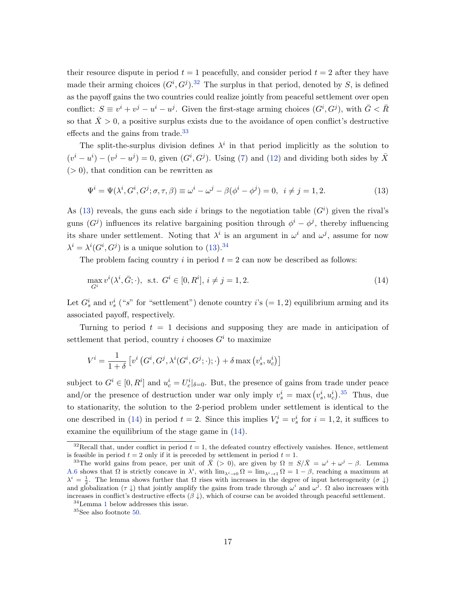their resource dispute in period  $t = 1$  peacefully, and consider period  $t = 2$  after they have made their arming choices  $(G^i, G^j)$ .<sup>[32](#page-17-0)</sup> The surplus in that period, denoted by S, is defined as the payoff gains the two countries could realize jointly from peaceful settlement over open conflict:  $S \equiv v^i + v^j - u^i - u^j$ . Given the first-stage arming choices  $(G^i, G^j)$ , with  $\bar{G} < \bar{R}$ so that  $\bar{X} > 0$ , a positive surplus exists due to the avoidance of open conflict's destructive effects and the gains from trade.<sup>[33](#page-17-1)</sup>

The split-the-surplus division defines  $\lambda^i$  in that period implicitly as the solution to  $(v^{i} - u^{i}) - (v^{j} - u^{j}) = 0$ , given  $(G^{i}, G^{j})$ . Using [\(7\)](#page-11-1) and [\(12\)](#page-16-4) and dividing both sides by  $\overline{X}$  $(> 0)$ , that condition can be rewritten as

<span id="page-17-2"></span>
$$
\Psi^{i} = \Psi(\lambda^{i}, G^{i}, G^{j}; \sigma, \tau, \beta) \equiv \omega^{i} - \omega^{j} - \beta(\phi^{i} - \phi^{j}) = 0, \quad i \neq j = 1, 2.
$$
\n(13)

As [\(13\)](#page-17-2) reveals, the guns each side i brings to the negotiation table  $(G<sup>i</sup>)$  given the rival's guns  $(G<sup>j</sup>)$  influences its relative bargaining position through  $\phi<sup>i</sup> - \phi<sup>j</sup>$ , thereby influencing its share under settlement. Noting that  $\lambda^i$  is an argument in  $\omega^i$  and  $\omega^j$ , assume for now  $\lambda^{i} = \lambda^{i}(G^{i}, G^{j})$  is a unique solution to [\(13\)](#page-17-2).<sup>[34](#page-17-3)</sup>

The problem facing country i in period  $t = 2$  can now be described as follows:

<span id="page-17-5"></span>
$$
\max_{G^i} v^i(\lambda^i, \bar{G}; \cdot), \text{ s.t. } G^i \in [0, R^i], i \neq j = 1, 2.
$$
 (14)

Let  $G_s^i$  and  $v_s^i$  ("s" for "settlement") denote country i's  $(= 1, 2)$  equilibrium arming and its associated payoff, respectively.

Turning to period  $t = 1$  decisions and supposing they are made in anticipation of settlement that period, country i chooses  $G^i$  to maximize

$$
V^{i} = \frac{1}{1+\delta} \left[ v^{i} \left( G^{i}, G^{j}, \lambda^{i} (G^{i}, G^{j}; \cdot); \cdot \right) + \delta \max \left( v_{s}^{i}, u_{c}^{i} \right) \right]
$$

subject to  $G^i \in [0, R^i]$  and  $u_c^i = U_c^i|_{\delta=0}$ . But, the presence of gains from trade under peace and/or the presence of destruction under war only imply  $v_s^i = \max (v_s^i, u_c^i)$ .<sup>[35](#page-17-4)</sup> Thus, due to stationarity, the solution to the 2-period problem under settlement is identical to the one described in [\(14\)](#page-17-5) in period  $t = 2$ . Since this implies  $V_s^i = v_s^i$  for  $i = 1, 2$ , it suffices to examine the equilibrium of the stage game in [\(14\)](#page-17-5).

<span id="page-17-0"></span><sup>&</sup>lt;sup>32</sup>Recall that, under conflict in period  $t = 1$ , the defeated country effectively vanishes. Hence, settlement is feasible in period  $t = 2$  only if it is preceded by settlement in period  $t = 1$ .

<span id="page-17-1"></span><sup>&</sup>lt;sup>33</sup>The world gains from peace, per unit of  $\bar{X}$  (> 0), are given by  $\Omega \equiv S/\bar{X} = \omega^i + \omega^j - \beta$ . Lemma [A.6](#page-50-1) shows that  $\Omega$  is strictly concave in  $\lambda^i$ , with  $\lim_{\lambda^i \to 0} \Omega = \lim_{\lambda^i \to 1} \Omega = 1 - \beta$ , reaching a maximum at  $\lambda^i = \frac{1}{2}$ . The lemma shows further that  $\Omega$  rises with increases in the degree of input heterogeneity  $(\sigma \downarrow)$ and globalization ( $\tau \downarrow$ ) that jointly amplify the gains from trade through  $\omega^i$  and  $\omega^j$ .  $\Omega$  also increases with increases in conflict's destructive effects  $(\beta \downarrow)$ , which of course can be avoided through peaceful settlement.

<span id="page-17-3"></span><sup>34</sup>Lemma [1](#page-18-0) below addresses this issue.

<span id="page-17-4"></span> $^{35}\mathrm{See}$  also footnote [50.](#page-28-1)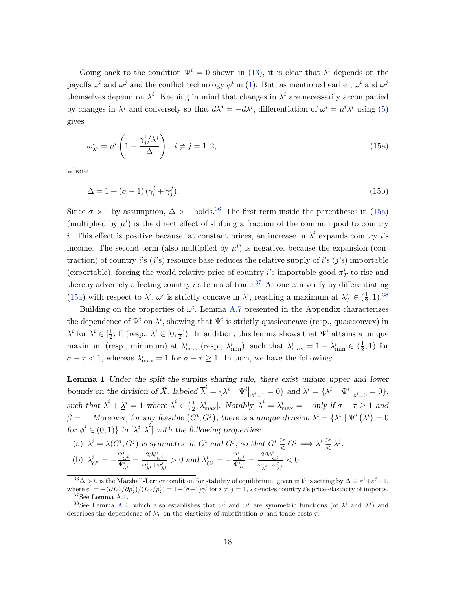Going back to the condition  $\Psi^i = 0$  shown in [\(13\)](#page-17-2), it is clear that  $\lambda^i$  depends on the payoffs  $\omega^i$  and  $\omega^j$  and the conflict technology  $\phi^i$  in [\(1\)](#page-6-2). But, as mentioned earlier,  $\omega^i$  and  $\omega^j$ themselves depend on  $\lambda^i$ . Keeping in mind that changes in  $\lambda^i$  are necessarily accompanied by changes in  $\lambda^j$  and conversely so that  $d\lambda^j = -d\lambda^i$ , differentiation of  $\omega^i = \mu^i \lambda^i$  using [\(5\)](#page-9-1) gives

<span id="page-18-2"></span>
$$
\omega_{\lambda^i}^i = \mu^i \left( 1 - \frac{\gamma_j^i / \lambda^j}{\Delta} \right), \ i \neq j = 1, 2,
$$
\n(15a)

where

<span id="page-18-5"></span>
$$
\Delta = 1 + (\sigma - 1)(\gamma_i^i + \gamma_j^j). \tag{15b}
$$

Since  $\sigma > 1$  by assumption,  $\Delta > 1$  holds.<sup>[36](#page-18-1)</sup> The first term inside the parentheses in [\(15a\)](#page-18-2) (multiplied by  $\mu^{i}$ ) is the direct effect of shifting a fraction of the common pool to country *i*. This effect is positive because, at constant prices, an increase in  $\lambda^{i}$  expands country *i*'s income. The second term (also multiplied by  $\mu^{i}$ ) is negative, because the expansion (contraction) of country i's  $(j's)$  resource base reduces the relative supply of i's  $(j's)$  importable (exportable), forcing the world relative price of country *i*'s importable good  $\pi_T^i$  to rise and thereby adversely affecting country  $i$ 's terms of trade.<sup>[37](#page-18-3)</sup> As one can verify by differentiating [\(15a\)](#page-18-2) with respect to  $\lambda^i$ ,  $\omega^i$  is strictly concave in  $\lambda^i$ , reaching a maximum at  $\lambda^i_T \in (\frac{1}{2})$  $(\frac{1}{2}, 1).^{38}$  $(\frac{1}{2}, 1).^{38}$  $(\frac{1}{2}, 1).^{38}$ 

Building on the properties of  $\omega^i$ , Lemma [A.7](#page-51-0) presented in the Appendix characterizes the dependence of  $\Psi^i$  on  $\lambda^i$ , showing that  $\Psi^i$  is strictly quasiconcave (resp., quasiconvex) in  $\lambda^i$  for  $\lambda^i \in \left[\frac{1}{2}\right]$  $(\frac{1}{2}, 1]$  (resp.,  $\lambda^i \in [0, \frac{1}{2}]$  $\frac{1}{2}$ ). In addition, this lemma shows that  $\Psi^i$  attains a unique maximum (resp., minimum) at  $\lambda_{\max}^i$  (resp.,  $\lambda_{\min}^i$ ), such that  $\lambda_{\max}^i = 1 - \lambda_{\min}^i \in (\frac{1}{2})$  $(\frac{1}{2}, 1)$  for  $\sigma - \tau < 1$ , whereas  $\lambda_{\text{max}}^i = 1$  for  $\sigma - \tau \ge 1$ . In turn, we have the following:

<span id="page-18-0"></span>Lemma 1 Under the split-the-surplus sharing rule, there exist unique upper and lower bounds on the division of  $\bar{X}$ , labeled  $\bar{\lambda}^i = {\lambda^i \mid \Psi^i|_{\phi^i=1} = 0}$  and  $\underline{\lambda}^i = {\lambda^i \mid \Psi^i|_{\phi^i=0} = 0}$ , such that  $\overline{\lambda}^i + \underline{\lambda}^i = 1$  where  $\overline{\lambda}^i \in (\frac{1}{2})$  $\frac{1}{2}, \lambda_{\text{max}}^i$ . Notably,  $\overline{\lambda}^i = \lambda_{\text{max}}^i = 1$  only if  $\sigma - \tau \ge 1$  and  $\beta = 1$ . Moreover, for any feasible  $(G^i, G^j)$ , there is a unique division  $\lambda^i = {\lambda^i \mid \Psi^i (\lambda^i) = 0}$ for  $\phi^i \in (0,1)$  in  $[\underline{\lambda}^i, \overline{\lambda}^i]$  with the following properties:

(a) 
$$
\lambda^i = \lambda(G^i, G^j)
$$
 is symmetric in  $G^i$  and  $G^j$ , so that  $G^i \geq G^j \Longrightarrow \lambda^i \geq \lambda^j$ .

(b) 
$$
\lambda_{G^i}^i = -\frac{\Psi_{\zeta^i}^i}{\Psi_{\lambda^i}^i} = \frac{2\beta\phi_{G^i}^i}{\omega_{\lambda^i}^i + \omega_{\lambda^j}^j} > 0 \text{ and } \lambda_{G^j}^i = -\frac{\Psi_{G^j}^i}{\Psi_{\lambda^i}^i} = \frac{2\beta\phi_{G^j}^i}{\omega_{\lambda^i}^i + \omega_{\lambda^j}^j} < 0.
$$

<span id="page-18-1"></span> $36\Delta > 0$  is the Marshall-Lerner condition for stability of equilibrium, given in this setting by  $\Delta \equiv \varepsilon^i + \varepsilon^j - 1$ , where  $\varepsilon^i = -(\partial D_j^i/\partial p_j^i)/(D_j^i/p_j^i) = 1+(\sigma-1)\gamma_i^i$  for  $i \neq j = 1, 2$  denotes country i's price-elasticity of imports.  $37$ See Lemma  $A.1$ .

<span id="page-18-4"></span><span id="page-18-3"></span><sup>&</sup>lt;sup>38</sup>See Lemma [A.4,](#page-47-0) which also establishes that  $\omega^i$  and  $\omega^j$  are symmetric functions (of  $\lambda^i$  and  $\lambda^j$ ) and describes the dependence of  $\lambda_T^i$  on the elasticity of substitution  $\sigma$  and trade costs  $\tau$ .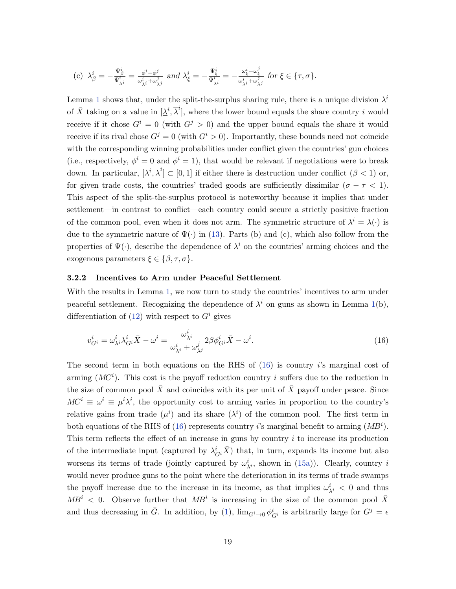$$
\text{(c)}\ \ \lambda_{\beta}^i=-\tfrac{\Psi_{\beta}^i}{\Psi_{\lambda^i}^i}=\tfrac{\phi^i-\phi^j}{\omega_{\lambda^i}^i+\omega_{\lambda^j}^j}\ \ \text{and}\ \ \lambda_{\xi}^i=-\tfrac{\Psi_{\xi}^i}{\Psi_{\lambda^i}^i}=-\tfrac{\omega_{\xi}^i-\omega_{\xi}^j}{\omega_{\lambda^i}^i+\omega_{\lambda^j}^j}\ \ \text{for}\ \xi\in\{\tau,\sigma\}.
$$

Lemma [1](#page-18-0) shows that, under the split-the-surplus sharing rule, there is a unique division  $\lambda^{i}$ of  $\bar{X}$  taking on a value in  $[\underline{\lambda}^i, \overline{\lambda}^i]$ , where the lower bound equals the share country i would receive if it chose  $G^i = 0$  (with  $G^j > 0$ ) and the upper bound equals the share it would receive if its rival chose  $G^{j} = 0$  (with  $G^{i} > 0$ ). Importantly, these bounds need not coincide with the corresponding winning probabilities under conflict given the countries' gun choices (i.e., respectively,  $\phi^i = 0$  and  $\phi^i = 1$ ), that would be relevant if negotiations were to break down. In particular,  $[\underline{\lambda}^i, \overline{\lambda}^i] \subset [0, 1]$  if either there is destruction under conflict  $(\beta < 1)$  or, for given trade costs, the countries' traded goods are sufficiently dissimilar ( $\sigma - \tau < 1$ ). This aspect of the split-the-surplus protocol is noteworthy because it implies that under settlement—in contrast to conflict—each country could secure a strictly positive fraction of the common pool, even when it does not arm. The symmetric structure of  $\lambda^{i} = \lambda(\cdot)$  is due to the symmetric nature of  $\Psi(\cdot)$  in [\(13\)](#page-17-2). Parts (b) and (c), which also follow from the properties of  $\Psi(\cdot)$ , describe the dependence of  $\lambda^i$  on the countries' arming choices and the exogenous parameters  $\xi \in {\beta, \tau, \sigma}$ .

## 3.2.2 Incentives to Arm under Peaceful Settlement

With the results in Lemma [1,](#page-18-0) we now turn to study the countries' incentives to arm under peaceful settlement. Recognizing the dependence of  $\lambda^i$  on guns as shown in Lemma [1\(](#page-18-0)b), differentiation of  $(12)$  with respect to  $G<sup>i</sup>$  gives

<span id="page-19-0"></span>
$$
v_{G^i}^i = \omega_{\lambda^i}^i \lambda_{G^i}^i \bar{X} - \omega^i = \frac{\omega_{\lambda^i}^i}{\omega_{\lambda^i}^i + \omega_{\lambda^j}^j} 2\beta \phi_{G^i}^i \bar{X} - \omega^i.
$$
\n(16)

The second term in both equations on the RHS of  $(16)$  is country i's marginal cost of arming  $(MC<sup>i</sup>)$ . This cost is the payoff reduction country i suffers due to the reduction in the size of common pool  $\bar{X}$  and coincides with its per unit of  $\bar{X}$  payoff under peace. Since  $MC^{i} \equiv \omega^{i} \equiv \mu^{i} \lambda^{i}$ , the opportunity cost to arming varies in proportion to the country's relative gains from trade  $(\mu^i)$  and its share  $(\lambda^i)$  of the common pool. The first term in both equations of the RHS of [\(16\)](#page-19-0) represents country *i*'s marginal benefit to arming  $(MB<sup>i</sup>)$ . This term reflects the effect of an increase in guns by country i to increase its production of the intermediate input (captured by  $\lambda_{G^i}^i \bar{X}$ ) that, in turn, expands its income but also worsens its terms of trade (jointly captured by  $\omega_{\lambda^i}^i$ , shown in [\(15a\)](#page-18-2)). Clearly, country i would never produce guns to the point where the deterioration in its terms of trade swamps the payoff increase due to the increase in its income, as that implies  $\omega_{\lambda^i}^i < 0$  and thus  $MB<sup>i</sup> < 0$ . Observe further that  $MB<sup>i</sup>$  is increasing in the size of the common pool  $\bar{X}$ and thus decreasing in  $\bar{G}$ . In addition, by [\(1\)](#page-6-2),  $\lim_{G^i\to 0}\phi_{G^i}^i$  is arbitrarily large for  $G^j = \epsilon$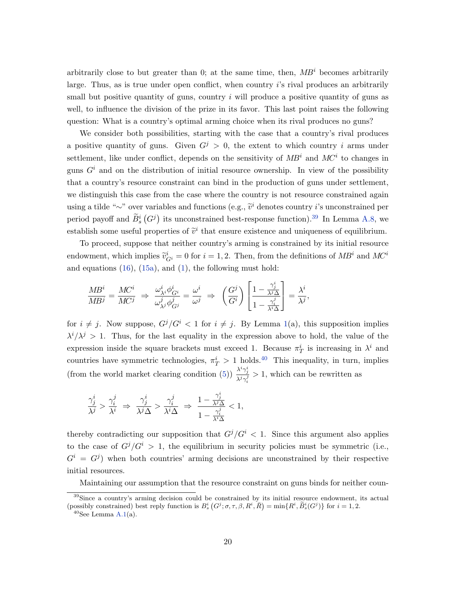arbitrarily close to but greater than 0; at the same time, then,  $MB<sup>i</sup>$  becomes arbitrarily large. Thus, as is true under open conflict, when country i's rival produces an arbitrarily small but positive quantity of guns, country  $i$  will produce a positive quantity of guns as well, to influence the division of the prize in its favor. This last point raises the following question: What is a country's optimal arming choice when its rival produces no guns?

We consider both possibilities, starting with the case that a country's rival produces a positive quantity of guns. Given  $G^j > 0$ , the extent to which country i arms under settlement, like under conflict, depends on the sensitivity of  $MB<sup>i</sup>$  and  $MC<sup>i</sup>$  to changes in guns  $G<sup>i</sup>$  and on the distribution of initial resource ownership. In view of the possibility that a country's resource constraint can bind in the production of guns under settlement, we distinguish this case from the case where the country is not resource constrained again using a tilde "∼" over variables and functions (e.g.,  $\tilde{v}^i$  denotes country *i*'s unconstrained per period payoff and  $\widetilde{B}_s^i(G^j)$  its unconstrained best-response function).<sup>[39](#page-20-0)</sup> In Lemma [A.8,](#page-54-0) we establish some useful properties of  $\tilde{v}^i$  that ensure existence and uniqueness of equilibrium.

To proceed, suppose that neither country's arming is constrained by its initial resource endowment, which implies  $\tilde{v}_{G_i}^i = 0$  for  $i = 1, 2$ . Then, from the definitions of  $MB^i$  and  $MC^i$ and equations  $(16)$ ,  $(15a)$ , and  $(1)$ , the following must hold:

$$
\frac{MB^i}{MB^j} = \frac{MC^i}{MC^j} \Rightarrow \frac{\omega^i_{\lambda^i} \phi^i_{G^i}}{\omega^j_{\lambda^j} \phi^j_{G^j}} = \frac{\omega^i}{\omega^j} \Rightarrow \left(\frac{G^j}{G^i}\right) \left[\frac{1 - \frac{\gamma^i_j}{\lambda^j \Delta}}{1 - \frac{\gamma^j_i}{\lambda^i \Delta}}\right] = \frac{\lambda^i}{\lambda^j},
$$

for  $i \neq j$ . Now suppose,  $G^{j}/G^{i} < 1$  for  $i \neq j$ . By Lemma [1\(](#page-18-0)a), this supposition implies  $\lambda^{i}/\lambda^{j} > 1$ . Thus, for the last equality in the expression above to hold, the value of the expression inside the square brackets must exceed 1. Because  $\pi_T^i$  is increasing in  $\lambda^i$  and countries have symmetric technologies,  $\pi_T^i > 1$  holds.<sup>[40](#page-20-1)</sup> This inequality, in turn, implies (from the world market clearing condition [\(5\)](#page-9-1))  $\frac{\lambda^i \gamma_j^i}{\lambda^i j}$  $\frac{\lambda}{\lambda^j \gamma_i^j} > 1$ , which can be rewritten as

$$
\frac{\gamma^i_j}{\lambda^j}>\frac{\gamma^j_i}{\lambda^i}~\Rightarrow~\frac{\gamma^i_j}{\lambda^j\Delta}>\frac{\gamma^j_i}{\lambda^i\Delta}~\Rightarrow~\frac{1-\frac{\gamma^i_j}{\lambda^j\Delta}}{1-\frac{\gamma^j_i}{\lambda^i\Delta}}<1,
$$

thereby contradicting our supposition that  $G^{j}/G^{i} < 1$ . Since this argument also applies to the case of  $G^{j}/G^{i} > 1$ , the equilibrium in security policies must be symmetric (i.e.,  $G^i = G^j$  when both countries' arming decisions are unconstrained by their respective initial resources.

Maintaining our assumption that the resource constraint on guns binds for neither coun-

<span id="page-20-0"></span><sup>&</sup>lt;sup>39</sup>Since a country's arming decision could be constrained by its initial resource endowment, its actual (possibly constrained) best reply function is  $B_s^i(G^j; \sigma, \tau, \beta, R^i, \overline{R}) = \min\{R^i, \widetilde{B}_s^i(G^j)\}\)$  for  $i = 1, 2$ .

<span id="page-20-1"></span> $40$ See Lemma [A.1\(](#page-43-0)a).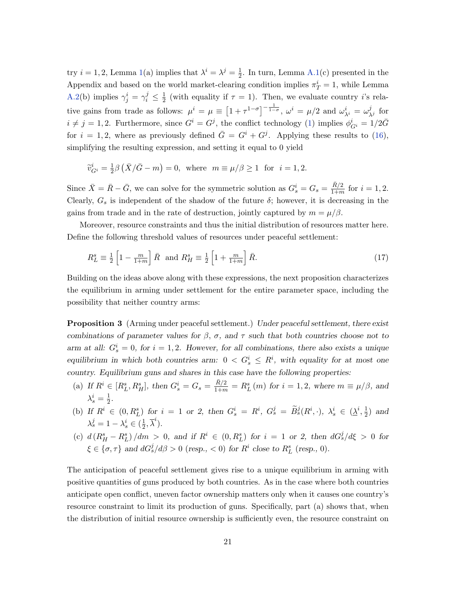try  $i = 1, 2$ , Lemma [1\(](#page-18-0)a) implies that  $\lambda^{i} = \lambda^{j} = \frac{1}{2}$  $\frac{1}{2}$ . In turn, Lemma [A.1\(](#page-43-0)c) presented in the Appendix and based on the world market-clearing condition implies  $\pi_T^i = 1$ , while Lemma [A.2\(](#page-45-0)b) implies  $\gamma_j^i = \gamma_i^j \leq \frac{1}{2}$  $\frac{1}{2}$  (with equality if  $\tau = 1$ ). Then, we evaluate country *i*'s relative gains from trade as follows:  $\mu^{i} = \mu \equiv \left[1 + \tau^{1-\sigma}\right]^{-\frac{1}{1-\sigma}}, \omega^{i} = \mu/2$  and  $\omega^{i}_{\lambda^{i}} = \omega^{j}_{\lambda^{i}}$  $\frac{\jmath}{\lambda^j}$  for  $i \neq j = 1, 2$ . Furthermore, since  $G^i = G^j$ , the conflict technology [\(1\)](#page-6-2) implies  $\phi_{G^i}^i = 1/2\overline{G}$ for  $i = 1, 2$ , where as previously defined  $\overline{G} = G^{i} + G^{j}$ . Applying these results to [\(16\)](#page-19-0), simplifying the resulting expression, and setting it equal to 0 yield

$$
\widetilde{v}_{G^i}^i = \frac{1}{2}\beta \left( \overline{X}/\overline{G} - m \right) = 0, \text{ where } m \equiv \mu/\beta \ge 1 \text{ for } i = 1, 2.
$$

Since  $\bar{X} = \bar{R} - \bar{G}$ , we can solve for the symmetric solution as  $G_s^i = G_s = \frac{\bar{R}/2}{1+m}$  $\frac{R/2}{1+m}$  for  $i = 1, 2$ . Clearly,  $G_s$  is independent of the shadow of the future  $\delta$ ; however, it is decreasing in the gains from trade and in the rate of destruction, jointly captured by  $m = \mu/\beta$ .

Moreover, resource constraints and thus the initial distribution of resources matter here. Define the following threshold values of resources under peaceful settlement:

<span id="page-21-1"></span>
$$
R_L^s \equiv \frac{1}{2} \left[ 1 - \frac{m}{1+m} \right] \bar{R} \text{ and } R_H^s \equiv \frac{1}{2} \left[ 1 + \frac{m}{1+m} \right] \bar{R}.
$$
 (17)

Building on the ideas above along with these expressions, the next proposition characterizes the equilibrium in arming under settlement for the entire parameter space, including the possibility that neither country arms:

<span id="page-21-0"></span>**Proposition 3** (Arming under peaceful settlement.) Under peaceful settlement, there exist combinations of parameter values for  $\beta$ ,  $\sigma$ , and  $\tau$  such that both countries choose not to arm at all:  $G_s^i = 0$ , for  $i = 1, 2$ . However, for all combinations, there also exists a unique equilibrium in which both countries arm:  $0 < G_s^i \leq R^i$ , with equality for at most one country. Equilibrium guns and shares in this case have the following properties:

- (a) If  $R^i \in [R_L^s, R_H^s]$ , then  $G_s^i = G_s = \frac{\bar{R}/2}{1+m} = R_L^s(m)$  for  $i = 1, 2$ , where  $m \equiv \mu/\beta$ , and  $\lambda_s^i=\frac{1}{2}$  $\frac{1}{2}$ .
- (b) If  $R^i \in (0, R_L^s)$  for  $i = 1$  or 2, then  $G_s^i = R^i$ ,  $G_s^j = \tilde{B}_s^j(R^i, \cdot)$ ,  $\lambda_s^i \in (\underline{\lambda}^i, \frac{1}{2})$  $(\frac{1}{2})$  and  $\lambda_s^j = 1 - \lambda_s^i \in (\frac{1}{2})$  $\frac{1}{2}, \overline{\lambda}^i$ ).
- (c)  $d(R_H^s R_L^s)/dm > 0$ , and if  $R^i \in (0, R_L^s)$  for  $i = 1$  or 2, then  $dG_s^j/d\xi > 0$  for  $\xi \in {\{\sigma, \tau\}}$  and  $dG_s^j/d\beta > 0$  (resp., < 0) for  $R^i$  close to  $R^s_L$  (resp., 0).

The anticipation of peaceful settlement gives rise to a unique equilibrium in arming with positive quantities of guns produced by both countries. As in the case where both countries anticipate open conflict, uneven factor ownership matters only when it causes one country's resource constraint to limit its production of guns. Specifically, part (a) shows that, when the distribution of initial resource ownership is sufficiently even, the resource constraint on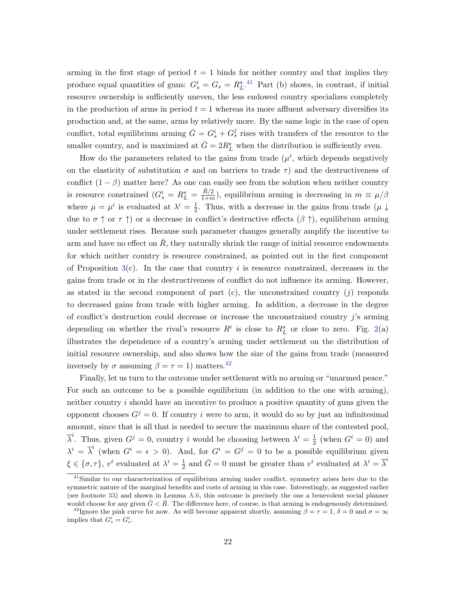arming in the first stage of period  $t = 1$  binds for neither country and that implies they produce equal quantities of guns:  $G_s^i = G_s = R_L^s$ .<sup>[41](#page-22-0)</sup> Part (b) shows, in contrast, if initial resource ownership is sufficiently uneven, the less endowed country specializes completely in the production of arms in period  $t = 1$  whereas its more affluent adversary diversifies its production and, at the same, arms by relatively more. By the same logic in the case of open conflict, total equilibrium arming  $\bar{G} = G_s^i + G_s^j$  rises with transfers of the resource to the smaller country, and is maximized at  $\bar{G} = 2R_L^s$  when the distribution is sufficiently even.

How do the parameters related to the gains from trade  $(\mu^i,$  which depends negatively on the elasticity of substitution  $\sigma$  and on barriers to trade  $\tau$ ) and the destructiveness of conflict  $(1 - \beta)$  matter here? As one can easily see from the solution when neither country is resource constrained  $(G_s^i = R_L^s = \frac{\bar{R}/2}{1+m})$  $\frac{R/2}{1+m}$ , equilibrium arming is decreasing in  $m \equiv \mu/\beta$ where  $\mu = \mu^i$  is evaluated at  $\lambda^i = \frac{1}{2}$  $\frac{1}{2}$ . Thus, with a decrease in the gains from trade ( $\mu \downarrow$ due to  $\sigma \uparrow$  or  $\tau \uparrow$ ) or a decrease in conflict's destructive effects  $(\beta \uparrow)$ , equilibrium arming under settlement rises. Because such parameter changes generally amplify the incentive to arm and have no effect on  $R$ , they naturally shrink the range of initial resource endowments for which neither country is resource constrained, as pointed out in the first component of Proposition  $3(c)$  $3(c)$ . In the case that country i is resource constrained, decreases in the gains from trade or in the destructiveness of conflict do not influence its arming. However, as stated in the second component of part  $(c)$ , the unconstrained country  $(j)$  responds to decreased gains from trade with higher arming. In addition, a decrease in the degree of conflict's destruction could decrease or increase the unconstrained country j's arming depending on whether the rival's resource  $R^i$  is close to  $R^s_L$  or close to zero. Fig. [2\(](#page-38-0)a) illustrates the dependence of a country's arming under settlement on the distribution of initial resource ownership, and also shows how the size of the gains from trade (measured inversely by  $\sigma$  assuming  $\beta = \tau = 1$ ) matters.<sup>[42](#page-22-1)</sup>

Finally, let us turn to the outcome under settlement with no arming or "unarmed peace." For such an outcome to be a possible equilibrium (in addition to the one with arming), neither country  $i$  should have an incentive to produce a positive quantity of guns given the opponent chooses  $G^{j} = 0$ . If country i were to arm, it would do so by just an infinitesimal amount, since that is all that is needed to secure the maximum share of the contested pool,  $\overline{\lambda}^i$ . Thus, given  $G^j = 0$ , country i would be choosing between  $\lambda^i = \frac{1}{2}$  $\frac{1}{2}$  (when  $G^i = 0$ ) and  $\lambda^{i} = \overline{\lambda}^{i}$  (when  $G^{i} = \epsilon > 0$ ). And, for  $G^{i} = G^{j} = 0$  to be a possible equilibrium given  $\xi \in {\sigma, \tau}$ ,  $v^i$  evaluated at  $\lambda^i = \frac{1}{2}$  $\frac{1}{2}$  and  $\bar{G} = 0$  must be greater than  $v^i$  evaluated at  $\lambda^i = \bar{\lambda}^i$ 

<span id="page-22-0"></span><sup>&</sup>lt;sup>41</sup>Similar to our characterization of equilibrium arming under conflict, symmetry arises here due to the symmetric nature of the marginal benefits and costs of arming in this case. Interestingly, as suggested earlier (see footnote [33\)](#page-17-1) and shown in Lemma [A.6,](#page-50-1) this outcome is precisely the one a benevolent social planner would choose for any given  $\bar{G} < \bar{R}$ . The difference here, of course, is that arming is endogenously determined.

<span id="page-22-1"></span><sup>&</sup>lt;sup>42</sup>Ignore the pink curve for now. As will become apparent shortly, assuming  $\beta = \tau = 1, \delta = 0$  and  $\sigma = \infty$ implies that  $G_s^i = G_c^i$ .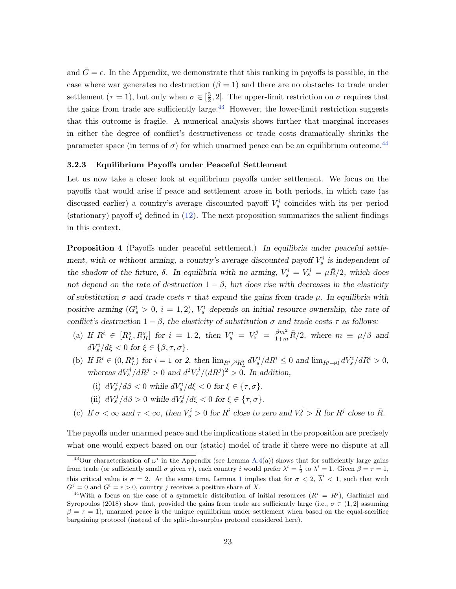and  $\bar{G} = \epsilon$ . In the Appendix, we demonstrate that this ranking in payoffs is possible, in the case where war generates no destruction  $(\beta = 1)$  and there are no obstacles to trade under settlement  $(\tau = 1)$ , but only when  $\sigma \in \left[\frac{3}{2}\right]$  $\frac{3}{2}$ , 2. The upper-limit restriction on  $\sigma$  requires that the gains from trade are sufficiently large.<sup> $43$ </sup> However, the lower-limit restriction suggests that this outcome is fragile. A numerical analysis shows further that marginal increases in either the degree of conflict's destructiveness or trade costs dramatically shrinks the parameter space (in terms of  $\sigma$ ) for which unarmed peace can be an equilibrium outcome.<sup>[44](#page-23-1)</sup>

## 3.2.3 Equilibrium Payoffs under Peaceful Settlement

Let us now take a closer look at equilibrium payoffs under settlement. We focus on the payoffs that would arise if peace and settlement arose in both periods, in which case (as discussed earlier) a country's average discounted payoff  $V_s^i$  coincides with its per period (stationary) payoff  $v_s^i$  defined in [\(12\)](#page-16-4). The next proposition summarizes the salient findings in this context.

<span id="page-23-2"></span>Proposition 4 (Payoffs under peaceful settlement.) In equilibria under peaceful settlement, with or without arming, a country's average discounted payoff  $V_s^i$  is independent of the shadow of the future,  $\delta$ . In equilibria with no arming,  $V_s^i = V_s^j = \mu \bar{R}/2$ , which does not depend on the rate of destruction  $1 - \beta$ , but does rise with decreases in the elasticity of substitution  $\sigma$  and trade costs  $\tau$  that expand the gains from trade  $\mu$ . In equilibria with positive arming  $(G_s^i > 0, i = 1, 2), V_s^i$  depends on initial resource ownership, the rate of conflict's destruction  $1 - \beta$ , the elasticity of substitution  $\sigma$  and trade costs  $\tau$  as follows:

- (a) If  $R^i \in [R_L^s, R_H^s]$  for  $i = 1, 2$ , then  $V_s^i = V_s^j = \frac{\beta m^2}{1+m} \bar{R}/2$ , where  $m \equiv \mu/\beta$  and  $dV_s^i/d\xi < 0$  for  $\xi \in {\beta, \tau, \sigma}.$
- (b) If  $R^i \in (0, R_L^s)$  for  $i = 1$  or 2, then  $\lim_{R^i \nearrow R_L^s} dV_s^i / dR^i \leq 0$  and  $\lim_{R^i \to 0} dV_s^i / dR^i > 0$ , whereas  $dV_s^j/dR^j > 0$  and  $d^2V_s^j/(dR^j)^2 > 0$ . In addition,
	- (i)  $dV_s^i/d\beta < 0$  while  $dV_s^i/d\xi < 0$  for  $\xi \in {\tau, \sigma}$ .
	- (ii)  $dV_s^j/d\beta > 0$  while  $dV_s^j/d\xi < 0$  for  $\xi \in {\tau, \sigma}$ .
- (c) If  $\sigma < \infty$  and  $\tau < \infty$ , then  $V_s^i > 0$  for  $R^i$  close to zero and  $V_s^j > \bar{R}$  for  $R^j$  close to  $\bar{R}$ .

The payoffs under unarmed peace and the implications stated in the proposition are precisely what one would expect based on our (static) model of trade if there were no dispute at all

<span id="page-23-0"></span><sup>&</sup>lt;sup>43</sup>Our characterization of  $\omega^i$  in the Appendix (see Lemma [A.4\(](#page-47-0)a)) shows that for sufficiently large gains from trade (or sufficiently small  $\sigma$  given  $\tau$ ), each country i would prefer  $\lambda^i = \frac{1}{2}$  to  $\lambda^i = 1$ . Given  $\beta = \tau = 1$ , this critical value is  $\sigma = 2$ . At the same time, Lemma [1](#page-18-0) implies that for  $\sigma < 2$ ,  $\overline{\lambda}^i < 1$ , such that with  $G^j = 0$  and  $G^i = \epsilon > 0$ , country j receives a positive share of  $\overline{X}$ .

<span id="page-23-1"></span><sup>&</sup>lt;sup>44</sup>With a focus on the case of a symmetric distribution of initial resources  $(R^{i} = R^{j})$ , Garfinkel and Syropoulos (2018) show that, provided the gains from trade are sufficiently large (i.e.,  $\sigma \in (1,2]$  assuming  $\beta = \tau = 1$ , unarmed peace is the unique equilibrium under settlement when based on the equal-sacrifice bargaining protocol (instead of the split-the-surplus protocol considered here).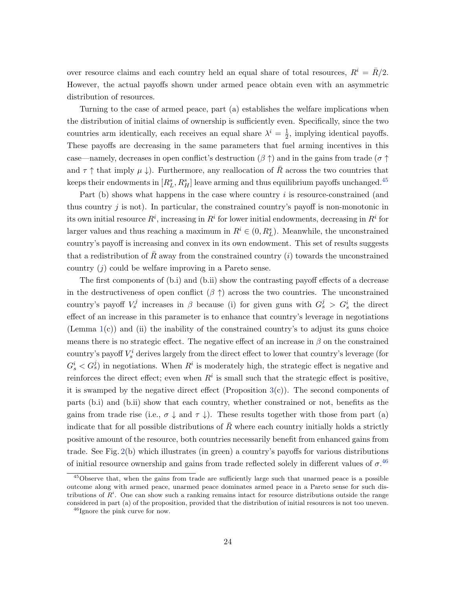over resource claims and each country held an equal share of total resources,  $R^i = \bar{R}/2$ . However, the actual payoffs shown under armed peace obtain even with an asymmetric distribution of resources.

Turning to the case of armed peace, part (a) establishes the welfare implications when the distribution of initial claims of ownership is sufficiently even. Specifically, since the two countries arm identically, each receives an equal share  $\lambda^{i} = \frac{1}{2}$  $\frac{1}{2}$ , implying identical payoffs. These payoffs are decreasing in the same parameters that fuel arming incentives in this case—namely, decreases in open conflict's destruction  $(\beta \uparrow)$  and in the gains from trade ( $\sigma \uparrow$ and  $\tau \uparrow$  that imply  $\mu \downarrow$ ). Furthermore, any reallocation of R across the two countries that keeps their endowments in  $[R_L^s, R_H^s]$  leave arming and thus equilibrium payoffs unchanged.<sup>[45](#page-24-0)</sup>

Part (b) shows what happens in the case where country i is resource-constrained (and thus country  $j$  is not). In particular, the constrained country's payoff is non-monotonic in its own initial resource  $R^i$ , increasing in  $R^i$  for lower initial endowments, decreasing in  $R^i$  for larger values and thus reaching a maximum in  $R^i \in (0, R_L^s)$ . Meanwhile, the unconstrained country's payoff is increasing and convex in its own endowment. This set of results suggests that a redistribution of R away from the constrained country  $(i)$  towards the unconstrained country  $(j)$  could be welfare improving in a Pareto sense.

The first components of (b.i) and (b.ii) show the contrasting payoff effects of a decrease in the destructiveness of open conflict  $(\beta \uparrow)$  across the two countries. The unconstrained country's payoff  $V_s^j$  increases in  $\beta$  because (i) for given guns with  $G_s^j > G_s^i$  the direct effect of an increase in this parameter is to enhance that country's leverage in negotiations (Lemma [1\(](#page-18-0)c)) and (ii) the inability of the constrained country's to adjust its guns choice means there is no strategic effect. The negative effect of an increase in  $\beta$  on the constrained country's payoff  $V_s^i$  derives largely from the direct effect to lower that country's leverage (for  $G_s^i < G_s^j$ ) in negotiations. When  $R^i$  is moderately high, the strategic effect is negative and reinforces the direct effect; even when  $R<sup>i</sup>$  is small such that the strategic effect is positive, it is swamped by the negative direct effect (Proposition  $3(c)$  $3(c)$ ). The second components of parts (b.i) and (b.ii) show that each country, whether constrained or not, benefits as the gains from trade rise (i.e.,  $\sigma \downarrow$  and  $\tau \downarrow$ ). These results together with those from part (a) indicate that for all possible distributions of  $\overline{R}$  where each country initially holds a strictly positive amount of the resource, both countries necessarily benefit from enhanced gains from trade. See Fig. [2\(](#page-38-0)b) which illustrates (in green) a country's payoffs for various distributions of initial resource ownership and gains from trade reflected solely in different values of  $\sigma$ .<sup>[46](#page-24-1)</sup>

<span id="page-24-0"></span><sup>&</sup>lt;sup>45</sup>Observe that, when the gains from trade are sufficiently large such that unarmed peace is a possible outcome along with armed peace, unarmed peace dominates armed peace in a Pareto sense for such distributions of  $R<sup>i</sup>$ . One can show such a ranking remains intact for resource distributions outside the range considered in part (a) of the proposition, provided that the distribution of initial resources is not too uneven.

<span id="page-24-1"></span><sup>&</sup>lt;sup>46</sup>Ignore the pink curve for now.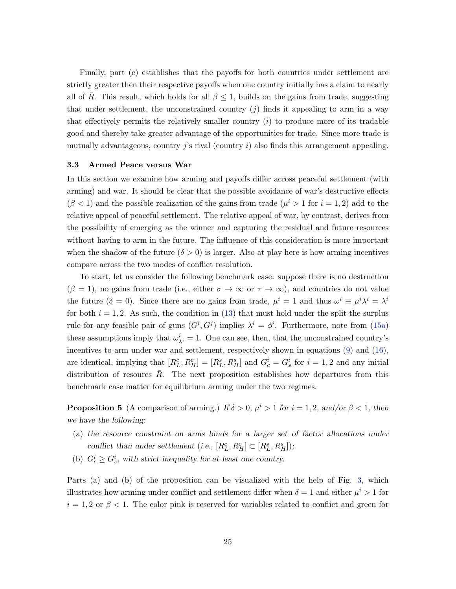Finally, part (c) establishes that the payoffs for both countries under settlement are strictly greater then their respective payoffs when one country initially has a claim to nearly all of R. This result, which holds for all  $\beta \leq 1$ , builds on the gains from trade, suggesting that under settlement, the unconstrained country  $(i)$  finds it appealing to arm in a way that effectively permits the relatively smaller country  $(i)$  to produce more of its tradable good and thereby take greater advantage of the opportunities for trade. Since more trade is mutually advantageous, country j's rival (country i) also finds this arrangement appealing.

#### 3.3 Armed Peace versus War

In this section we examine how arming and payoffs differ across peaceful settlement (with arming) and war. It should be clear that the possible avoidance of war's destructive effects  $(\beta < 1)$  and the possible realization of the gains from trade  $(\mu^{i} > 1$  for  $i = 1, 2)$  add to the relative appeal of peaceful settlement. The relative appeal of war, by contrast, derives from the possibility of emerging as the winner and capturing the residual and future resources without having to arm in the future. The influence of this consideration is more important when the shadow of the future  $(\delta > 0)$  is larger. Also at play here is how arming incentives compare across the two modes of conflict resolution.

To start, let us consider the following benchmark case: suppose there is no destruction  $(\beta = 1)$ , no gains from trade (i.e., either  $\sigma \to \infty$  or  $\tau \to \infty$ ), and countries do not value the future  $(\delta = 0)$ . Since there are no gains from trade,  $\mu^{i} = 1$  and thus  $\omega^{i} \equiv \mu^{i} \lambda^{i} = \lambda^{i}$ for both  $i = 1, 2$ . As such, the condition in [\(13\)](#page-17-2) that must hold under the split-the-surplus rule for any feasible pair of guns  $(G^i, G^j)$  implies  $\lambda^i = \phi^i$ . Furthermore, note from [\(15a\)](#page-18-2) these assumptions imply that  $\omega_{\lambda^i}^i = 1$ . One can see, then, that the unconstrained country's incentives to arm under war and settlement, respectively shown in equations [\(9\)](#page-11-3) and [\(16\)](#page-19-0), are identical, implying that  $[R_L^c, R_H^c] = [R_L^s, R_H^s]$  and  $G_c^i = G_s^i$  for  $i = 1, 2$  and any initial distribution of resources  $R$ . The next proposition establishes how departures from this benchmark case matter for equilibrium arming under the two regimes.

<span id="page-25-0"></span>**Proposition 5** (A comparison of arming.) If  $\delta > 0$ ,  $\mu^i > 1$  for  $i = 1, 2$ , and/or  $\beta < 1$ , then we have the following:

- (a) the resource constraint on arms binds for a larger set of factor allocations under conflict than under settlement (i.e.,  $[R_L^c, R_H^c] \subset [R_L^s, R_H^s]$ );
- (b)  $G_c^i \geq G_s^i$ , with strict inequality for at least one country.

Parts (a) and (b) of the proposition can be visualized with the help of Fig. [3,](#page-39-0) which illustrates how arming under conflict and settlement differ when  $\delta = 1$  and either  $\mu^{i} > 1$  for  $i = 1, 2$  or  $\beta < 1$ . The color pink is reserved for variables related to conflict and green for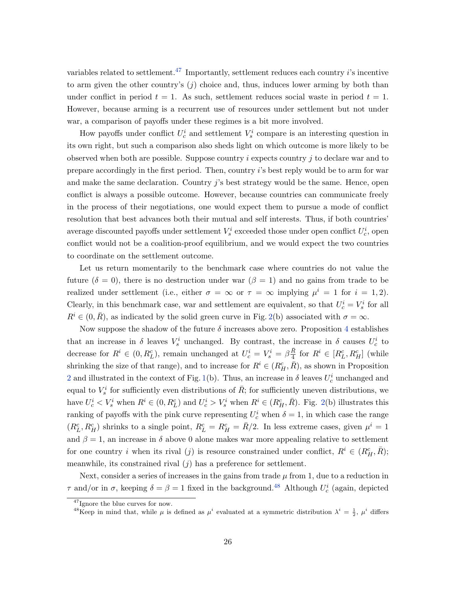variables related to settlement.<sup>[47](#page-26-0)</sup> Importantly, settlement reduces each country i's incentive to arm given the other country's  $(j)$  choice and, thus, induces lower arming by both than under conflict in period  $t = 1$ . As such, settlement reduces social waste in period  $t = 1$ . However, because arming is a recurrent use of resources under settlement but not under war, a comparison of payoffs under these regimes is a bit more involved.

How payoffs under conflict  $U_c^i$  and settlement  $V_s^i$  compare is an interesting question in its own right, but such a comparison also sheds light on which outcome is more likely to be observed when both are possible. Suppose country  $i$  expects country  $j$  to declare war and to prepare accordingly in the first period. Then, country i's best reply would be to arm for war and make the same declaration. Country  $j$ 's best strategy would be the same. Hence, open conflict is always a possible outcome. However, because countries can communicate freely in the process of their negotiations, one would expect them to pursue a mode of conflict resolution that best advances both their mutual and self interests. Thus, if both countries' average discounted payoffs under settlement  $V_s^i$  exceeded those under open conflict  $U_c^i$ , open conflict would not be a coalition-proof equilibrium, and we would expect the two countries to coordinate on the settlement outcome.

Let us return momentarily to the benchmark case where countries do not value the future ( $\delta = 0$ ), there is no destruction under war ( $\beta = 1$ ) and no gains from trade to be realized under settlement (i.e., either  $\sigma = \infty$  or  $\tau = \infty$  implying  $\mu^{i} = 1$  for  $i = 1, 2$ ). Clearly, in this benchmark case, war and settlement are equivalent, so that  $U_c^i = V_s^i$  for all  $R^i \in (0, \bar{R})$ , as indicated by the solid green curve in Fig. [2\(](#page-38-0)b) associated with  $\sigma = \infty$ .

Now suppose the shadow of the future  $\delta$  increases above zero. Proposition [4](#page-23-2) establishes that an increase in  $\delta$  leaves  $V_s^i$  unchanged. By contrast, the increase in  $\delta$  causes  $U_c^i$  to decrease for  $R^i \in (0, R_L^c)$ , remain unchanged at  $U_c^i = V_s^i = \beta \frac{\bar{R}}{4}$  $\frac{R}{4}$  for  $R^i \in [R_L^c, R_H^c]$  (while shrinking the size of that range), and to increase for  $R^i \in (R_H^c, \bar{R})$ , as shown in Proposition [2](#page-14-0) and illustrated in the context of Fig. [1\(](#page-37-0)b). Thus, an increase in  $\delta$  leaves  $U_c^i$  unchanged and equal to  $V_s^i$  for sufficiently even distributions of  $\bar{R}$ ; for sufficiently uneven distributions, we have  $U_c^i < V_s^i$  when  $R^i \in (0, R_L^c)$  and  $U_c^i > V_s^i$  when  $R^i \in (R_H^c, \bar{R})$ . Fig. [2\(](#page-38-0)b) illustrates this ranking of payoffs with the pink curve representing  $U_c^i$  when  $\delta = 1$ , in which case the range  $(R_L^c, R_H^c)$  shrinks to a single point,  $R_L^c = R_H^c = \bar{R}/2$ . In less extreme cases, given  $\mu^i = 1$ and  $\beta = 1$ , an increase in  $\delta$  above 0 alone makes war more appealing relative to settlement for one country i when its rival (j) is resource constrained under conflict,  $R^i \in (R_H^c, \overline{R})$ ; meanwhile, its constrained rival  $(j)$  has a preference for settlement.

Next, consider a series of increases in the gains from trade  $\mu$  from 1, due to a reduction in  $\tau$  and/or in  $\sigma$ , keeping  $\delta = \beta = 1$  fixed in the background.<sup>[48](#page-26-1)</sup> Although  $U_c^i$  (again, depicted

<span id="page-26-0"></span><sup>47</sup>Ignore the blue curves for now.

<span id="page-26-1"></span><sup>&</sup>lt;sup>48</sup>Keep in mind that, while  $\mu$  is defined as  $\mu^i$  evaluated at a symmetric distribution  $\lambda^i = \frac{1}{2}$ ,  $\mu^i$  differs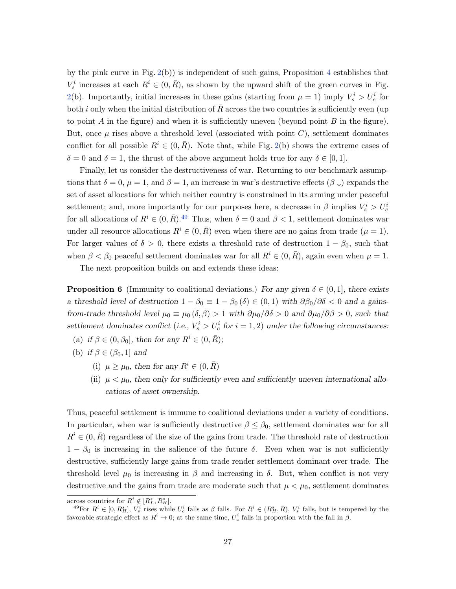by the pink curve in Fig. [2\(](#page-38-0)b)) is independent of such gains, Proposition [4](#page-23-2) establishes that  $V_s^i$  increases at each  $R^i \in (0, \bar{R})$ , as shown by the upward shift of the green curves in Fig. [2\(](#page-38-0)b). Importantly, initial increases in these gains (starting from  $\mu = 1$ ) imply  $V_s^i > U_c^i$  for both i only when the initial distribution of  $R$  across the two countries is sufficiently even (up to point A in the figure) and when it is sufficiently uneven (beyond point  $B$  in the figure). But, once  $\mu$  rises above a threshold level (associated with point C), settlement dominates conflict for all possible  $R^i \in (0, \bar{R})$ . Note that, while Fig. [2\(](#page-38-0)b) shows the extreme cases of  $\delta = 0$  and  $\delta = 1$ , the thrust of the above argument holds true for any  $\delta \in [0, 1]$ .

Finally, let us consider the destructiveness of war. Returning to our benchmark assumptions that  $\delta = 0$ ,  $\mu = 1$ , and  $\beta = 1$ , an increase in war's destructive effects  $(\beta \downarrow)$  expands the set of asset allocations for which neither country is constrained in its arming under peaceful settlement; and, more importantly for our purposes here, a decrease in  $\beta$  implies  $V_s^i > U_c^i$ for all allocations of  $R^i \in (0, \bar{R})$ .<sup>[49](#page-27-0)</sup> Thus, when  $\delta = 0$  and  $\beta < 1$ , settlement dominates war under all resource allocations  $R^i \in (0, \bar{R})$  even when there are no gains from trade  $(\mu = 1)$ . For larger values of  $\delta > 0$ , there exists a threshold rate of destruction  $1 - \beta_0$ , such that when  $\beta < \beta_0$  peaceful settlement dominates war for all  $R^i \in (0, \bar{R})$ , again even when  $\mu = 1$ .

<span id="page-27-1"></span>The next proposition builds on and extends these ideas:

**Proposition 6** (Immunity to coalitional deviations.) For any given  $\delta \in (0,1]$ , there exists a threshold level of destruction  $1 - \beta_0 \equiv 1 - \beta_0 (\delta) \in (0,1)$  with  $\partial \beta_0 / \partial \delta < 0$  and a gainsfrom-trade threshold level  $\mu_0 \equiv \mu_0 (\delta, \beta) > 1$  with  $\partial \mu_0 / \partial \delta > 0$  and  $\partial \mu_0 / \partial \beta > 0$ , such that settlement dominates conflict (i.e.,  $V_s^i > U_c^i$  for  $i = 1, 2$ ) under the following circumstances:

- (a) if  $\beta \in (0, \beta_0]$ , then for any  $R^i \in (0, \bar{R})$ ;
- (b) if  $\beta \in (\beta_0, 1]$  and
	- (i)  $\mu \geq \mu_0$ , then for any  $R^i \in (0, \bar{R})$
	- (ii)  $\mu < \mu_0$ , then only for sufficiently even and sufficiently uneven international allocations of asset ownership.

Thus, peaceful settlement is immune to coalitional deviations under a variety of conditions. In particular, when war is sufficiently destructive  $\beta \leq \beta_0$ , settlement dominates war for all  $R^i \in (0, \bar{R})$  regardless of the size of the gains from trade. The threshold rate of destruction  $1 - \beta_0$  is increasing in the salience of the future  $\delta$ . Even when war is not sufficiently destructive, sufficiently large gains from trade render settlement dominant over trade. The threshold level  $\mu_0$  is increasing in  $\beta$  and increasing in  $\delta$ . But, when conflict is not very destructive and the gains from trade are moderate such that  $\mu < \mu_0$ , settlement dominates

across countries for  $R^i \notin [R^s_L, R^s_H]$ .

<span id="page-27-0"></span><sup>&</sup>lt;sup>49</sup>For  $R^i \in [0, R_H^s]$ ,  $V_s^i$  rises while  $U_c^i$  falls as  $\beta$  falls. For  $R^i \in (R_H^s, \bar{R})$ ,  $V_s^i$  falls, but is tempered by the favorable strategic effect as  $R^i \to 0$ ; at the same time,  $U_c^i$  falls in proportion with the fall in  $\beta$ .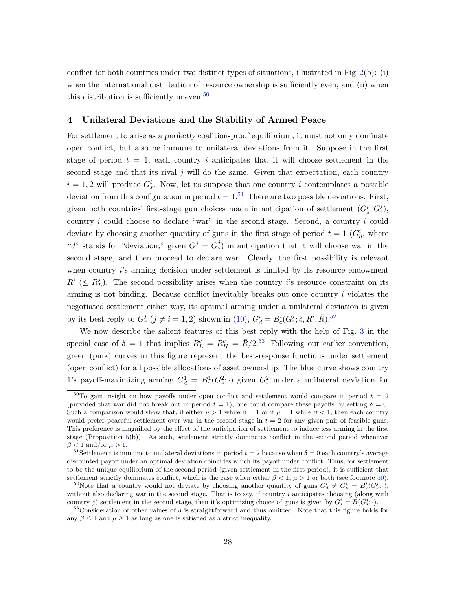conflict for both countries under two distinct types of situations, illustrated in Fig. [2\(](#page-38-0)b): (i) when the international distribution of resource ownership is sufficiently even; and (ii) when this distribution is sufficiently uneven.<sup>[50](#page-28-1)</sup>

#### <span id="page-28-0"></span>4 Unilateral Deviations and the Stability of Armed Peace

For settlement to arise as a perfectly coalition-proof equilibrium, it must not only dominate open conflict, but also be immune to unilateral deviations from it. Suppose in the first stage of period  $t = 1$ , each country i anticipates that it will choose settlement in the second stage and that its rival j will do the same. Given that expectation, each country  $i = 1, 2$  will produce  $G_s^i$ . Now, let us suppose that one country i contemplates a possible deviation from this configuration in period  $t = 1.51$  $t = 1.51$  There are two possible deviations. First, given both countries' first-stage gun choices made in anticipation of settlement  $(G_s^i, G_s^j)$ , country i could choose to declare "war" in the second stage. Second, a country i could deviate by choosing another quantity of guns in the first stage of period  $t = 1$  ( $G_d^i$ , where "d" stands for "deviation," given  $G^j = G_s^j$ ) in anticipation that it will choose war in the second stage, and then proceed to declare war. Clearly, the first possibility is relevant when country *i*'s arming decision under settlement is limited by its resource endowment  $R^i$  ( $\leq R^s_L$ ). The second possibility arises when the country *i*'s resource constraint on its arming is not binding. Because conflict inevitably breaks out once country i violates the negotiated settlement either way, its optimal arming under a unilateral deviation is given by its best reply to  $G_s^j$   $(j \neq i = 1, 2)$  shown in  $(10)$ ,  $G_d^i = B_c^i(G_s^j; \delta, R^i, \bar{R})$ .<sup>[52](#page-28-3)</sup>

We now describe the salient features of this best reply with the help of Fig. [3](#page-39-0) in the special case of  $\delta = 1$  that implies  $R_L^c = R_H^c = \bar{R}/2^{.53}$  $R_L^c = R_H^c = \bar{R}/2^{.53}$  $R_L^c = R_H^c = \bar{R}/2^{.53}$  Following our earlier convention, green (pink) curves in this figure represent the best-response functions under settlement (open conflict) for all possible allocations of asset ownership. The blue curve shows country 1's payoff-maximizing arming  $G_d^1 = B_c^1(G_s^2; \cdot)$  given  $G_s^2$  under a unilateral deviation for

<span id="page-28-1"></span> $50$ To gain insight on how payoffs under open conflict and settlement would compare in period  $t = 2$ (provided that war did not break out in period  $t = 1$ ), one could compare these payoffs by setting  $\delta = 0$ . Such a comparison would show that, if either  $\mu > 1$  while  $\beta = 1$  or if  $\mu = 1$  while  $\beta < 1$ , then each country would prefer peaceful settlement over war in the second stage in  $t = 2$  for any given pair of feasible guns. This preference is magnified by the effect of the anticipation of settlement to induce less arming in the first stage (Proposition [5\(](#page-25-0)b)). As such, settlement strictly dominates conflict in the second period whenever  $\beta$  < 1 and/or  $\mu$  > 1.

<span id="page-28-2"></span><sup>&</sup>lt;sup>51</sup>Settlement is immune to unilateral deviations in period  $t = 2$  because when  $\delta = 0$  each country's average discounted payoff under an optimal deviation coincides which its payoff under conflict. Thus, for settlement to be the unique equilibrium of the second period (given settlement in the first period), it is sufficient that settlement strictly dominates conflict, which is the case when either  $\beta < 1$ ,  $\mu > 1$  or both (see footnote [50\)](#page-28-1).

<span id="page-28-3"></span><sup>&</sup>lt;sup>52</sup>Note that a country would not deviate by choosing another quantity of guns  $G_d^i \neq G_s^i = B_s^i(G_s^j; \cdot)$ , without also declaring war in the second stage. That is to say, if country i anticipates choosing (along with country j) settlement in the second stage, then it's optimizing choice of guns is given by  $G_s^i = B(G_s^j; \cdot)$ .

<span id="page-28-4"></span><sup>&</sup>lt;sup>53</sup>Consideration of other values of  $\delta$  is straightforward and thus omitted. Note that this figure holds for any  $\beta \leq 1$  and  $\mu \geq 1$  as long as one is satisfied as a strict inequality.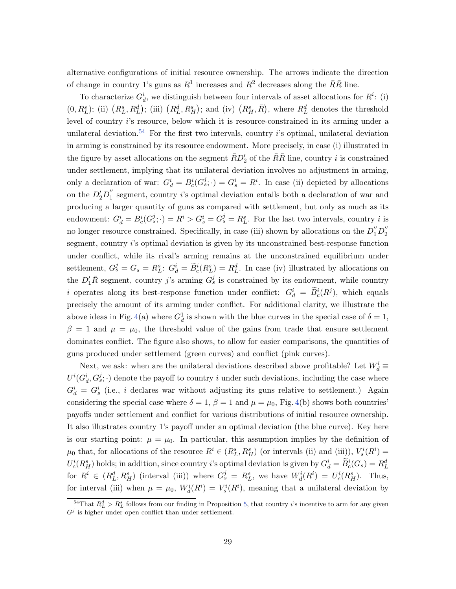alternative configurations of initial resource ownership. The arrows indicate the direction of change in country 1's guns as  $R^1$  increases and  $R^2$  decreases along the  $\bar{R}\bar{R}$  line.

To characterize  $G_d^i$ , we distinguish between four intervals of asset allocations for  $R^i$ : (i)  $(0, R_L^s)$ ; (ii)  $(R_L^s, R_L^d)$ ; (iii)  $(R_L^d, R_H^s)$ ; and (iv)  $(R_H^s, R)$ , where  $R_L^d$  denotes the threshold level of country i's resource, below which it is resource-constrained in its arming under a unilateral deviation.<sup>[54](#page-29-0)</sup> For the first two intervals, country  $i$ 's optimal, unilateral deviation in arming is constrained by its resource endowment. More precisely, in case (i) illustrated in the figure by asset allocations on the segment  $\bar{R}D_{2}'$  of the  $\bar{R}\bar{R}$  line, country *i* is constrained under settlement, implying that its unilateral deviation involves no adjustment in arming, only a declaration of war:  $G_d^i = B_c^i(G_s^j; \cdot) = G_s^i = R^i$ . In case (ii) depicted by allocations on the  $D_2'D_1''$  $i_1$  segment, country *i*'s optimal deviation entails both a declaration of war and producing a larger quantity of guns as compared with settlement, but only as much as its endowment:  $G_d^i = B_c^i(G_s^j; \cdot) = R^i > G_s^i = G_s^j = R_L^s$ . For the last two intervals, country i is no longer resource constrained. Specifically, in case (iii) shown by allocations on the  $D_1'' D_2''$ 2 segment, country i's optimal deviation is given by its unconstrained best-response function under conflict, while its rival's arming remains at the unconstrained equilibrium under settlement,  $G_s^j = G_s = R_L^s$ :  $G_d^i = \widetilde{B}_c^i(R_L^s) = R_L^d$ . In case (iv) illustrated by allocations on the  $D'_1 \overline{R}$  segment, country j's arming  $G_s^j$  is constrained by its endowment, while country i operates along its best-response function under conflict:  $G_d^i = \widetilde{B}_c^i(R^j)$ , which equals precisely the amount of its arming under conflict. For additional clarity, we illustrate the above ideas in Fig. [4\(](#page-40-0)a) where  $G_d^1$  is shown with the blue curves in the special case of  $\delta = 1$ ,  $\beta = 1$  and  $\mu = \mu_0$ , the threshold value of the gains from trade that ensure settlement dominates conflict. The figure also shows, to allow for easier comparisons, the quantities of guns produced under settlement (green curves) and conflict (pink curves).

Next, we ask: when are the unilateral deviations described above profitable? Let  $W_d^i$  $U^{i}(G_d^i, G_s^j; \cdot)$  denote the payoff to country i under such deviations, including the case where  $G_d^i = G_s^i$  (i.e., i declares war without adjusting its guns relative to settlement.) Again considering the special case where  $\delta = 1$ ,  $\beta = 1$  and  $\mu = \mu_0$ , Fig. [4\(](#page-40-0)b) shows both countries' payoffs under settlement and conflict for various distributions of initial resource ownership. It also illustrates country 1's payoff under an optimal deviation (the blue curve). Key here is our starting point:  $\mu = \mu_0$ . In particular, this assumption implies by the definition of  $\mu_0$  that, for allocations of the resource  $R^i \in (R_L^s, R_H^s)$  (or intervals (ii) and (iii)),  $V_s^i(R^i)$  =  $U_c^i(R_H^s)$  holds; in addition, since country *i*'s optimal deviation is given by  $G_d^i = \tilde{B}_c^i(G_s) = R_L^d$ for  $R^i \in (R^d_L, R^s_H)$  (interval (iii)) where  $G^j_s = R^s_L$ , we have  $W^i_d(R^i) = U^i_c(R^s_H)$ . Thus, for interval (iii) when  $\mu = \mu_0$ ,  $W_d^i(R^i) = V_s^i(R^i)$ , meaning that a unilateral deviation by

<span id="page-29-0"></span><sup>&</sup>lt;sup>54</sup>That  $R^d_L > R^s_L$  follows from our finding in Proposition [5,](#page-25-0) that country *i*'s incentive to arm for any given  $G^j$  is higher under open conflict than under settlement.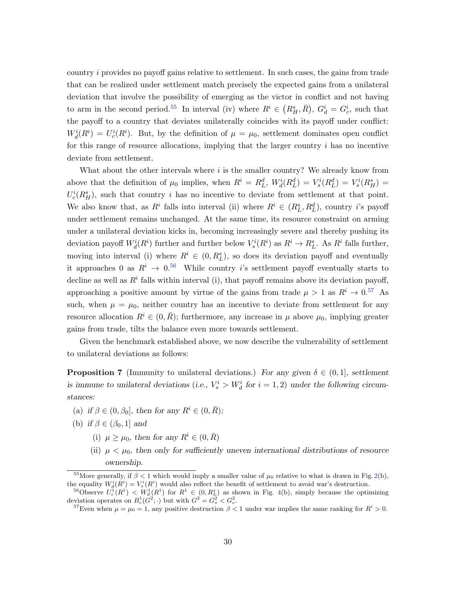country i provides no payoff gains relative to settlement. In such cases, the gains from trade that can be realized under settlement match precisely the expected gains from a unilateral deviation that involve the possibility of emerging as the victor in conflict and not having to arm in the second period.<sup>[55](#page-30-0)</sup> In interval (iv) where  $R^i \in (R_H^s, \overline{R})$ ,  $G_d^i = G_c^i$ , such that the payoff to a country that deviates unilaterally coincides with its payoff under conflict:  $W_d^i(R^i) = U_c^i(R^i)$ . But, by the definition of  $\mu = \mu_0$ , settlement dominates open conflict for this range of resource allocations, implying that the larger country  $i$  has no incentive deviate from settlement.

What about the other intervals where  $i$  is the smaller country? We already know from above that the definition of  $\mu_0$  implies, when  $R^i = R^d_L$ ,  $W^i_d(R^d_L) = V^i_s(R^d_L) = V^i_s(R^s_H) =$  $U_c^i(R_H^s)$ , such that country i has no incentive to deviate from settlement at that point. We also know that, as  $R^i$  falls into interval (ii) where  $R^i \in (R_L^s, R_L^d)$ , country *i*'s payoff under settlement remains unchanged. At the same time, its resource constraint on arming under a unilateral deviation kicks in, becoming increasingly severe and thereby pushing its deviation payoff  $W_d^i(R^i)$  further and further below  $V_s^i(R^i)$  as  $R^i \to R_L^s$ . As  $R^i$  falls further, moving into interval (i) where  $R^i \in (0, R^s_L)$ , so does its deviation payoff and eventually it approaches 0 as  $R^i \rightarrow 0.56$  $R^i \rightarrow 0.56$  While country is settlement payoff eventually starts to decline as well as  $R<sup>i</sup>$  falls within interval (i), that payoff remains above its deviation payoff, approaching a positive amount by virtue of the gains from trade  $\mu > 1$  as  $R^i \to 0.57$  $R^i \to 0.57$  As such, when  $\mu = \mu_0$ , neither country has an incentive to deviate from settlement for any resource allocation  $R^i \in (0, \bar{R})$ ; furthermore, any increase in  $\mu$  above  $\mu_0$ , implying greater gains from trade, tilts the balance even more towards settlement.

<span id="page-30-3"></span>Given the benchmark established above, we now describe the vulnerability of settlement to unilateral deviations as follows:

**Proposition 7** (Immunity to unilateral deviations.) For any given  $\delta \in (0,1]$ , settlement is immune to unilateral deviations (i.e.,  $V_s^i > W_d^i$  for  $i = 1, 2$ ) under the following circumstances:

- (a) if  $\beta \in (0, \beta_0]$ , then for any  $R^i \in (0, \bar{R})$ ;
- (b) if  $\beta \in (\beta_0, 1]$  and
	- (i)  $\mu \geq \mu_0$ , then for any  $R^i \in (0, \bar{R})$
	- (ii)  $\mu < \mu_0$ , then only for sufficiently uneven international distributions of resource ownership.

<span id="page-30-0"></span><sup>&</sup>lt;sup>55</sup>More generally, if  $\beta < 1$  which would imply a smaller value of  $\mu_0$  relative to what is drawn in Fig. [2\(](#page-38-0)b), the equality  $W_d^i(R^i) = V_s^i(R^i)$  would also reflect the benefit of settlement to avoid war's destruction.

<span id="page-30-1"></span><sup>&</sup>lt;sup>56</sup>Observe  $U_c^1(R^1) < W_d^1(R^1)$  for  $R^1 \in (0, R_L^s)$  as shown in Fig. [4\(](#page-40-0)b), simply because the optimizing deviation operates on  $B_c^1(G^2; \cdot)$  but with  $G^2 = G_s^2 < G_c^2$ .

<span id="page-30-2"></span><sup>&</sup>lt;sup>57</sup>Even when  $\mu = \mu_0 = 1$ , any positive destruction  $\beta < 1$  under war implies the same ranking for  $R^i > 0$ .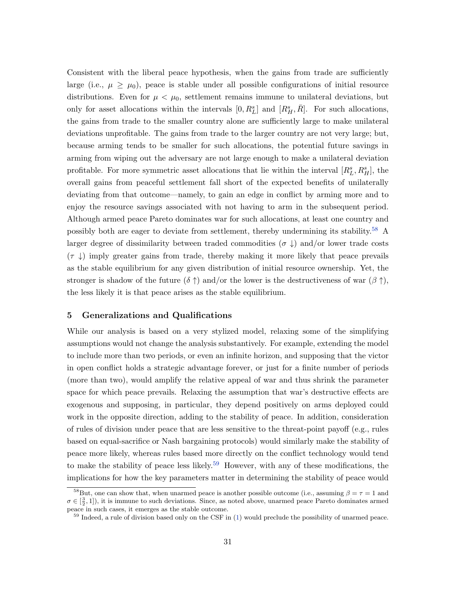Consistent with the liberal peace hypothesis, when the gains from trade are sufficiently large (i.e.,  $\mu \geq \mu_0$ ), peace is stable under all possible configurations of initial resource distributions. Even for  $\mu < \mu_0$ , settlement remains immune to unilateral deviations, but only for asset allocations within the intervals  $[0, R_L^s]$  and  $[R_H^s, R]$ . For such allocations, the gains from trade to the smaller country alone are sufficiently large to make unilateral deviations unprofitable. The gains from trade to the larger country are not very large; but, because arming tends to be smaller for such allocations, the potential future savings in arming from wiping out the adversary are not large enough to make a unilateral deviation profitable. For more symmetric asset allocations that lie within the interval  $[R_L^s, R_H^s]$ , the overall gains from peaceful settlement fall short of the expected benefits of unilaterally deviating from that outcome—namely, to gain an edge in conflict by arming more and to enjoy the resource savings associated with not having to arm in the subsequent period. Although armed peace Pareto dominates war for such allocations, at least one country and possibly both are eager to deviate from settlement, thereby undermining its stability.[58](#page-31-1) A larger degree of dissimilarity between traded commodities ( $\sigma \downarrow$ ) and/or lower trade costs  $(\tau \downarrow)$  imply greater gains from trade, thereby making it more likely that peace prevails as the stable equilibrium for any given distribution of initial resource ownership. Yet, the stronger is shadow of the future  $(\delta \uparrow)$  and/or the lower is the destructiveness of war  $(\beta \uparrow)$ , the less likely it is that peace arises as the stable equilibrium.

## <span id="page-31-0"></span>5 Generalizations and Qualifications

While our analysis is based on a very stylized model, relaxing some of the simplifying assumptions would not change the analysis substantively. For example, extending the model to include more than two periods, or even an infinite horizon, and supposing that the victor in open conflict holds a strategic advantage forever, or just for a finite number of periods (more than two), would amplify the relative appeal of war and thus shrink the parameter space for which peace prevails. Relaxing the assumption that war's destructive effects are exogenous and supposing, in particular, they depend positively on arms deployed could work in the opposite direction, adding to the stability of peace. In addition, consideration of rules of division under peace that are less sensitive to the threat-point payoff (e.g., rules based on equal-sacrifice or Nash bargaining protocols) would similarly make the stability of peace more likely, whereas rules based more directly on the conflict technology would tend to make the stability of peace less likely.<sup>[59](#page-31-2)</sup> However, with any of these modifications, the implications for how the key parameters matter in determining the stability of peace would

<span id="page-31-1"></span><sup>&</sup>lt;sup>58</sup>But, one can show that, when unarmed peace is another possible outcome (i.e., assuming  $\beta = \tau = 1$  and  $\sigma \in [\frac{3}{2}, 1]$ , it is immune to such deviations. Since, as noted above, unarmed peace Pareto dominates armed peace in such cases, it emerges as the stable outcome.

<span id="page-31-2"></span><sup>&</sup>lt;sup>59</sup> Indeed, a rule of division based only on the CSF in [\(1\)](#page-6-2) would preclude the possibility of unarmed peace.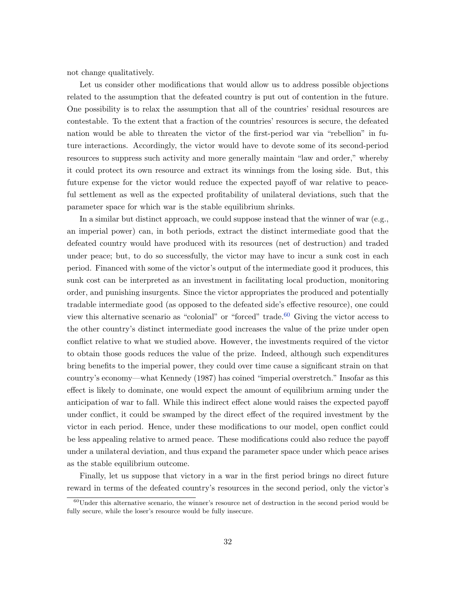not change qualitatively.

Let us consider other modifications that would allow us to address possible objections related to the assumption that the defeated country is put out of contention in the future. One possibility is to relax the assumption that all of the countries' residual resources are contestable. To the extent that a fraction of the countries' resources is secure, the defeated nation would be able to threaten the victor of the first-period war via "rebellion" in future interactions. Accordingly, the victor would have to devote some of its second-period resources to suppress such activity and more generally maintain "law and order," whereby it could protect its own resource and extract its winnings from the losing side. But, this future expense for the victor would reduce the expected payoff of war relative to peaceful settlement as well as the expected profitability of unilateral deviations, such that the parameter space for which war is the stable equilibrium shrinks.

In a similar but distinct approach, we could suppose instead that the winner of war (e.g., an imperial power) can, in both periods, extract the distinct intermediate good that the defeated country would have produced with its resources (net of destruction) and traded under peace; but, to do so successfully, the victor may have to incur a sunk cost in each period. Financed with some of the victor's output of the intermediate good it produces, this sunk cost can be interpreted as an investment in facilitating local production, monitoring order, and punishing insurgents. Since the victor appropriates the produced and potentially tradable intermediate good (as opposed to the defeated side's effective resource), one could view this alternative scenario as "colonial" or "forced" trade.<sup>[60](#page-32-0)</sup> Giving the victor access to the other country's distinct intermediate good increases the value of the prize under open conflict relative to what we studied above. However, the investments required of the victor to obtain those goods reduces the value of the prize. Indeed, although such expenditures bring benefits to the imperial power, they could over time cause a significant strain on that country's economy—what Kennedy (1987) has coined "imperial overstretch." Insofar as this effect is likely to dominate, one would expect the amount of equilibrium arming under the anticipation of war to fall. While this indirect effect alone would raises the expected payoff under conflict, it could be swamped by the direct effect of the required investment by the victor in each period. Hence, under these modifications to our model, open conflict could be less appealing relative to armed peace. These modifications could also reduce the payoff under a unilateral deviation, and thus expand the parameter space under which peace arises as the stable equilibrium outcome.

Finally, let us suppose that victory in a war in the first period brings no direct future reward in terms of the defeated country's resources in the second period, only the victor's

<span id="page-32-0"></span> $60$ Under this alternative scenario, the winner's resource net of destruction in the second period would be fully secure, while the loser's resource would be fully insecure.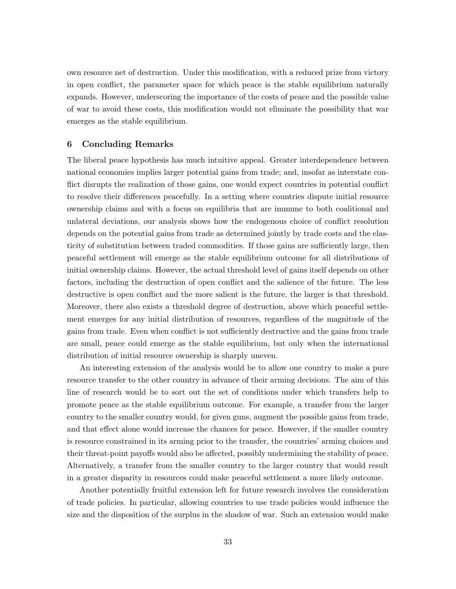own resource net of destruction. Under this modification, with a reduced prize from victory in open conflict, the parameter space for which peace is the stable equilibrium naturally expands. However, underscoring the importance of the costs of peace and the possible value of war to avoid these costs, this modification would not eliminate the possibility that war emerges as the stable equilibrium.

#### <span id="page-33-0"></span>6 Concluding Remarks

The liberal peace hypothesis has much intuitive appeal. Greater interdependence between national economies implies larger potential gains from trade; and, insofar as interstate conflict disrupts the realization of those gains, one would expect countries in potential conflict to resolve their differences peacefully. In a setting where countries dispute initial resource ownership claims and with a focus on equilibria that are immune to both coalitional and unlateral deviations, our analysis shows how the endogenous choice of conflict resolution depends on the potential gains from trade as determined jointly by trade costs and the elasticity of substitution between traded commodities. If those gains are sufficiently large, then peaceful settlement will emerge as the stable equilibrium outcome for all distributions of initial ownership claims. However, the actual threshold level of gains itself depends on other factors, including the destruction of open conflict and the salience of the future. The less destructive is open conflict and the more salient is the future, the larger is that threshold. Moreover, there also exists a threshold degree of destruction, above which peaceful settlement emerges for any initial distribution of resources, regardless of the magnitude of the gains from trade. Even when conflict is not sufficiently destructive and the gains from trade are small, peace could emerge as the stable equilibrium, but only when the international distribution of initial resource ownership is sharply uneven.

An interesting extension of the analysis would be to allow one country to make a pure resource transfer to the other country in advance of their arming decisions. The aim of this line of research would be to sort out the set of conditions under which transfers help to promote peace as the stable equilibrium outcome. For example, a transfer from the larger country to the smaller country would, for given guns, augment the possible gains from trade, and that effect alone would increase the chances for peace. However, if the smaller country is resource constrained in its arming prior to the transfer, the countries' arming choices and their threat-point payoffs would also be affected, possibly undermining the stability of peace. Alternatively, a transfer from the smaller country to the larger country that would result in a greater disparity in resources could make peaceful settlement a more likely outcome.

Another potentially fruitful extension left for future research involves the consideration of trade policies. In particular, allowing countries to use trade policies would influence the size and the disposition of the surplus in the shadow of war. Such an extension would make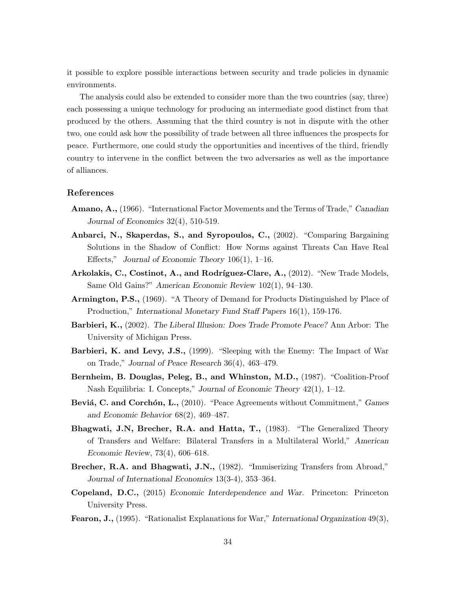it possible to explore possible interactions between security and trade policies in dynamic environments.

The analysis could also be extended to consider more than the two countries (say, three) each possessing a unique technology for producing an intermediate good distinct from that produced by the others. Assuming that the third country is not in dispute with the other two, one could ask how the possibility of trade between all three influences the prospects for peace. Furthermore, one could study the opportunities and incentives of the third, friendly country to intervene in the conflict between the two adversaries as well as the importance of alliances.

## References

- Amano, A., (1966). "International Factor Movements and the Terms of Trade," Canadian Journal of Economics 32(4), 510-519.
- Anbarci, N., Skaperdas, S., and Syropoulos, C., (2002). "Comparing Bargaining Solutions in the Shadow of Conflict: How Norms against Threats Can Have Real Effects," Journal of Economic Theory 106(1), 1–16.
- Arkolakis, C., Costinot, A., and Rodríguez-Clare, A., (2012). "New Trade Models, Same Old Gains?" American Economic Review 102(1), 94–130.
- Armington, P.S., (1969). "A Theory of Demand for Products Distinguished by Place of Production," International Monetary Fund Staff Papers 16(1), 159-176.
- Barbieri, K., (2002). The Liberal Illusion: Does Trade Promote Peace? Ann Arbor: The University of Michigan Press.
- Barbieri, K. and Levy, J.S., (1999). "Sleeping with the Enemy: The Impact of War on Trade," Journal of Peace Research 36(4), 463–479.
- Bernheim, B. Douglas, Peleg, B., and Whinston, M.D., (1987). "Coalition-Proof Nash Equilibria: I. Concepts," Journal of Economic Theory 42(1), 1–12.
- Beviá, C. and Corchón, L., (2010). "Peace Agreements without Commitment," Games and Economic Behavior 68(2), 469–487.
- Bhagwati, J.N, Brecher, R.A. and Hatta, T., (1983). "The Generalized Theory of Transfers and Welfare: Bilateral Transfers in a Multilateral World," American Economic Review, 73(4), 606–618.
- Brecher, R.A. and Bhagwati, J.N., (1982). "Immiserizing Transfers from Abroad," Journal of International Economics 13(3-4), 353–364.
- Copeland, D.C., (2015) Economic Interdependence and War. Princeton: Princeton University Press.
- Fearon, J., (1995). "Rationalist Explanations for War," International Organization 49(3),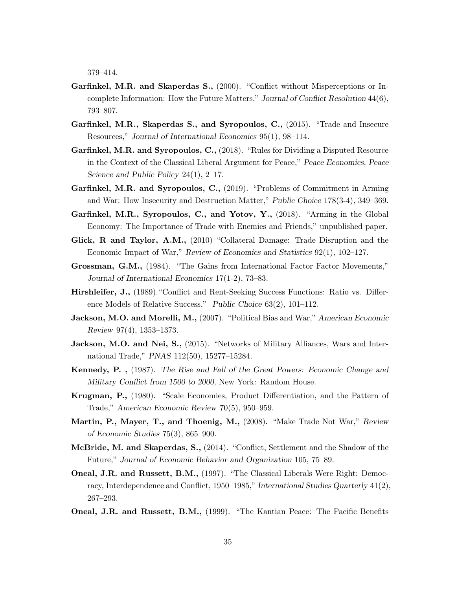379–414.

- Garfinkel, M.R. and Skaperdas S., (2000). "Conflict without Misperceptions or Incomplete Information: How the Future Matters," Journal of Conflict Resolution 44(6), 793–807.
- Garfinkel, M.R., Skaperdas S., and Syropoulos, C., (2015). "Trade and Insecure Resources," Journal of International Economics 95(1), 98–114.
- **Garfinkel, M.R. and Syropoulos, C.,**  $(2018)$ . "Rules for Dividing a Disputed Resource in the Context of the Classical Liberal Argument for Peace," Peace Economics, Peace Science and Public Policy 24(1), 2–17.
- Garfinkel, M.R. and Syropoulos, C., (2019). "Problems of Commitment in Arming and War: How Insecurity and Destruction Matter," Public Choice 178(3-4), 349–369.
- Garfinkel, M.R., Syropoulos, C., and Yotov, Y., (2018). "Arming in the Global Economy: The Importance of Trade with Enemies and Friends," unpublished paper.
- Glick, R and Taylor, A.M., (2010) "Collateral Damage: Trade Disruption and the Economic Impact of War," Review of Economics and Statistics 92(1), 102–127.
- Grossman, G.M., (1984). "The Gains from International Factor Factor Movements," Journal of International Economics 17(1-2), 73–83.
- Hirshleifer, J., (1989)."Conflict and Rent-Seeking Success Functions: Ratio vs. Difference Models of Relative Success," Public Choice 63(2), 101–112.
- Jackson, M.O. and Morelli, M., (2007). "Political Bias and War," American Economic Review 97(4), 1353–1373.
- Jackson, M.O. and Nei, S., (2015). "Networks of Military Alliances, Wars and International Trade," PNAS 112(50), 15277–15284.
- Kennedy, P. , (1987). The Rise and Fall of the Great Powers: Economic Change and Military Conflict from 1500 to 2000, New York: Random House.
- Krugman, P., (1980). "Scale Economies, Product Differentiation, and the Pattern of Trade," American Economic Review 70(5), 950–959.
- Martin, P., Mayer, T., and Thoenig, M., (2008). "Make Trade Not War," Review of Economic Studies 75(3), 865–900.
- McBride, M. and Skaperdas, S., (2014). "Conflict, Settlement and the Shadow of the Future," Journal of Economic Behavior and Organization 105, 75–89.
- Oneal, J.R. and Russett, B.M., (1997). "The Classical Liberals Were Right: Democracy, Interdependence and Conflict, 1950–1985," International Studies Quarterly 41(2), 267–293.
- Oneal, J.R. and Russett, B.M., (1999). "The Kantian Peace: The Pacific Benefits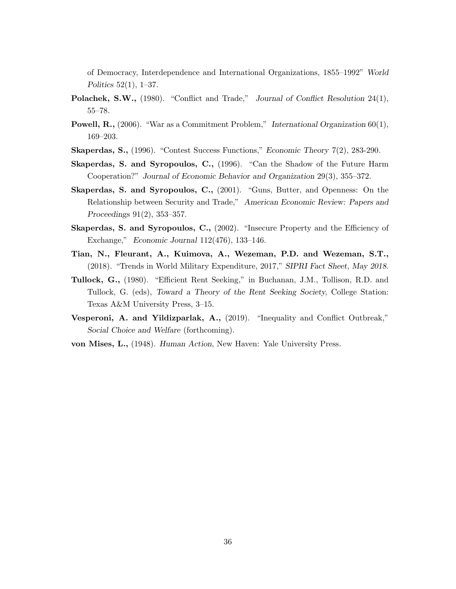of Democracy, Interdependence and International Organizations, 1855–1992" World Politics 52(1), 1–37.

- Polachek, S.W., (1980). "Conflict and Trade," Journal of Conflict Resolution 24(1), 55–78.
- Powell, R., (2006). "War as a Commitment Problem," International Organization 60(1), 169–203.
- Skaperdas, S., (1996). "Contest Success Functions," Economic Theory 7(2), 283-290.
- Skaperdas, S. and Syropoulos, C., (1996). "Can the Shadow of the Future Harm Cooperation?" Journal of Economic Behavior and Organization 29(3), 355–372.
- Skaperdas, S. and Syropoulos, C., (2001). "Guns, Butter, and Openness: On the Relationship between Security and Trade," American Economic Review: Papers and Proceedings 91(2), 353–357.
- Skaperdas, S. and Syropoulos, C., (2002). "Insecure Property and the Efficiency of Exchange," Economic Journal 112(476), 133–146.
- Tian, N., Fleurant, A., Kuimova, A., Wezeman, P.D. and Wezeman, S.T., (2018). "Trends in World Military Expenditure, 2017," SIPRI Fact Sheet, May 2018.
- Tullock, G., (1980). "Efficient Rent Seeking," in Buchanan, J.M., Tollison, R.D. and Tullock, G. (eds), Toward a Theory of the Rent Seeking Society, College Station: Texas A&M University Press, 3–15.
- Vesperoni, A. and Yildizparlak, A., (2019). "Inequality and Conflict Outbreak," Social Choice and Welfare (forthcoming).
- von Mises, L., (1948). Human Action, New Haven: Yale University Press.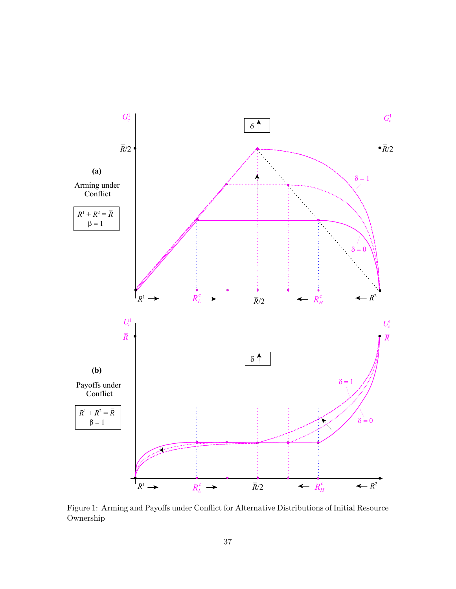

<span id="page-37-0"></span>Figure 1: Arming and Payoffs under Conflict for Alternative Distributions of Initial Resource Ownership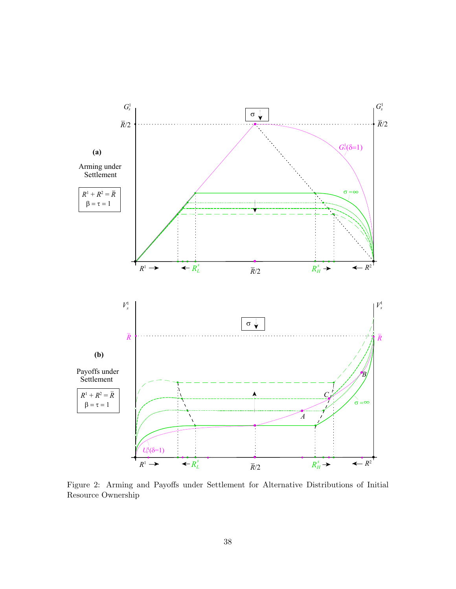

<span id="page-38-0"></span>Figure 2: Arming and Payoffs under Settlement for Alternative Distributions of Initial Resource Ownership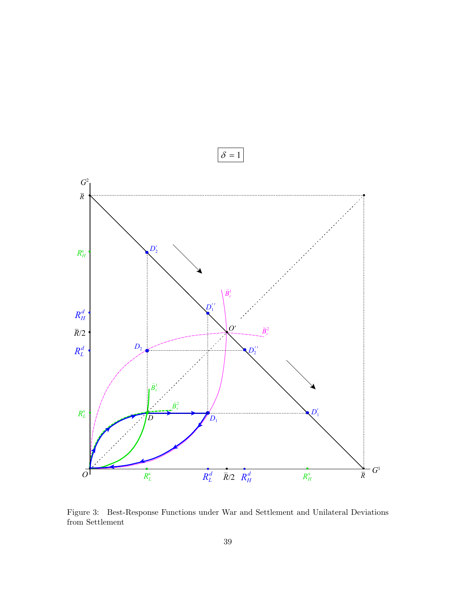

<span id="page-39-0"></span>Figure 3: Best-Response Functions under War and Settlement and Unilateral Deviations from Settlement

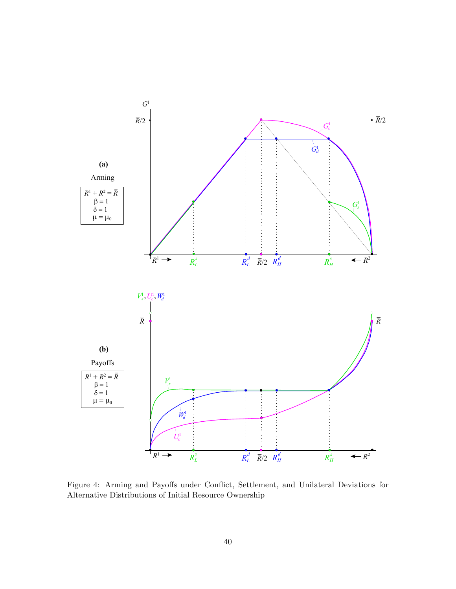

<span id="page-40-0"></span>Alternative Distributions of Initial Resource Ownership for Alternative Distributions of Asset Ownership Figure 4: Arming and Payoffs under Conflict, Settlement, and Unilateral Deviations for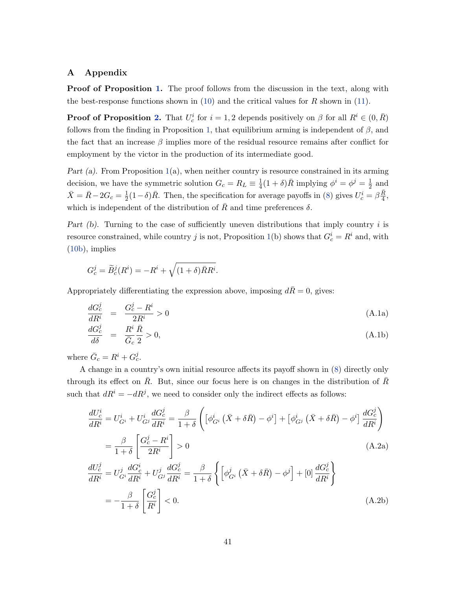# A Appendix

**Proof of Proposition [1.](#page-13-2)** The proof follows from the discussion in the text, along with the best-response functions shown in  $(10)$  and the critical values for R shown in  $(11)$ .

**Proof of Proposition [2.](#page-14-0)** That  $U_c^i$  for  $i = 1, 2$  depends positively on  $\beta$  for all  $R^i \in (0, \bar{R})$ follows from the finding in Proposition [1,](#page-13-2) that equilibrium arming is independent of  $\beta$ , and the fact that an increase  $\beta$  implies more of the residual resource remains after conflict for employment by the victor in the production of its intermediate good.

Part (a). From Proposition [1\(](#page-13-2)a), when neither country is resource constrained in its arming decision, we have the symmetric solution  $G_c = R_L \equiv \frac{1}{4}$  $\frac{1}{4}(1+\delta)\overline{R}$  implying  $\phi^i = \phi^j = \frac{1}{2}$  $\frac{1}{2}$  and  $\bar{X} = \bar{R} - 2G_c = \frac{1}{2}$  $\frac{1}{2}(1-\delta)\bar{R}$ . Then, the specification for average payoffs in [\(8\)](#page-11-2) gives  $U_c^i = \beta \frac{\bar{R}}{4}$  $\frac{R}{4}$ , which is independent of the distribution of  $\bar{R}$  and time preferences  $\delta$ .

Part  $(b)$ . Turning to the case of sufficiently uneven distributions that imply country i is resource constrained, while country j is not, Proposition [1\(](#page-13-2)b) shows that  $G_c^i = R^i$  and, with [\(10b\)](#page-12-2), implies

$$
G_c^j = \widetilde{B}_c^j(R^i) = -R^i + \sqrt{(1+\delta)\overline{R}R^i}.
$$

Appropriately differentiating the expression above, imposing  $d\bar{R}=0$ , gives:

<span id="page-41-0"></span>
$$
\frac{dG_c^j}{dR^i} = \frac{G_c^j - R^i}{2R^i} > 0
$$
\n(A.1a)

$$
\frac{dG_c^j}{d\delta} = \frac{R^i}{\overline{G}_c} \frac{\overline{R}}{2} > 0,\tag{A.1b}
$$

where  $\bar{G}_c = R^i + G_c^j$ .

A change in a country's own initial resource affects its payoff shown in [\(8\)](#page-11-2) directly only through its effect on  $\bar{R}$ . But, since our focus here is on changes in the distribution of  $\bar{R}$ such that  $dR^i = -dR^j$ , we need to consider only the indirect effects as follows:

$$
\frac{dU_c^i}{dR^i} = U_{G^i}^i + U_{G^j}^i \frac{dG_c^j}{dR^i} = \frac{\beta}{1+\delta} \left( \left[ \phi_{G^i}^i \left( \bar{X} + \delta \bar{R} \right) - \phi^i \right] + \left[ \phi_{G^j}^i \left( \bar{X} + \delta \bar{R} \right) - \phi^i \right] \frac{dG_c^j}{dR^i} \right)
$$
\n
$$
= \frac{\beta}{1+\delta} \left[ \frac{G_c^j - R^i}{2R^i} \right] > 0 \tag{A.2a}
$$
\n
$$
\frac{dU_c^j}{dR^i} = U_{G^i}^j \frac{dG_c^i}{dR^i} + U_{G^j}^j \frac{dG_c^j}{dR^i} = \frac{\beta}{1+\delta} \left\{ \left[ \phi_{G^i}^j \left( \bar{X} + \delta \bar{R} \right) - \phi^j \right] + \left[ 0 \right] \frac{dG_c^j}{dR^i} \right\}
$$
\n
$$
\beta \left[ G_c^j \right]
$$

<span id="page-41-2"></span><span id="page-41-1"></span>
$$
=-\frac{\beta}{1+\delta}\left[\frac{G_c^j}{R^i}\right]<0.\tag{A.2b}
$$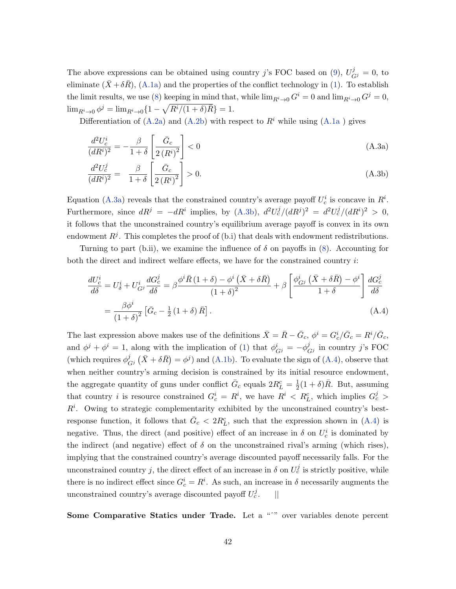The above expressions can be obtained using country j's FOC based on [\(9\)](#page-11-3),  $U_{Gj}^j = 0$ , to eliminate  $(X + \delta R)$ ,  $(A.1a)$  and the properties of the conflict technology in [\(1\)](#page-6-2). To establish the limit results, we use [\(8\)](#page-11-2) keeping in mind that, while  $\lim_{R^i\to 0} G^i = 0$  and  $\lim_{R^i\to 0} G^j = 0$ ,  $\lim_{R^i \to 0} \phi^j = \lim_{R^i \to 0} \{1 - \sqrt{R^i/(1+\delta)\bar{R}}\} = 1.$ 

Differentiation of [\(A.2a\)](#page-41-1) and [\(A.2b\)](#page-41-2) with respect to  $R<sup>i</sup>$  while using [\(A.1a](#page-41-0)) gives

<span id="page-42-0"></span>
$$
\frac{d^2U_c^i}{(dR^i)^2} = -\frac{\beta}{1+\delta} \left[ \frac{\bar{G}_c}{2\left(R^i\right)^2} \right] < 0 \tag{A.3a}
$$

<span id="page-42-1"></span>
$$
\frac{d^2U_c^j}{(dR^i)^2} = \frac{\beta}{1+\delta} \left[ \frac{\bar{G}_c}{2\left(R^i\right)^2} \right] > 0. \tag{A.3b}
$$

Equation [\(A.3a\)](#page-42-0) reveals that the constrained country's average payoff  $U_c^i$  is concave in  $R^i$ . Furthermore, since  $dR^j = -dR^i$  implies, by [\(A.3b\)](#page-42-1),  $d^2U_c^j/(dR^j)^2 = d^2U_c^j/(dR^i)^2 > 0$ , it follows that the unconstrained country's equilibrium average payoff is convex in its own endowment  $R^j$ . This completes the proof of (b.i) that deals with endowment redistributions.

Turning to part (b.ii), we examine the influence of  $\delta$  on payoffs in [\(8\)](#page-11-2). Accounting for both the direct and indirect welfare effects, we have for the constrained country  $i$ :

<span id="page-42-2"></span>
$$
\frac{dU_c^i}{d\delta} = U_\delta^i + U_{G^j}^i \frac{dG_c^j}{d\delta} = \beta \frac{\phi^i \bar{R} (1+\delta) - \phi^i (\bar{X} + \delta \bar{R})}{(1+\delta)^2} + \beta \left[ \frac{\phi_{G^j}^i (\bar{X} + \delta \bar{R}) - \phi^i}{1+\delta} \right] \frac{dG_c^j}{d\delta}
$$
\n
$$
= \frac{\beta \phi^i}{(1+\delta)^2} \left[ \bar{G}_c - \frac{1}{2} (1+\delta) \bar{R} \right].
$$
\n(A.4)

The last expression above makes use of the definitions  $\bar{X} = \bar{R} - \bar{G}_c$ ,  $\phi^i = G_c^i / \bar{G}_c = R^i / \bar{G}_c$ , and  $\phi^j + \phi^i = 1$ , along with the implication of [\(1\)](#page-6-2) that  $\phi^i_{G^j} = -\phi^j_C$  $\int_{G^j}$  in country j's FOC (which requires  $\phi_{\alpha}^{j}$  $\frac{d^j}{G^j}(\bar{X} + \delta \bar{R}) = \phi^j$  and [\(A.1b\)](#page-41-0). To evaluate the sign of [\(A.4\)](#page-42-2), observe that when neither country's arming decision is constrained by its initial resource endowment, the aggregate quantity of guns under conflict  $\bar{G}_c$  equals  $2R^c_L = \frac{1}{2}$  $\frac{1}{2}(1+\delta)\bar{R}$ . But, assuming that country *i* is resource constrained  $G_c^i = R^i$ , we have  $R^i < R_L^c$ , which implies  $G_c^j >$  $R<sup>i</sup>$ . Owing to strategic complementarity exhibited by the unconstrained country's bestresponse function, it follows that  $\bar{G}_c < 2R_L^c$ , such that the expression shown in [\(A.4\)](#page-42-2) is negative. Thus, the direct (and positive) effect of an increase in  $\delta$  on  $U_c^i$  is dominated by the indirect (and negative) effect of  $\delta$  on the unconstrained rival's arming (which rises), implying that the constrained country's average discounted payoff necessarily falls. For the unconstrained country j, the direct effect of an increase in  $\delta$  on  $U_c^j$  is strictly positive, while there is no indirect effect since  $G_c^i = R^i$ . As such, an increase in  $\delta$  necessarily augments the unconstrained country's average discounted payoff  $U_c^j$ .  $||$ 

Some Comparative Statics under Trade. Let a "<sup>^"</sup> over variables denote percent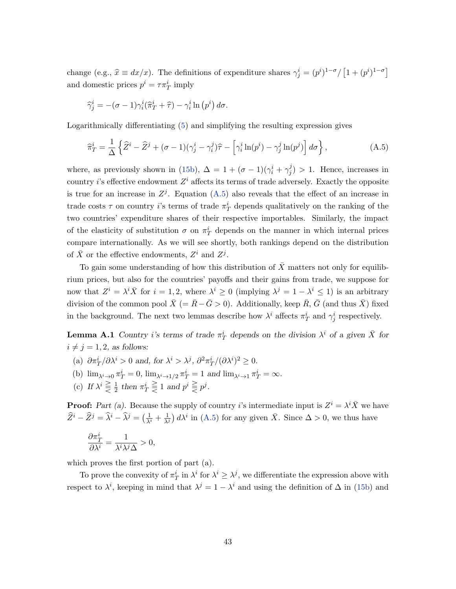change (e.g.,  $\hat{x} \equiv dx/x$ ). The definitions of expenditure shares  $\gamma_j^i = (p^i)^{1-\sigma}/[1+(p^i)^{1-\sigma}]$ and domestic prices  $p^i = \tau \pi_T^i$  imply

<span id="page-43-1"></span>
$$
\widehat{\gamma}_j^i = -(\sigma - 1)\gamma_i^i(\widehat{\pi}_T^i + \widehat{\tau}) - \gamma_i^i \ln(p^i) d\sigma.
$$

Logarithmically differentiating [\(5\)](#page-9-1) and simplifying the resulting expression gives

$$
\widehat{\pi}_T^i = \frac{1}{\Delta} \left\{ \widehat{Z}^i - \widehat{Z}^j + (\sigma - 1)(\gamma_j^i - \gamma_i^j)\widehat{\tau} - \left[ \gamma_i^i \ln(p^i) - \gamma_j^j \ln(p^j) \right] d\sigma \right\},\tag{A.5}
$$

where, as previously shown in [\(15b\)](#page-18-5),  $\Delta = 1 + (\sigma - 1)(\gamma_i^i + \gamma_j^j)$  $j_j$ ) > 1. Hence, increases in country *i*'s effective endowment  $Z^i$  affects its terms of trade adversely. Exactly the opposite is true for an increase in  $Z<sup>j</sup>$ . Equation [\(A.5\)](#page-43-1) also reveals that the effect of an increase in trade costs  $\tau$  on country *i*'s terms of trade  $\pi_T^i$  depends qualitatively on the ranking of the two countries' expenditure shares of their respective importables. Similarly, the impact of the elasticity of substitution  $\sigma$  on  $\pi_T^i$  depends on the manner in which internal prices compare internationally. As we will see shortly, both rankings depend on the distribution of  $\bar{X}$  or the effective endowments,  $Z^i$  and  $Z^j$ .

To gain some understanding of how this distribution of  $X$  matters not only for equilibrium prices, but also for the countries' payoffs and their gains from trade, we suppose for now that  $Z^i = \lambda^i \bar{X}$  for  $i = 1, 2$ , where  $\lambda^i \geq 0$  (implying  $\lambda^j = 1 - \lambda^i \leq 1$ ) is an arbitrary division of the common pool  $\bar{X}$  (=  $\bar{R} - \bar{G} > 0$ ). Additionally, keep  $\bar{R}, \bar{G}$  (and thus  $\bar{X}$ ) fixed in the background. The next two lemmas describe how  $\lambda^i$  affects  $\pi_T^i$  and  $\gamma_j^i$  respectively.

**Lemma A.1** Country *i*'s terms of trade  $\pi_T^i$  depends on the division  $\lambda^i$  of a given  $\bar{X}$  for  $i \neq j = 1, 2$ , as follows:

- <span id="page-43-0"></span>(a)  $\partial \pi_T^i / \partial \lambda^i > 0$  and, for  $\lambda^i > \lambda^j$ ,  $\partial^2 \pi_T^i / (\partial \lambda^i)^2 \geq 0$ .
- (b)  $\lim_{\lambda^i \to 0} \pi_T^i = 0$ ,  $\lim_{\lambda^i \to 1/2} \pi_T^i = 1$  and  $\lim_{\lambda^i \to 1} \pi_T^i = \infty$ .
- (c) If  $\lambda^i \geq \frac{1}{2}$  $\frac{1}{2}$  then  $\pi^i_T \geq 1$  and  $p^i \geq p^j$ .

**Proof:** Part (a). Because the supply of country i's intermediate input is  $Z^i = \lambda^i \overline{X}$  we have  $\hat{Z}^i - \hat{Z}^j = \hat{\lambda}^i - \hat{\lambda}^j = \left(\frac{1}{\lambda^i} + \frac{1}{\lambda^j}\right) d\lambda^i$  in [\(A.5\)](#page-43-1) for any given  $\bar{X}$ . Since  $\Delta > 0$ , we thus have

$$
\frac{\partial \pi_T^i}{\partial \lambda^i} = \frac{1}{\lambda^i \lambda^j \Delta} > 0,
$$

which proves the first portion of part (a).

To prove the convexity of  $\pi_T^i$  in  $\lambda^i$  for  $\lambda^i \geq \lambda^j$ , we differentiate the expression above with respect to  $\lambda^i$ , keeping in mind that  $\lambda^j = 1 - \lambda^i$  and using the definition of  $\Delta$  in [\(15b\)](#page-18-5) and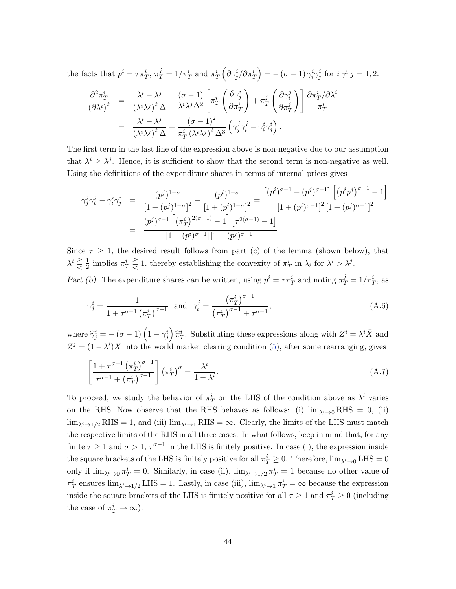the facts that  $p^i = \tau \pi_T^i$ ,  $\pi_T^j = 1/\pi_T^i$  and  $\pi_T^i \left( \partial \gamma_j^i / \partial \pi_T^i \right) = -(\sigma - 1) \gamma_i^i \gamma_j^i$  for  $i \neq j = 1, 2$ :

$$
\frac{\partial^2 \pi_T^i}{(\partial \lambda^i)^2} = \frac{\lambda^i - \lambda^j}{(\lambda^i \lambda^j)^2 \Delta} + \frac{(\sigma - 1)}{\lambda^i \lambda^j \Delta^2} \left[ \pi_T^i \left( \frac{\partial \gamma_j^i}{\partial \pi_T^i} \right) + \pi_T^j \left( \frac{\partial \gamma_i^j}{\partial \pi_T^j} \right) \right] \frac{\partial \pi_T^i}{\partial \lambda^i}
$$
  
= 
$$
\frac{\lambda^i - \lambda^j}{(\lambda^i \lambda^j)^2 \Delta} + \frac{(\sigma - 1)^2}{\pi_T^i (\lambda^i \lambda^j)^2 \Delta^3} \left( \gamma_j^j \gamma_i^j - \gamma_i^i \gamma_j^i \right).
$$

The first term in the last line of the expression above is non-negative due to our assumption that  $\lambda^i \geq \lambda^j$ . Hence, it is sufficient to show that the second term is non-negative as well. Using the definitions of the expenditure shares in terms of internal prices gives

$$
\gamma_j^j \gamma_i^j - \gamma_i^i \gamma_j^i = \frac{(p^j)^{1-\sigma}}{\left[1 + (p^j)^{1-\sigma}\right]^2} - \frac{(p^i)^{1-\sigma}}{\left[1 + (p^i)^{1-\sigma}\right]^2} = \frac{\left[(p^i)^{\sigma-1} - (p^j)^{\sigma-1}\right] \left[(p^i p^j)^{\sigma-1} - 1\right]}{\left[1 + (p^i)^{\sigma-1}\right]^2 \left[1 + (p^j)^{\sigma-1}\right]^2}
$$

$$
= \frac{(p^j)^{\sigma-1} \left[\left(\pi_T^i\right)^{2(\sigma-1)} - 1\right] \left[\tau^{2(\sigma-1)} - 1\right]}{\left[1 + (p^i)^{\sigma-1}\right] \left[1 + (p^j)^{\sigma-1}\right]}.
$$

Since  $\tau \geq 1$ , the desired result follows from part (c) of the lemma (shown below), that  $\lambda^i \gtreqqless \frac{1}{2}$  $\frac{1}{2}$  implies  $\pi_T^i \geq 1$ , thereby establishing the convexity of  $\pi_T^i$  in  $\lambda_i$  for  $\lambda^i > \lambda^j$ .

Part (b). The expenditure shares can be written, using  $p^i = \tau \pi_T^i$  and noting  $\pi_T^j = 1/\pi_T^i$ , as

<span id="page-44-0"></span>
$$
\gamma_j^i = \frac{1}{1 + \tau^{\sigma - 1} (\pi_T^i)^{\sigma - 1}} \text{ and } \gamma_i^j = \frac{(\pi_T^i)^{\sigma - 1}}{(\pi_T^i)^{\sigma - 1} + \tau^{\sigma - 1}},
$$
\n(A.6)

where  $\hat{\gamma}_j^i = -(\sigma - 1) \left(1 - \gamma_j^i\right) \hat{\pi}_T^i$ . Substituting these expressions along with  $Z^i = \lambda^i \bar{X}$  and  $Z^{j} = (1 - \lambda^{i})\overline{X}$  into the world market clearing condition [\(5\)](#page-9-1), after some rearranging, gives

$$
\left[\frac{1+\tau^{\sigma-1}(\pi_T^i)^{\sigma-1}}{\tau^{\sigma-1}+(\pi_T^i)^{\sigma-1}}\right](\pi_T^i)^{\sigma} = \frac{\lambda^i}{1-\lambda^i}.
$$
\n(A.7)

To proceed, we study the behavior of  $\pi_T^i$  on the LHS of the condition above as  $\lambda^i$  varies on the RHS. Now observe that the RHS behaves as follows: (i)  $\lim_{\lambda^i \to 0} RHS = 0$ , (ii)  $\lim_{\lambda^i \to 1/2} RHS = 1$ , and (iii)  $\lim_{\lambda^i \to 1} RHS = \infty$ . Clearly, the limits of the LHS must match the respective limits of the RHS in all three cases. In what follows, keep in mind that, for any finite  $\tau \geq 1$  and  $\sigma > 1$ ,  $\tau^{\sigma-1}$  in the LHS is finitely positive. In case (i), the expression inside the square brackets of the LHS is finitely positive for all  $\pi_T^i \geq 0$ . Therefore,  $\lim_{\lambda^i \to 0}$  LHS = 0 only if  $\lim_{\lambda^i \to 0} \pi_T^i = 0$ . Similarly, in case (ii),  $\lim_{\lambda^i \to 1/2} \pi_T^i = 1$  because no other value of  $\pi_T^i$  ensures  $\lim_{\lambda^i \to 1/2}$  LHS = 1. Lastly, in case (iii),  $\lim_{\lambda^i \to 1} \pi_T^i = \infty$  because the expression inside the square brackets of the LHS is finitely positive for all  $\tau \geq 1$  and  $\pi_T^i \geq 0$  (including the case of  $\pi_T^i \to \infty$ ).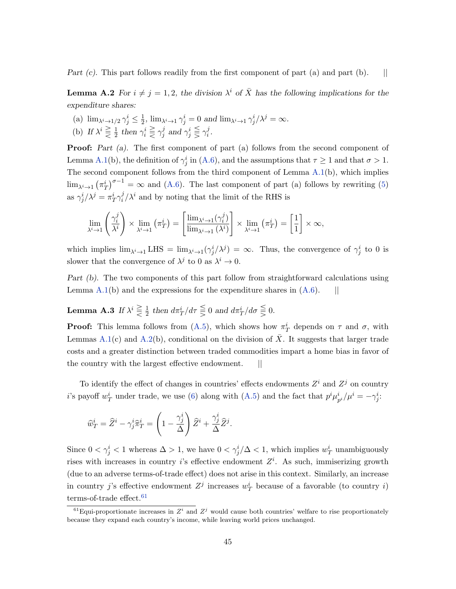<span id="page-45-0"></span>Part  $(c)$ . This part follows readily from the first component of part  $(a)$  and part  $(b)$ .  $||$ 

**Lemma A.2** For  $i \neq j = 1, 2$ , the division  $\lambda^i$  of  $\overline{X}$  has the following implications for the expenditure shares:

(a)  $\lim_{\lambda^i \to 1/2} \gamma_j^i \leq \frac{1}{2}$  $\frac{1}{2}$ ,  $\lim_{\lambda^i \to 1} \gamma_j^i = 0$  and  $\lim_{\lambda^i \to 1} \gamma_j^i / \lambda^j = \infty$ . (b) If  $\lambda^i \geq \frac{1}{2}$  $\frac{1}{2}$  then  $\gamma_i^i \geq \gamma_j^j$  $j$  and  $\gamma_j^i \leqq \gamma_i^j$  $\frac{j}{i}$  .

**Proof:** Part (a). The first component of part (a) follows from the second component of Lemma [A.1\(](#page-43-0)b), the definition of  $\gamma_j^i$  in [\(A.6\)](#page-44-0), and the assumptions that  $\tau \ge 1$  and that  $\sigma > 1$ . The second component follows from the third component of Lemma [A.1\(](#page-43-0)b), which implies  $\lim_{\lambda^i \to 1} (\pi_T^i)^{\sigma-1} = \infty$  and [\(A.6\)](#page-44-0). The last component of part (a) follows by rewriting [\(5\)](#page-9-1) as  $\gamma^i_j/\lambda^j = \pi^i_T \gamma^j_i$  $i^j/\lambda^i$  and by noting that the limit of the RHS is

$$
\lim_{\lambda^i \to 1} \left( \frac{\gamma_i^j}{\lambda^i} \right) \times \lim_{\lambda^i \to 1} \left( \pi_T^i \right) = \left[ \frac{\lim_{\lambda^i \to 1} (\gamma_i^j)}{\lim_{\lambda^i \to 1} (\lambda^i)} \right] \times \lim_{\lambda^i \to 1} \left( \pi_T^i \right) = \left[ \frac{1}{1} \right] \times \infty,
$$

which implies  $\lim_{\lambda^i \to 1} LHS = \lim_{\lambda^i \to 1} (\gamma_j^i/\lambda^j) = \infty$ . Thus, the convergence of  $\gamma_j^i$  to 0 is slower that the convergence of  $\lambda^j$  to 0 as  $\lambda^i \to 0$ .

Part (b). The two components of this part follow from straightforward calculations using Lemma  $A.1(b)$  $A.1(b)$  and the expressions for the expenditure shares in  $(A.6)$ . ||

<span id="page-45-1"></span>**Lemma A.3** If  $\lambda^i \geq \frac{1}{2}$  $\frac{1}{2}$  then  $d\pi_T^i/d\tau \leq 0$  and  $d\pi_T^i/d\sigma \leq 0$ .

**Proof:** This lemma follows from [\(A.5\)](#page-43-1), which shows how  $\pi_T^i$  depends on  $\tau$  and  $\sigma$ , with Lemmas [A.1\(](#page-43-0)c) and [A.2\(](#page-45-0)b), conditional on the division of  $\overline{X}$ . It suggests that larger trade costs and a greater distinction between traded commodities impart a home bias in favor of the country with the largest effective endowment. ||

To identify the effect of changes in countries' effects endowments  $Z<sup>i</sup>$  and  $Z<sup>j</sup>$  on country *i*'s payoff  $w_T^i$  under trade, we use [\(6\)](#page-9-5) along with [\(A.5\)](#page-43-1) and the fact that  $p^i \mu_{p^i}^i / \mu^i = -\gamma_j^i$ :

.

$$
\widehat{w}_T^i = \widehat{Z}^i - \gamma_j^i \widehat{\pi}_T^i = \left(1 - \frac{\gamma_j^i}{\Delta}\right) \widehat{Z}^i + \frac{\gamma_j^i}{\Delta} \widehat{Z}^j
$$

Since  $0 < \gamma_j^i < 1$  whereas  $\Delta > 1$ , we have  $0 < \gamma_j^i/\Delta < 1$ , which implies  $w_T^i$  unambiguously rises with increases in country *i*'s effective endowment  $Z<sup>i</sup>$ . As such, immiserizing growth (due to an adverse terms-of-trade effect) does not arise in this context. Similarly, an increase in country j's effective endowment  $Z^j$  increases  $w_T^i$  because of a favorable (to country i) terms-of-trade effect.  $\rm ^{61}$  $\rm ^{61}$  $\rm ^{61}$ 

<span id="page-45-2"></span><sup>&</sup>lt;sup>61</sup>Equi-proportionate increases in  $Z^i$  and  $Z^j$  would cause both countries' welfare to rise proportionately because they expand each country's income, while leaving world prices unchanged.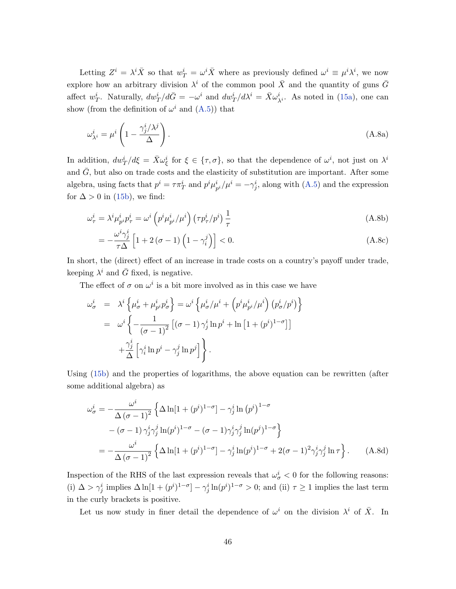Letting  $Z^i = \lambda^i \bar{X}$  so that  $w^i_T = \omega^i \bar{X}$  where as previously defined  $\omega^i \equiv \mu^i \lambda^i$ , we now explore how an arbitrary division  $\lambda^i$  of the common pool  $\bar{X}$  and the quantity of guns  $\bar{G}$ affect  $w_T^i$ . Naturally,  $dw_T^i/d\bar{G} = -\omega^i$  and  $dw_T^i/d\lambda^i = \bar{X}\omega_{\lambda^i}^i$ . As noted in [\(15a\)](#page-18-2), one can show (from the definition of  $\omega^i$  and  $(A.5)$ ) that

<span id="page-46-0"></span>
$$
\omega_{\lambda^i}^i = \mu^i \left( 1 - \frac{\gamma_j^i / \lambda^j}{\Delta} \right). \tag{A.8a}
$$

In addition,  $dw_T^i/d\xi = \bar{X}\omega_{\xi}^i$  for  $\xi \in {\tau, \sigma}$ , so that the dependence of  $\omega^i$ , not just on  $\lambda^i$ and  $G$ , but also on trade costs and the elasticity of substitution are important. After some algebra, using facts that  $p^i = \tau \pi_T^i$  and  $p^i \mu_{p^i}^i / \mu^i = -\gamma_j^i$ , along with  $(A.5)$  and the expression for  $\Delta > 0$  in [\(15b\)](#page-18-5), we find:

$$
\omega_{\tau}^{i} = \lambda^{i} \mu_{p^{i}}^{i} p_{\tau}^{i} = \omega^{i} \left( p^{i} \mu_{p^{i}}^{i} / \mu^{i} \right) \left( \tau p_{\tau}^{i} / p^{i} \right) \frac{1}{\tau}
$$
\n(A.8b)

<span id="page-46-1"></span>
$$
= -\frac{\omega^i \gamma_j^i}{\tau \Delta} \left[ 1 + 2\left(\sigma - 1\right) \left(1 - \gamma_i^j\right) \right] < 0. \tag{A.8c}
$$

In short, the (direct) effect of an increase in trade costs on a country's payoff under trade, keeping  $\lambda^i$  and  $\bar{G}$  fixed, is negative.

The effect of  $\sigma$  on  $\omega^i$  is a bit more involved as in this case we have

$$
\omega_{\sigma}^{i} = \lambda^{i} \left\{ \mu_{\sigma}^{i} + \mu_{p^{i}}^{i} p_{\sigma}^{i} \right\} = \omega^{i} \left\{ \mu_{\sigma}^{i} / \mu^{i} + \left( p^{i} \mu_{p^{i}}^{i} / \mu^{i} \right) \left( p_{\sigma}^{i} / p^{i} \right) \right\}
$$

$$
= \omega^{i} \left\{ -\frac{1}{(\sigma - 1)^{2}} \left[ (\sigma - 1) \gamma_{j}^{i} \ln p^{i} + \ln \left[ 1 + (p^{i})^{1 - \sigma} \right] \right]
$$

$$
+ \frac{\gamma_{j}^{i}}{\Delta} \left[ \gamma_{i}^{i} \ln p^{i} - \gamma_{j}^{j} \ln p^{j} \right] \right\}.
$$

Using [\(15b\)](#page-18-5) and the properties of logarithms, the above equation can be rewritten (after some additional algebra) as

<span id="page-46-2"></span>
$$
\omega_{\sigma}^{i} = -\frac{\omega^{i}}{\Delta(\sigma - 1)^{2}} \left\{ \Delta \ln[1 + (p^{i})^{1-\sigma}] - \gamma_{j}^{i} \ln(p^{i})^{1-\sigma} \right.\n- (\sigma - 1) \gamma_{j}^{i} \gamma_{j}^{j} \ln(p^{i})^{1-\sigma} - (\sigma - 1) \gamma_{j}^{i} \gamma_{j}^{j} \ln(p^{j})^{1-\sigma} \right\}\n= -\frac{\omega^{i}}{\Delta(\sigma - 1)^{2}} \left\{ \Delta \ln[1 + (p^{i})^{1-\sigma}] - \gamma_{j}^{i} \ln(p^{i})^{1-\sigma} + 2(\sigma - 1)^{2} \gamma_{j}^{i} \gamma_{j}^{j} \ln \tau \right\}. \quad (A.8d)
$$

Inspection of the RHS of the last expression reveals that  $\omega_{\sigma}^{i} < 0$  for the following reasons: (i)  $\Delta > \gamma_j^i$  implies  $\Delta \ln[1 + (p^i)^{1-\sigma}] - \gamma_j^i \ln(p^i)^{1-\sigma} > 0$ ; and (ii)  $\tau \ge 1$  implies the last term in the curly brackets is positive.

Let us now study in finer detail the dependence of  $\omega^i$  on the division  $\lambda^i$  of  $\overline{X}$ . In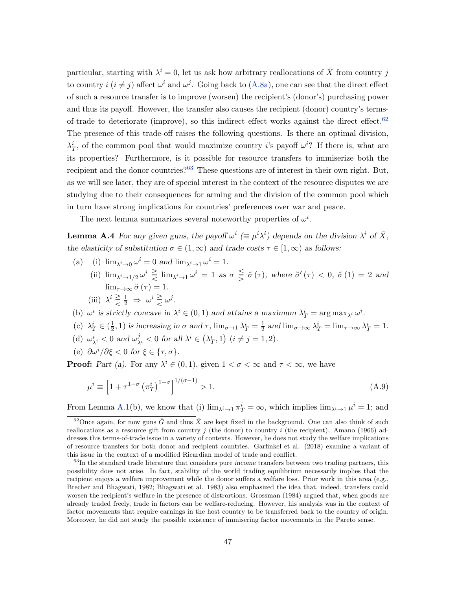particular, starting with  $\lambda^{i} = 0$ , let us ask how arbitrary reallocations of  $\overline{X}$  from country j to country  $i$   $(i \neq j)$  affect  $\omega^{i}$  and  $\omega^{j}$ . Going back to [\(A.8a\)](#page-46-0), one can see that the direct effect of such a resource transfer is to improve (worsen) the recipient's (donor's) purchasing power and thus its payoff. However, the transfer also causes the recipient (donor) country's termsof-trade to deteriorate (improve), so this indirect effect works against the direct effect. $62$ The presence of this trade-off raises the following questions. Is there an optimal division,  $\lambda_T^i$ , of the common pool that would maximize country *i*'s payoff  $\omega^{i}$ ? If there is, what are its properties? Furthermore, is it possible for resource transfers to immiserize both the recipient and the donor countries?<sup>[63](#page-47-2)</sup> These questions are of interest in their own right. But, as we will see later, they are of special interest in the context of the resource disputes we are studying due to their consequences for arming and the division of the common pool which in turn have strong implications for countries' preferences over war and peace.

<span id="page-47-0"></span>The next lemma summarizes several noteworthy properties of  $\omega^i$ .

**Lemma A.4** For any given guns, the payoff  $\omega^i$  ( $\equiv \mu^i \lambda^i$ ) depends on the division  $\lambda^i$  of  $\bar{X}$ , the elasticity of substitution  $\sigma \in (1,\infty)$  and trade costs  $\tau \in [1,\infty)$  as follows:

- (a) (i)  $\lim_{\lambda^i \to 0} \omega^i = 0$  and  $\lim_{\lambda^i \to 1} \omega^i = 1$ .
	- (ii)  $\lim_{\lambda^i \to 1/2} \omega^i \geq \lim_{\lambda^i \to 1} \omega^i = 1$  as  $\sigma \leq \sigma(\tau)$ , where  $\sigma'(\tau) < 0$ ,  $\sigma(1) = 2$  and  $\lim_{\tau \to \infty} \breve{\sigma}(\tau) = 1.$ (iii)  $\lambda^i \geq \frac{1}{2} \Rightarrow \omega^i \geq \omega^j$ .
- (b)  $\omega^i$  is strictly concave in  $\lambda^i \in (0,1)$  and attains a maximum  $\lambda^i_T = \arg \max_{\lambda^i} \omega^i$ .
- (c)  $\lambda_T^i \in \left(\frac{1}{2}\right)$  $(\frac{1}{2}, 1)$  is increasing in  $\sigma$  and  $\tau$ ,  $\lim_{\sigma \to 1} \lambda_T^i = \frac{1}{2}$  $\frac{1}{2}$  and  $\lim_{\sigma \to \infty} \lambda_T^i = \lim_{\tau \to \infty} \lambda_T^i = 1$ .
- (d)  $\omega_{\lambda^i}^i < 0$  and  $\omega_{\lambda^i}^j < 0$  for all  $\lambda^i \in (\lambda_T^i, 1)$   $(i \neq j = 1, 2)$ .
- (e)  $\partial \omega^i / \partial \xi < 0$  for  $\xi \in {\tau, \sigma}$ .

**Proof:** Part (a). For any  $\lambda^i \in (0,1)$ , given  $1 < \sigma < \infty$  and  $\tau < \infty$ , we have

<span id="page-47-3"></span>
$$
\mu^{i} \equiv \left[1 + \tau^{1-\sigma} \left(\pi_T^{i}\right)^{1-\sigma}\right]^{1/(\sigma-1)} > 1. \tag{A.9}
$$

From Lemma [A.1\(](#page-43-0)b), we know that (i)  $\lim_{\lambda^i \to 1} \pi_T^i = \infty$ , which implies  $\lim_{\lambda^i \to 1} \mu^i = 1$ ; and

<span id="page-47-1"></span><sup>&</sup>lt;sup>62</sup>Once again, for now guns  $\bar{G}$  and thus  $\bar{X}$  are kept fixed in the background. One can also think of such reallocations as a resource gift from country j (the donor) to country i (the recipient). Amano (1966) addresses this terms-of-trade issue in a variety of contexts. However, he does not study the welfare implications of resource transfers for both donor and recipient countries. Garfinkel et al. (2018) examine a variant of this issue in the context of a modified Ricardian model of trade and conflict.

<span id="page-47-2"></span> $63$ In the standard trade literature that considers pure income transfers between two trading partners, this possibility does not arise. In fact, stability of the world trading equilibrium necessarily implies that the recipient enjoys a welfare improvement while the donor suffers a welfare loss. Prior work in this area (e.g., Brecher and Bhagwati, 1982; Bhagwati et al. 1983) also emphasized the idea that, indeed, transfers could worsen the recipient's welfare in the presence of distrortions. Grossman (1984) argued that, when goods are already traded freely, trade in factors can be welfare-reducing. However, his analysis was in the context of factor movements that require earnings in the host country to be transferred back to the country of origin. Moreover, he did not study the possible existence of immisering factor movements in the Pareto sense.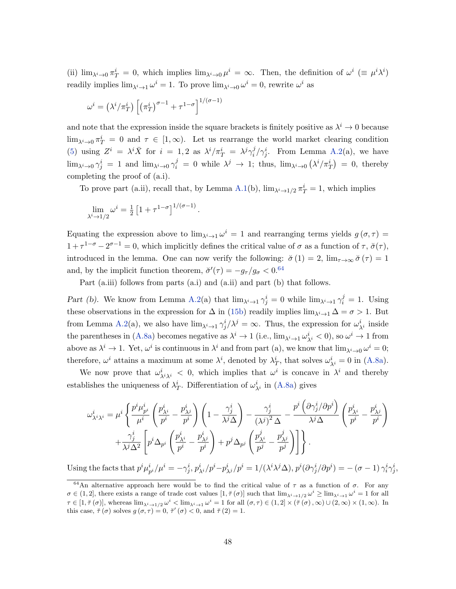(ii)  $\lim_{\lambda^i \to 0} \pi_T^i = 0$ , which implies  $\lim_{\lambda^i \to 0} \mu^i = \infty$ . Then, the definition of  $\omega^i \equiv \mu^i \lambda^i$ readily implies  $\lim_{\lambda^i \to 1} \omega^i = 1$ . To prove  $\lim_{\lambda^i \to 0} \omega^i = 0$ , rewrite  $\omega^i$  as

$$
\omega^{i} = \left(\lambda^{i}/\pi_{T}^{i}\right) \left[\left(\pi_{T}^{i}\right)^{\sigma-1} + \tau^{1-\sigma}\right]^{1/(\sigma-1)}
$$

and note that the expression inside the square brackets is finitely positive as  $\lambda^i \to 0$  because  $\lim_{\lambda^i\to 0}\pi_T^i=0$  and  $\tau\in[1,\infty)$ . Let us rearrange the world market clearing condition [\(5\)](#page-9-1) using  $Z^i = \lambda^i \bar{X}$  for  $i = 1, 2$  as  $\lambda^i / \pi_T^i = \lambda^j \gamma_i^j$  $i^j/\gamma_j^i$ . From Lemma [A.2\(](#page-45-0)a), we have  $\lim_{\lambda^i\to 0} \gamma_j^i = 1$  and  $\lim_{\lambda^i\to 0} \gamma_i^j = 0$  while  $\lambda^j \to 1$ ; thus,  $\lim_{\lambda^i\to 0} (\lambda^i/\pi_T^i) = 0$ , thereby completing the proof of (a.i).

To prove part (a.ii), recall that, by Lemma [A.1\(](#page-43-0)b),  $\lim_{\lambda^i \to 1/2} \pi_T^i = 1$ , which implies

$$
\lim_{\lambda^i \to 1/2} \omega^i = \frac{1}{2} \left[ 1 + \tau^{1-\sigma} \right]^{1/(\sigma-1)}.
$$

Equating the expression above to  $\lim_{\lambda^i \to 1} \omega^i = 1$  and rearranging terms yields  $g(\sigma, \tau) =$  $1 + \tau^{1-\sigma} - 2^{\sigma-1} = 0$ , which implicitly defines the critical value of  $\sigma$  as a function of  $\tau$ ,  $\breve{\sigma}(\tau)$ , introduced in the lemma. One can now verify the following:  $\check{\sigma}(1) = 2$ ,  $\lim_{\tau \to \infty} \check{\sigma}(\tau) = 1$ and, by the implicit function theorem,  $\breve{\sigma}'(\tau) = -g_{\tau}/g_{\sigma} < 0.64$  $\breve{\sigma}'(\tau) = -g_{\tau}/g_{\sigma} < 0.64$ 

Part (a.iii) follows from parts (a.i) and (a.ii) and part (b) that follows.

Part (b). We know from Lemma [A.2\(](#page-45-0)a) that  $\lim_{\lambda^i \to 1} \gamma_j^i = 0$  while  $\lim_{\lambda^i \to 1} \gamma_i^j = 1$ . Using these observations in the expression for  $\Delta$  in [\(15b\)](#page-18-5) readily implies  $\lim_{\lambda^i \to 1} \Delta = \sigma > 1$ . But from Lemma [A.2\(](#page-45-0)a), we also have  $\lim_{\lambda^i \to 1} \gamma_j^i/\lambda^j = \infty$ . Thus, the expression for  $\omega_{\lambda^i}^i$  inside the parentheses in [\(A.8a\)](#page-46-0) becomes negative as  $\lambda^i \to 1$  (i.e.,  $\lim_{\lambda^i \to 1} \omega_{\lambda^i}^i < 0$ ), so  $\omega^i \to 1$  from above as  $\lambda^i \to 1$ . Yet,  $\omega^i$  is continuous in  $\lambda^i$  and from part (a), we know that  $\lim_{\lambda^i \to 0} \omega^i = 0$ ; therefore,  $\omega^i$  attains a maximum at some  $\lambda^i$ , denoted by  $\lambda^i_T$ , that solves  $\omega^i_{\lambda^i} = 0$  in [\(A.8a\)](#page-46-0).

We now prove that  $\omega_{\lambda^i \lambda^i}^i < 0$ , which implies that  $\omega^i$  is concave in  $\lambda^i$  and thereby establishes the uniqueness of  $\lambda_T^i$ . Differentiation of  $\omega_{\lambda^i}^i$  in [\(A.8a\)](#page-46-0) gives

$$
\omega_{\lambda^i \lambda^i}^i = \mu^i \left\{ \frac{p^i \mu_{p^i}^i}{\mu^i} \left( \frac{p_{\lambda^i}^i}{p^i} - \frac{p_{\lambda^j}^i}{p^i} \right) \left( 1 - \frac{\gamma_j^i}{\lambda^j \Delta} \right) - \frac{\gamma_j^i}{(\lambda^j)^2 \Delta} - \frac{p^i \left( \partial \gamma_j^i / \partial p^i \right)}{\lambda^j \Delta} \left( \frac{p_{\lambda^i}^i}{p^i} - \frac{p_{\lambda^j}^i}{p^i} \right) \right. \\ \left. + \frac{\gamma_j^i}{\lambda^j \Delta^2} \left[ p^i \Delta_{p^i} \left( \frac{p_{\lambda^i}^i}{p^i} - \frac{p_{\lambda^j}^i}{p^i} \right) + p^j \Delta_{p^j} \left( \frac{p_{\lambda^i}^j}{p^j} - \frac{p_{\lambda^j}^j}{p^j} \right) \right] \right\}.
$$

Using the facts that  $p^i\mu^i_{p^i}/\mu^i = -\gamma^i_j$ ,  $p^i_{\lambda^i}/p^i - p^i_{\lambda^j}/p^i = 1/(\lambda^i\lambda^j\Delta)$ ,  $p^i(\partial \gamma^i_j/\partial p^i) = -(\sigma - 1)\gamma^i_i\gamma^i_j$ ,

<span id="page-48-0"></span><sup>&</sup>lt;sup>64</sup>An alternative approach here would be to find the critical value of  $\tau$  as a function of  $\sigma$ . For any  $\sigma \in (1,2]$ , there exists a range of trade cost values  $[1, \tilde{\tau}(\sigma)]$  such that  $\lim_{\lambda^i \to 1/2} \omega^i \ge \lim_{\lambda^i \to 1} \omega^i = 1$  for all  $\tau \in [1, \breve{\tau}(\sigma)],$  whereas  $\lim_{\lambda^i \to 1/2} \omega^i < \lim_{\lambda^i \to 1} \omega^i = 1$  for all  $(\sigma, \tau) \in (1, 2] \times (\breve{\tau}(\sigma), \infty) \cup (2, \infty) \times (1, \infty).$  In this case,  $\breve{\tau}(\sigma)$  solves  $g(\sigma,\tau)=0$ ,  $\breve{\tau}'(\sigma)<0$ , and  $\breve{\tau}(2)=1$ .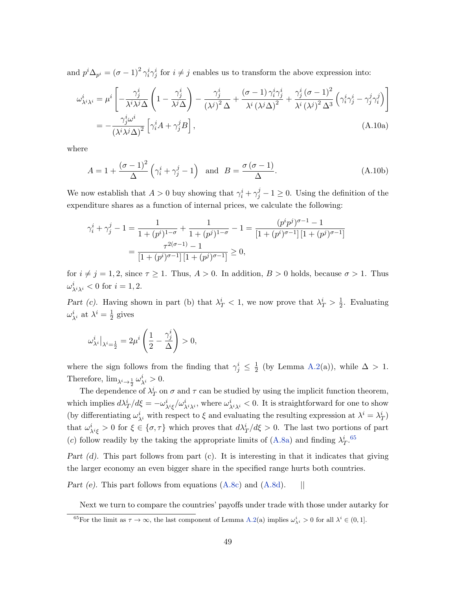and  $p^i \Delta_{p^i} = (\sigma - 1)^2 \gamma_i^i \gamma_j^i$  for  $i \neq j$  enables us to transform the above expression into:

$$
\omega_{\lambda^i \lambda^i}^i = \mu^i \left[ -\frac{\gamma_j^i}{\lambda^i \lambda^j \Delta} \left( 1 - \frac{\gamma_j^i}{\lambda^j \Delta} \right) - \frac{\gamma_j^i}{(\lambda^j)^2 \Delta} + \frac{(\sigma - 1) \gamma_i^i \gamma_j^i}{\lambda^i (\lambda^j \Delta)^2} + \frac{\gamma_j^i (\sigma - 1)^2}{\lambda^i (\lambda^j)^2 \Delta^3} \left( \gamma_i^i \gamma_j^i - \gamma_j^j \gamma_i^j \right) \right]
$$
  
= 
$$
-\frac{\gamma_j^i \omega^i}{(\lambda^i \lambda^j \Delta)^2} \left[ \gamma_i^i A + \gamma_j^j B \right],
$$
(A.10a)

where

<span id="page-49-2"></span><span id="page-49-1"></span>
$$
A = 1 + \frac{(\sigma - 1)^2}{\Delta} \left( \gamma_i^i + \gamma_j^j - 1 \right) \text{ and } B = \frac{\sigma (\sigma - 1)}{\Delta}.
$$
 (A.10b)

We now establish that  $A > 0$  buy showing that  $\gamma_i^i + \gamma_j^j - 1 \ge 0$ . Using the definition of the expenditure shares as a function of internal prices, we calculate the following:

$$
\gamma_i^i + \gamma_j^j - 1 = \frac{1}{1 + (p^i)^{1-\sigma}} + \frac{1}{1 + (p^j)^{1-\sigma}} - 1 = \frac{(p^i p^j)^{\sigma - 1} - 1}{[1 + (p^i)^{\sigma - 1}][1 + (p^j)^{\sigma - 1}]} = \frac{\tau^{2(\sigma - 1)} - 1}{[1 + (p^i)^{\sigma - 1}][1 + (p^j)^{\sigma - 1}]} \ge 0,
$$

for  $i \neq j = 1, 2$ , since  $\tau \geq 1$ . Thus,  $A > 0$ . In addition,  $B > 0$  holds, because  $\sigma > 1$ . Thus  $\omega^i_{\lambda^i \lambda^i} < 0$  for  $i = 1, 2$ .

Part (c). Having shown in part (b) that  $\lambda_T^i < 1$ , we now prove that  $\lambda_T^i > \frac{1}{2}$  $\frac{1}{2}$ . Evaluating  $\omega_{\lambda^i}^i$  at  $\lambda^i = \frac{1}{2}$  $rac{1}{2}$  gives

$$
\omega_{\lambda^i}^i\big|_{\lambda^i=\frac{1}{2}}=2\mu^i\left(\frac{1}{2}-\frac{\gamma_j^i}{\Delta}\right)>0,
$$

where the sign follows from the finding that  $\gamma_j^i \leq \frac{1}{2}$  $\frac{1}{2}$  (by Lemma [A.2\(](#page-45-0)a)), while  $\Delta > 1$ . Therefore,  $\lim_{\lambda^i \to \frac{1}{2}} \omega_{\lambda^i}^i > 0$ .

The dependence of  $\lambda_T^i$  on  $\sigma$  and  $\tau$  can be studied by using the implicit function theorem, which implies  $d\lambda_T^i/d\xi = -\omega_{\lambda^i\xi}^i/\omega_{\lambda^i\lambda^i}^i$ , where  $\omega_{\lambda^i\lambda^i}^i < 0$ . It is straightforward for one to show (by differentiating  $\omega_{\lambda^i}^i$  with respect to  $\xi$  and evaluating the resulting expression at  $\lambda^i = \lambda_T^i$ ) that  $\omega_{\lambda^i\xi}^i > 0$  for  $\xi \in {\sigma, \tau}$  which proves that  $d\lambda_T^i/d\xi > 0$ . The last two portions of part (c) follow readily by the taking the appropriate limits of [\(A.8a\)](#page-46-0) and finding  $\lambda_T^{i}$ .<sup>[65](#page-49-0)</sup>

Part (d). This part follows from part (c). It is interesting in that it indicates that giving the larger economy an even bigger share in the specified range hurts both countries.

Part (e). This part follows from equations  $(A.8c)$  and  $(A.8d)$ . ||

Next we turn to compare the countries' payoffs under trade with those under autarky for

<span id="page-49-0"></span><sup>&</sup>lt;sup>65</sup>For the limit as  $\tau \to \infty$ , the last component of Lemma [A.2\(](#page-45-0)a) implies  $\omega_{\lambda i}^i > 0$  for all  $\lambda^i \in (0,1]$ .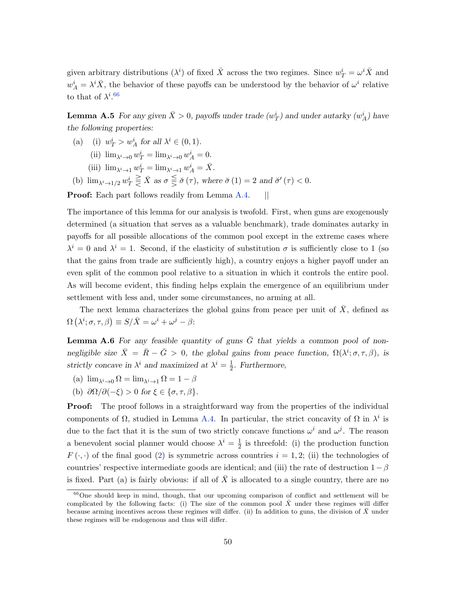<span id="page-50-0"></span>given arbitrary distributions  $(\lambda^i)$  of fixed  $\bar{X}$  across the two regimes. Since  $w_T^i = \omega^i \bar{X}$  and  $w_A^i = \lambda^i \bar{X}$ , the behavior of these payoffs can be understood by the behavior of  $\omega^i$  relative to that of  $\lambda^{i.66}$  $\lambda^{i.66}$  $\lambda^{i.66}$ 

**Lemma A.5** For any given  $\bar{X} > 0$ , payoffs under trade  $(w_T^i)$  and under autarky  $(w_A^i)$  have the following properties:

- (a) (i)  $w_T^i > w_A^i$  for all  $\lambda^i \in (0,1)$ .
	- (ii)  $\lim_{\lambda^i \to 0} w_T^i = \lim_{\lambda^i \to 0} w_A^i = 0.$
	- (iii)  $\lim_{\lambda^i \to 1} w_T^i = \lim_{\lambda^i \to 1} w_A^i = \overline{X}$ .
- (b)  $\lim_{\lambda^i \to 1/2} w_T^i \geq \overline{X}$  as  $\sigma \leq \breve{\sigma}(\tau)$ , where  $\breve{\sigma}(1) = 2$  and  $\breve{\sigma}'(\tau) < 0$ .

**Proof:** Each part follows readily from Lemma [A.4.](#page-47-0) ||

The importance of this lemma for our analysis is twofold. First, when guns are exogenously determined (a situation that serves as a valuable benchmark), trade dominates autarky in payoffs for all possible allocations of the common pool except in the extreme cases where  $\lambda^{i} = 0$  and  $\lambda^{i} = 1$ . Second, if the elasticity of substitution  $\sigma$  is sufficiently close to 1 (so that the gains from trade are sufficiently high), a country enjoys a higher payoff under an even split of the common pool relative to a situation in which it controls the entire pool. As will become evident, this finding helps explain the emergence of an equilibrium under settlement with less and, under some circumstances, no arming at all.

<span id="page-50-1"></span>The next lemma characterizes the global gains from peace per unit of  $X$ , defined as  $\Omega(\lambda^i; \sigma, \tau, \beta) \equiv S/\bar{X} = \omega^i + \omega^j - \beta$ :

**Lemma A.6** For any feasible quantity of guns  $\overline{G}$  that yields a common pool of nonnegligible size  $\bar{X} = \bar{R} - \bar{G} > 0$ , the global gains from peace function,  $\Omega(\lambda^i; \sigma, \tau, \beta)$ , is strictly concave in  $\lambda^i$  and maximized at  $\lambda^i = \frac{1}{2}$  $\frac{1}{2}$ . Furthermore,

- (a)  $\lim_{\lambda^i \to 0} \Omega = \lim_{\lambda^i \to 1} \Omega = 1 \beta$
- (b)  $\partial\Omega/\partial(-\xi) > 0$  for  $\xi \in {\sigma, \tau, \beta}$ .

**Proof:** The proof follows in a straightforward way from the properties of the individual components of  $\Omega$ , studied in Lemma [A.4.](#page-47-0) In particular, the strict concavity of  $\Omega$  in  $\lambda^i$  is due to the fact that it is the sum of two strictly concave functions  $\omega^i$  and  $\omega^j$ . The reason a benevolent social planner would choose  $\lambda^{i} = \frac{1}{2}$  $\frac{1}{2}$  is threefold: (i) the production function  $F(\cdot, \cdot)$  of the final good [\(2\)](#page-8-0) is symmetric across countries  $i = 1, 2$ ; (ii) the technologies of countries' respective intermediate goods are identical; and (iii) the rate of destruction  $1 - \beta$ is fixed. Part (a) is fairly obvious: if all of  $\bar{X}$  is allocated to a single country, there are no

<span id="page-50-2"></span> $66$ One should keep in mind, though, that our upcoming comparison of conflict and settlement will be complicated by the following facts: (i) The size of the common pool  $\bar{X}$  under these regimes will differ because arming incentives across these regimes will differ. (ii) In addition to guns, the division of  $\bar{X}$  under these regimes will be endogenous and thus will differ.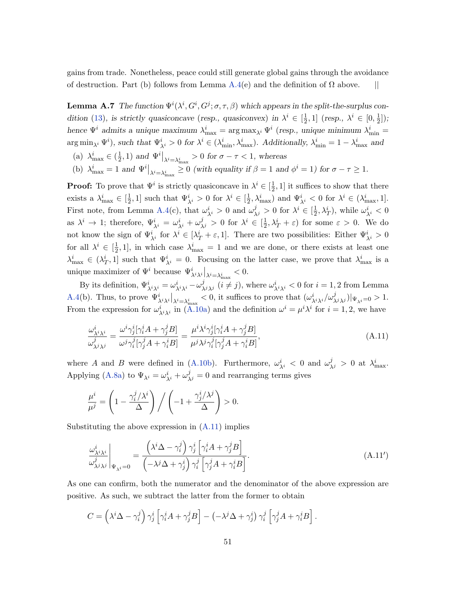gains from trade. Nonetheless, peace could still generate global gains through the avoidance of destruction. Part (b) follows from Lemma [A.4\(](#page-47-0)e) and the definition of  $\Omega$  above.  $||$ 

<span id="page-51-0"></span>**Lemma A.7** The function  $\Psi^i(\lambda^i, G^i; \sigma, \tau, \beta)$  which appears in the split-the-surplus con-dition [\(13\)](#page-17-2), is strictly quasiconcave (resp., quasiconvex) in  $\lambda^{i} \in \left[\frac{1}{2}\right]$  $\frac{1}{2}$ , 1] (resp.,  $\lambda^i \in [0, \frac{1}{2}]$  $\frac{1}{2}$ ]); hence  $\Psi^i$  admits a unique maximum  $\lambda_{\max}^i = \arg \max_{\lambda^i} \Psi^i$  (resp., unique minimum  $\lambda_{\min}^i =$  $\arg \min_{\lambda^i} \Psi^i$ , such that  $\Psi^i_{\lambda^i} > 0$  for  $\lambda^i \in (\lambda^i_{\min}, \lambda^i_{\max})$ . Additionally,  $\lambda^i_{\min} = 1 - \lambda^i_{\max}$  and

- (a)  $\lambda_{\max}^i \in \left(\frac{1}{2}\right)$  $(\frac{1}{2}, 1)$  and  $\Psi^i|_{\lambda_i = \lambda_{\max}^i} > 0$  for  $\sigma - \tau < 1$ , whereas
- (b)  $\lambda_{\max}^i = 1$  and  $\Psi^i|_{\lambda^i = \lambda_{\max}^i} \ge 0$  (with equality if  $\beta = 1$  and  $\phi^i = 1$ ) for  $\sigma \tau \ge 1$ .

**Proof:** To prove that  $\Psi^i$  is strictly quasiconcave in  $\lambda^i \in \left[\frac{1}{2}\right]$  $\frac{1}{2}$ , 1] it suffices to show that there exists a  $\lambda_{\max}^i \in [\frac{1}{2}]$  $\frac{1}{2}$ , 1] such that  $\Psi^i_{\lambda^i} > 0$  for  $\lambda^i \in [\frac{1}{2}]$  $\frac{1}{2}, \lambda_{\max}^i$  and  $\Psi_{\lambda^i}^i < 0$  for  $\lambda^i \in (\lambda_{\max}^i, 1]$ . First note, from Lemma [A.4\(](#page-47-0)c), that  $\omega_{\lambda^i}^i > 0$  and  $\omega_{\lambda^j}^j > 0$  for  $\lambda^i \in [\frac{1}{2}]$  $(\frac{1}{2}, \lambda_T^i)$ , while  $\omega_{\lambda^i}^i < 0$ as  $\lambda^i \to 1$ ; therefore,  $\Psi^i_{\lambda^i} = \omega^i_{\lambda^i} + \omega^j_{\lambda^j} > 0$  for  $\lambda^i \in [\frac{1}{2}]$  $\frac{1}{2}, \lambda_T^i + \varepsilon$  for some  $\varepsilon > 0$ . We do not know the sign of  $\Psi^i_{\lambda^i}$  for  $\lambda^i \in [\lambda^i_T + \varepsilon, 1]$ . There are two possibilities: Either  $\Psi^i_{\lambda^i} > 0$ for all  $\lambda^i \in \left[\frac{1}{2}\right]$  $\frac{1}{2}$ , 1], in which case  $\lambda_{\text{max}}^i = 1$  and we are done, or there exists at least one  $\lambda_{\max}^i \in (\lambda_T^i, 1]$  such that  $\Psi_{\lambda^i}^i = 0$ . Focusing on the latter case, we prove that  $\lambda_{\max}^i$  is a unique maximizer of  $\Psi^i$  because  $\Psi^i_{\lambda^i \lambda^i} |_{\lambda^i = \lambda^i_{\max}} < 0$ .

By its definition,  $\Psi^i_{\lambda^i\lambda^i} = \omega^i_{\lambda^i\lambda^i} - \omega^j_{\lambda^j\lambda^j}$   $(i \neq j)$ , where  $\omega^i_{\lambda^i\lambda^i} < 0$  for  $i = 1, 2$  from Lemma [A.4\(](#page-47-0)b). Thus, to prove  $\Psi^i_{\lambda^i \lambda^i}|_{\lambda^i = \lambda_{\max}^i} < 0$ , it suffices to prove that  $(\omega^i_{\lambda^i \lambda^i}/\omega^j_{\lambda^j \lambda^j})|_{\Psi_{\lambda^i} = 0} > 1$ . From the expression for  $\omega_{\lambda i\lambda i}^i$  in [\(A.10a\)](#page-49-1) and the definition  $\omega^i = \mu^i \lambda^i$  for  $i = 1, 2$ , we have

<span id="page-51-1"></span>
$$
\frac{\omega_{\lambda^i\lambda^i}^i}{\omega_{\lambda^j\lambda^j}^j} = \frac{\omega^i\gamma_j^i[\gamma_i^i A + \gamma_j^j B]}{\omega^j\gamma_i^j[\gamma_j^j A + \gamma_i^i B]} = \frac{\mu^i\lambda^i\gamma_j^i[\gamma_i^i A + \gamma_j^j B]}{\mu^j\lambda^j\gamma_i^j[\gamma_j^j A + \gamma_i^i B]},
$$
\n(A.11)

where A and B were defined in [\(A.10b\)](#page-49-2). Furthermore,  $\omega_{\lambda^i}^i$  < 0 and  $\omega_{\lambda^j}^j$  > 0 at  $\lambda_{\max}^i$ . Applying [\(A.8a\)](#page-46-0) to  $\Psi_{\lambda^i} = \omega_{\lambda^i}^i + \omega_{\lambda^j}^j = 0$  and rearranging terms gives

$$
\frac{\mu^i}{\mu^j} = \left(1 - \frac{\gamma_i^j/\lambda^i}{\Delta}\right) / \left(-1 + \frac{\gamma_j^i/\lambda^j}{\Delta}\right) > 0.
$$

Substituting the above expression in  $(A.11)$  implies

<span id="page-51-3"></span><span id="page-51-2"></span>
$$
\frac{\omega_{\lambda^i \lambda^i}}{\omega_{\lambda^j \lambda^j}^j} \Big|_{\Psi_{\lambda^i} = 0} = \frac{\left(\lambda^i \Delta - \gamma_i^j\right) \gamma_j^i \left[\gamma_i^i A + \gamma_j^j B\right]}{\left(-\lambda^j \Delta + \gamma_j^i\right) \gamma_i^j \left[\gamma_j^j A + \gamma_i^i B\right]}.
$$
\n(A.11')

As one can confirm, both the numerator and the denominator of the above expression are positive. As such, we subtract the latter from the former to obtain

$$
C = \left(\lambda^i \Delta - \gamma_i^j\right) \gamma_j^i \left[\gamma_i^i A + \gamma_j^j B\right] - \left(-\lambda^j \Delta + \gamma_j^i\right) \gamma_i^j \left[\gamma_j^j A + \gamma_i^i B\right].
$$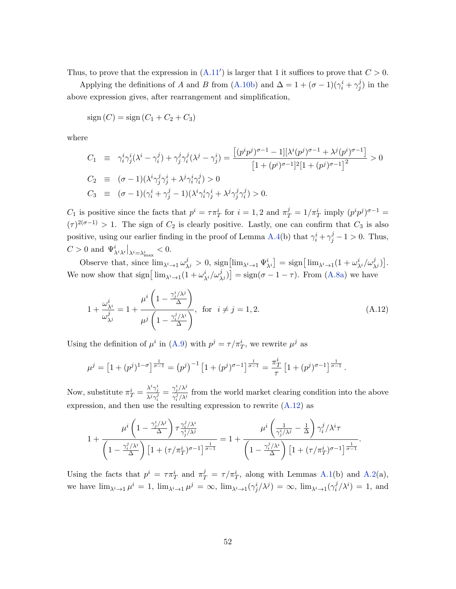Thus, to prove that the expression in  $(A.11')$  $(A.11')$  is larger that 1 it suffices to prove that  $C > 0$ .

Applying the definitions of A and B from [\(A.10b\)](#page-49-2) and  $\Delta = 1 + (\sigma - 1)(\gamma_i^i + \gamma_j^j)$  $j^j$ ) in the above expression gives, after rearrangement and simplification,

$$
sign(C) = sign(C_1 + C_2 + C_3)
$$

where

$$
C_1 \equiv \gamma_i^i \gamma_j^i (\lambda^i - \gamma_i^j) + \gamma_j^j \gamma_i^j (\lambda^j - \gamma_j^i) = \frac{[(p^i p^j)^{\sigma - 1} - 1][\lambda^i (p^j)^{\sigma - 1} + \lambda^j (p^i)^{\sigma - 1}]}{[1 + (p^i)^{\sigma - 1}]^2 [1 + (p^j)^{\sigma - 1}]^2} > 0
$$
  
\n
$$
C_2 \equiv (\sigma - 1)(\lambda^i \gamma_j^j \gamma_j^i + \lambda^j \gamma_i^i \gamma_j^j) > 0
$$
  
\n
$$
C_3 \equiv (\sigma - 1)(\gamma_i^i + \gamma_j^j - 1)(\lambda^i \gamma_i^i \gamma_j^i + \lambda^j \gamma_j^j \gamma_i^j) > 0.
$$

 $C_1$  is positive since the facts that  $p^i = \tau \pi_T^i$  for  $i = 1, 2$  and  $\pi_T^j = 1/\pi_T^i$  imply  $(p^i p^j)^{\sigma - 1} =$  $(\tau)^{2(\sigma-1)} > 1$ . The sign of  $C_2$  is clearly positive. Lastly, one can confirm that  $C_3$  is also positive, using our earlier finding in the proof of Lemma [A.4\(](#page-47-0)b) that  $\gamma_i^i + \gamma_j^j - 1 > 0$ . Thus,  $C > 0$  and  $\Psi^i_{\lambda^i \lambda^i} \big|_{\lambda^i = \lambda^i_{\max}} < 0.$ 

Observe that, since  $\lim_{\lambda^i \to 1} \omega_{\lambda^j}^j > 0$ ,  $\text{sign}\left[\lim_{\lambda^i \to 1} \Psi_{\lambda^i}^i\right] = \text{sign}\left[\lim_{\lambda^i \to 1} (1 + \omega_{\lambda^i}^i/\omega_{\lambda^j}^j)\right]$ . We now show that  $\text{sign}\left[\lim_{\lambda^i \to 1} (1 + \omega_{\lambda^i}^i/\omega_{\lambda^j}^j)\right] = \text{sign}(\sigma - 1 - \tau)$ . From [\(A.8a\)](#page-46-0) we have

$$
1 + \frac{\omega_{\lambda^i}^i}{\omega_{\lambda^j}^j} = 1 + \frac{\mu^i \left(1 - \frac{\gamma_j^i / \lambda^j}{\Delta}\right)}{\mu^j \left(1 - \frac{\gamma_i^j / \lambda^i}{\Delta}\right)}, \text{ for } i \neq j = 1, 2.
$$
 (A.12)

Using the definition of  $\mu^i$  in [\(A.9\)](#page-47-3) with  $p^j = \tau / \pi_T^i$ , we rewrite  $\mu^j$  as

$$
\mu^{j} = \left[1 + (p^{j})^{1-\sigma}\right]^{\frac{1}{\sigma-1}} = (p^{j})^{-1} \left[1 + (p^{j})^{\sigma-1}\right]^{\frac{1}{\sigma-1}} = \frac{\pi_{T}^{i}}{\tau} \left[1 + (p^{j})^{\sigma-1}\right]^{\frac{1}{\sigma-1}}.
$$

Now, substitute  $\pi_T^i = \frac{\lambda^i \gamma_j^i}{\lambda^j \gamma_j^j}$  $\frac{\lambda^i \gamma^i_j}{\lambda^j \gamma^j_i} = \frac{\gamma^i_j/\lambda^j}{\gamma^j_i/\lambda^i}$  $\frac{\partial^j f}{\partial x^j/\lambda^i}$  from the world market clearing condition into the above expression, and then use the resulting expression to rewrite  $(A.12)$  as

$$
1 + \frac{\mu^i \left(1 - \frac{\gamma_j^i/\lambda^j}{\Delta}\right) \tau_{\gamma_j^i/\lambda^j}^{\gamma_j^j/\lambda^i}}{\left(1 - \frac{\gamma_i^j/\lambda^i}{\Delta}\right) \left[1 + (\tau/\pi_T^i)^{\sigma-1}\right]^{\frac{1}{\sigma-1}}} = 1 + \frac{\mu^i \left(\frac{1}{\gamma_j^i/\lambda^j} - \frac{1}{\Delta}\right) \gamma_i^j/\lambda^i \tau}{\left(1 - \frac{\gamma_i^j/\lambda^i}{\Delta}\right) \left[1 + (\tau/\pi_T^i)^{\sigma-1}\right]^{\frac{1}{\sigma-1}}}.
$$

Using the facts that  $p^i = \tau \pi_T^i$  and  $\pi_T^j = \tau / \pi_T^i$ , along with Lemmas [A.1\(](#page-43-0)b) and [A.2\(](#page-45-0)a), we have  $\lim_{\lambda^i \to 1} \mu^i = 1$ ,  $\lim_{\lambda^i \to 1} \mu^j = \infty$ ,  $\lim_{\lambda^i \to 1} (\gamma^i_j/\lambda^j) = \infty$ ,  $\lim_{\lambda^i \to 1} (\gamma^j_i/\lambda^j) = \infty$  $i/\lambda^{i}$  = 1, and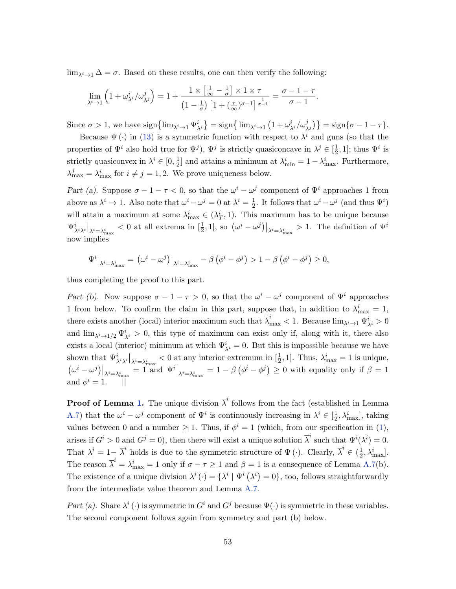$\lim_{\lambda^i \to 1} \Delta = \sigma$ . Based on these results, one can then verify the following:

$$
\lim_{\lambda^i \to 1} \left(1 + \omega_{\lambda^i}^i / \omega_{\lambda^j}^j \right) = 1 + \frac{1 \times \left[\frac{1}{\infty} - \frac{1}{\sigma}\right] \times 1 \times \tau}{\left(1 - \frac{1}{\sigma}\right) \left[1 + \left(\frac{\tau}{\infty}\right)^{\sigma-1}\right]^{\frac{1}{\sigma-1}}} = \frac{\sigma - 1 - \tau}{\sigma - 1}.
$$

Since  $\sigma > 1$ , we have  $\text{sign}\left\{\lim_{\lambda^i \to 1} \Psi^i_{\lambda^i}\right\} = \text{sign}\left\{\lim_{\lambda^i \to 1} \left(1 + \omega^i_{\lambda^i}/\omega^j_{\lambda^j}\right)\right\} = \text{sign}\left\{\sigma - 1 - \tau\right\}.$ 

Because  $\Psi(\cdot)$  in [\(13\)](#page-17-2) is a symmetric function with respect to  $\lambda^{i}$  and guns (so that the properties of  $\Psi^i$  also hold true for  $\Psi^j$ ),  $\Psi^j$  is strictly quasiconcave in  $\lambda^j \in \left[\frac{1}{2}\right]$  $\frac{1}{2}$ , 1]; thus  $\Psi^i$  is strictly quasiconvex in  $\lambda^i \in [0, \frac{1}{2}]$  $\frac{1}{2}$  and attains a minimum at  $\lambda_{\min}^i = 1 - \lambda_{\max}^i$ . Furthermore,  $\lambda_{\max}^j = \lambda_{\max}^i$  for  $i \neq j = 1, 2$ . We prove uniqueness below.

Part (a). Suppose  $\sigma - 1 - \tau < 0$ , so that the  $\omega^{i} - \omega^{j}$  component of  $\Psi^{i}$  approaches 1 from above as  $\lambda^i \to 1$ . Also note that  $\omega^i - \omega^j = 0$  at  $\lambda^i = \frac{1}{2}$  $\frac{1}{2}$ . It follows that  $\omega^{i} - \omega^{j}$  (and thus  $\Psi^{i}$ ) will attain a maximum at some  $\lambda_{\max}^i \in (\lambda_T^i, 1)$ . This maximum has to be unique because  $\Psi^i_{\lambda^i \lambda^i}|_{\lambda^i = \lambda_{\max}^i} < 0$  at all extrema in  $\left[\frac{1}{2}, 1\right]$ , so  $\left(\omega^i - \omega^j\right)|_{\lambda^i = \lambda_{\max}^i} > 1$ . The definition of  $\Psi^i$ now implies

$$
\Psi^{i}\big|_{\lambda^{i}=\lambda^{i}_{\max}} = (\omega^{i} - \omega^{j})\big|_{\lambda^{i}=\lambda^{i}_{\max}} - \beta(\phi^{i} - \phi^{j}) > 1 - \beta(\phi^{i} - \phi^{j}) \ge 0,
$$

thus completing the proof to this part.

Part (b). Now suppose  $\sigma - 1 - \tau > 0$ , so that the  $\omega^{i} - \omega^{j}$  component of  $\Psi^{i}$  approaches 1 from below. To confirm the claim in this part, suppose that, in addition to  $\lambda_{\text{max}}^i = 1$ , there exists another (local) interior maximum such that  $\overline{\lambda}_{\max}^i < 1$ . Because  $\lim_{\lambda^i \to 1} \Psi_{\lambda^i}^i > 0$ and  $\lim_{\lambda^i \to 1/2} \Psi^i_{\lambda^i} > 0$ , this type of maximum can exist only if, along with it, there also exists a local (interior) minimum at which  $\Psi_{\lambda^i}^i = 0$ . But this is impossible because we have shown that  $\Psi^i_{\lambda^i \lambda^i}|_{\lambda^i = \lambda_{\max}^i} < 0$  at any interior extremum in  $[\frac{1}{2}, 1]$ . Thus,  $\lambda_{\max}^i = 1$  is unique,  $\left. \left( \omega^i - \omega^j \right) \right|_{\lambda^i = \lambda_{\text{max}}^i} = 1 \text{ and } \Psi^i \big|_{\lambda^i = \lambda_{\text{max}}^i} = 1 - \beta \left( \phi^i - \phi^j \right) \geq 0 \text{ with equality only if } \beta = 1$ and  $\phi^i = 1$ .  $||$ 

**Proof of Lemma [1.](#page-18-0)** The unique division  $\overline{\lambda}^i$  follows from the fact (established in Lemma [A.7\)](#page-51-0) that the  $\omega^i - \omega^j$  component of  $\Psi^i$  is continuously increasing in  $\lambda^i \in \left[\frac{1}{2}\right]$  $\frac{1}{2}, \lambda_{\text{max}}^i$ , taking values between 0 and a number  $\geq 1$ . Thus, if  $\phi^i = 1$  (which, from our specification in [\(1\)](#page-6-2), arises if  $G^i > 0$  and  $G^j = 0$ , then there will exist a unique solution  $\overline{\lambda}^i$  such that  $\Psi^i(\lambda^i) = 0$ . That  $\Delta^i = 1 - \overline{\lambda}^i$  holds is due to the symmetric structure of  $\Psi(\cdot)$ . Clearly,  $\overline{\lambda}^i \in (\frac{1}{2})$  $\frac{1}{2}, \lambda^i_{\max}].$ The reason  $\overline{\lambda}^i = \lambda_{\text{max}}^i = 1$  only if  $\sigma - \tau \ge 1$  and  $\beta = 1$  is a consequence of Lemma [A.7\(](#page-51-0)b). The existence of a unique division  $\lambda^i(\cdot) = {\lambda^i \mid \Psi^i (\lambda^i) = 0}$ , too, follows straightforwardly from the intermediate value theorem and Lemma [A.7.](#page-51-0)

Part (a). Share  $\lambda^i(\cdot)$  is symmetric in  $G^i$  and  $G^j$  because  $\Psi(\cdot)$  is symmetric in these variables. The second component follows again from symmetry and part (b) below.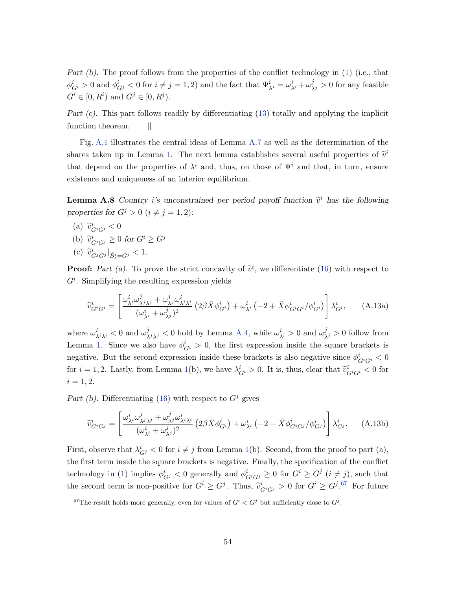Part (b). The proof follows from the properties of the conflict technology in [\(1\)](#page-6-2) (i.e., that  $\phi_{G^i}^i > 0$  and  $\phi_{G^j}^i < 0$  for  $i \neq j = 1, 2$ ) and the fact that  $\Psi_{\lambda^i}^i = \omega_{\lambda^i}^i + \omega_{\lambda^j}^j > 0$  for any feasible  $G^i \in [0, R^i)$  and  $G^j \in [0, R^j)$ .

Part (c). This part follows readily by differentiating [\(13\)](#page-17-2) totally and applying the implicit function theorem. ||

Fig. [A.1](#page-68-0) illustrates the central ideas of Lemma [A.7](#page-51-0) as well as the determination of the shares taken up in Lemma [1.](#page-18-0) The next lemma establishes several useful properties of  $\tilde{v}^i$ that depend on the properties of  $\lambda^i$  and, thus, on those of  $\Psi^i$  and that, in turn, ensure existence and uniqueness of an interior equilibrium.

<span id="page-54-0"></span>**Lemma A.8** Country *i*'s unconstrained per period payoff function  $\tilde{v}^i$  has the following properties for  $G^j > 0$   $(i \neq j = 1, 2)$ :

(a)  $\widetilde{v}_{G^iG^i}^i < 0$ (b)  $\widetilde{v}_{G^iG^j}^i \geq 0$  for  $G^i \geq G^j$ (c)  $\tilde{v}_{G^j G^j}^i|_{\tilde{B}_s^i = G^j} < 1.$ 

**Proof:** Part (a). To prove the strict concavity of  $\tilde{v}^i$ , we differentiate [\(16\)](#page-19-0) with respect to  $G^i$ . Simplifying the resulting expression yields

<span id="page-54-3"></span>
$$
\widetilde{v}_{G^iG^i}^i = \left[ \frac{\omega_{\lambda i}^i \omega_{\lambda j \lambda j}^j + \omega_{\lambda j}^j \omega_{\lambda i \lambda i}^i}{(\omega_{\lambda i}^i + \omega_{\lambda j}^j)^2} \left( 2\beta \bar{X} \phi_{G^i}^i \right) + \omega_{\lambda i}^i \left( -2 + \bar{X} \phi_{G^i G^i}^i / \phi_{G^i}^i \right) \right] \lambda_{G^i}^i, \tag{A.13a}
$$

where  $\omega_{\lambda i}^i_{\lambda i}$  < 0 and  $\omega_{\lambda i}^j$  < 0 hold by Lemma [A.4,](#page-47-0) while  $\omega_{\lambda i}^i > 0$  and  $\omega_{\lambda j}^j > 0$  follow from Lemma [1.](#page-18-0) Since we also have  $\phi_{G_i}^i > 0$ , the first expression inside the square brackets is negative. But the second expression inside these brackets is also negative since  $\phi_{G^iG^i}^i$   $< 0$ for  $i = 1, 2$ . Lastly, from Lemma [1\(](#page-18-0)b), we have  $\lambda_{G_i}^i > 0$ . It is, thus, clear that  $\tilde{v}_{G^iG^i}^i < 0$  for  $i = 1, 2.$ 

Part (b). Differentiating [\(16\)](#page-19-0) with respect to  $G<sup>j</sup>$  gives

<span id="page-54-2"></span>
$$
\widetilde{v}_{G^iG^j}^i = \left[ \frac{\omega_{\lambda i}^i \omega_{\lambda j \lambda j}^j + \omega_{\lambda j}^j \omega_{\lambda i \lambda i}^i}{(\omega_{\lambda i}^i + \omega_{\lambda j}^j)^2} \left( 2\beta \bar{X} \phi_{G^i}^i \right) + \omega_{\lambda i}^i \left( -2 + \bar{X} \phi_{G^i G^j}^i / \phi_{G^j}^i \right) \right] \lambda_{G^j}^i. \tag{A.13b}
$$

First, observe that  $\lambda_{G^j}^i < 0$  for  $i \neq j$  from Lemma [1\(](#page-18-0)b). Second, from the proof to part (a), the first term inside the square brackets is negative. Finally, the specification of the conflict technology in [\(1\)](#page-6-2) implies  $\phi_{G^j}^i < 0$  generally and  $\phi_{G^iG^j}^i \geq 0$  for  $G^i \geq G^j$   $(i \neq j)$ , such that the second term is non-positive for  $G^i \geq G^j$ . Thus,  $\tilde{v}^i_{G^iG^j} > 0$  for  $G^i \geq G^j$ . For future

<span id="page-54-1"></span><sup>&</sup>lt;sup>67</sup>The result holds more generally, even for values of  $G<sup>i</sup> < G<sup>j</sup>$  but sufficiently close to  $G<sup>j</sup>$ .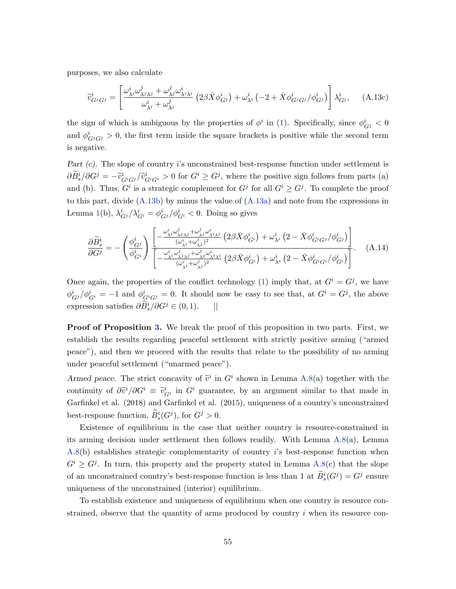purposes, we also calculate

<span id="page-55-1"></span>
$$
\widetilde{v}_{G^jG^j}^i = \left[ \frac{\omega_{\lambda^i}^i \omega_{\lambda^j \lambda^j}^j + \omega_{\lambda^j}^j \omega_{\lambda^i \lambda^i}^i}{\omega_{\lambda^i}^i + \omega_{\lambda^j}^j} \left( 2\beta \bar{X} \phi_{G^j}^i \right) + \omega_{\lambda^i}^i \left( -2 + \bar{X} \phi_{G^jG^j}^i / \phi_{G^j}^i \right) \right] \lambda_{G^j}^i, \quad \text{(A.13c)}
$$

the sign of which is ambiguous by the properties of  $\phi^i$  in [\(1\)](#page-6-2). Specifically, since  $\phi^i_{G^j} < 0$ and  $\phi_{G^jG^j}^i > 0$ , the first term inside the square brackets is positive while the second term is negative.

Part  $(c)$ . The slope of country i's unconstrained best-response function under settlement is  $\partial \tilde{B}_{s}^{i}/\partial G^{j} = -\tilde{v}_{G^{i}G^{j}}^{i}/\tilde{v}_{G^{i}G^{i}}^{i} > 0$  for  $G^{i} \geq G^{j}$ , where the positive sign follows from parts (a) and (b). Thus,  $G^i$  is a strategic complement for  $G^j$  for all  $G^i \geq G^j$ . To complete the proof to this part, divide  $(A.13b)$  by minus the value of  $(A.13a)$  and note from the expressions in Lemma [1\(](#page-18-0)b),  $\lambda_{G^j}^i/\lambda_{G^i}^i = \phi_{G^j}^i/\phi_{G^i}^i < 0$ . Doing so gives

<span id="page-55-0"></span>
$$
\frac{\partial \widetilde{B}_{s}^{i}}{\partial G^{j}} = -\left(\frac{\phi_{G^{j}}^{i}}{\phi_{G^{i}}^{i}}\right) \frac{\left[-\frac{\omega_{\lambda}^{i}i\omega_{\lambda}^{j}j\lambda_{j}^{i} + \omega_{\lambda}^{j}j^{\alpha_{\lambda}^{i}}\lambda_{i}}{\left(\omega_{\lambda}^{i} + \omega_{\lambda}^{j}\right)^{2}} \left(2\beta\bar{X}\phi_{G^{i}}^{i}\right) + \omega_{\lambda}^{i}\left(2-\bar{X}\phi_{G^{i}G^{j}}^{i}/\phi_{G^{j}}^{i}\right)\right]}{\left[-\frac{\omega_{\lambda}^{i}i\omega_{\lambda}^{j}j\lambda_{j}^{i} + \omega_{\lambda}^{j}j^{\alpha_{\lambda}^{i}}\lambda_{i}}{\left(\omega_{\lambda}^{i} + \omega_{\lambda}^{j}\right)^{2}} \left(2\beta\bar{X}\phi_{G^{i}}^{i}\right) + \omega_{\lambda}^{i}\left(2-\bar{X}\phi_{G^{i}G^{i}}^{i}/\phi_{G^{i}}^{i}\right)\right]}.
$$
\n(A.14)

Once again, the properties of the conflict technology [\(1\)](#page-6-2) imply that, at  $G^i = G^j$ , we have  $\phi_{G}^{i}/\phi_{G}^{i} = -1$  and  $\phi_{G^{i}G^{j}}^{i} = 0$ . It should now be easy to see that, at  $G^{i} = G^{j}$ , the above expression satisfies  $\partial \widetilde{B}_s^i/\partial G^j \in (0,1)$ . ||

**Proof of Proposition [3.](#page-21-0)** We break the proof of this proposition in two parts. First, we establish the results regarding peaceful settlement with strictly positive arming ("armed peace"), and then we proceed with the results that relate to the possibility of no arming under peaceful settlement ("unarmed peace").

Armed peace. The strict concavity of  $\tilde{v}^i$  in  $G^i$  shown in Lemma [A.8\(](#page-54-0)a) together with the continuity of  $\partial \tilde{v}^i/\partial G^i \equiv \tilde{v}_{G^i}^i$  in  $G^i$  guarantee, by an argument similar to that made in Garfinkel et al. (2018) and Garfinkel et al. (2015), uniqueness of a country's unconstrained best-response function,  $\widetilde{B}_s^i(G^j)$ , for  $G^j > 0$ .

Existence of equilibrium in the case that neither country is resource-constrained in its arming decision under settlement then follows readily. With Lemma [A.8\(](#page-54-0)a), Lemma [A.8\(](#page-54-0)b) establishes strategic complementarity of country i's best-response function when  $G^i \geq G^j$ . In turn, this property and the property stated in Lemma [A.8\(](#page-54-0)c) that the slope of an unconstrained country's best-response function is less than 1 at  $\widetilde{B}_s^i(G^j) = G^j$  ensure uniqueness of the unconstrained (interior) equilibrium.

To establish existence and uniqueness of equilibrium when one country is resource constrained, observe that the quantity of arms produced by country i when its resource con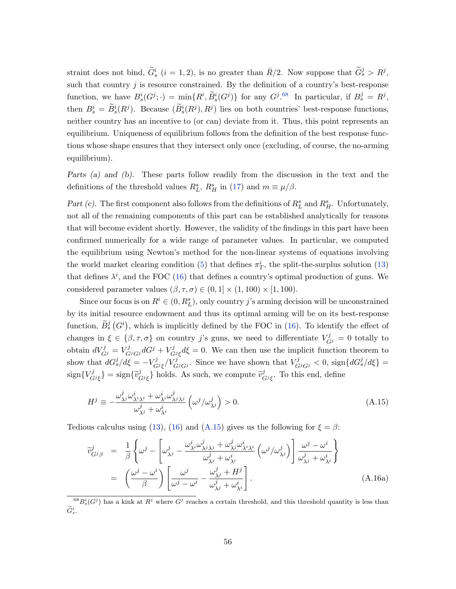straint does not bind,  $\tilde{G}_s^i$   $(i = 1, 2)$ , is no greater than  $\bar{R}/2$ . Now suppose that  $\tilde{G}_s^j > R^j$ , such that country  $j$  is resource constrained. By the definition of a country's best-response function, we have  $B_s^i(G^j; \cdot) = \min_{\sim} \{R^i, \widetilde{B}_s^i(G^j)\}\$ for any  $G^j$ .<sup>[68](#page-56-0)</sup> In particular, if  $B_s^j = R^j$ , then  $B_s^i = \tilde{B}_s^i(R^j)$ . Because  $(\tilde{B}_s^i(R^j), R^j)$  lies on both countries' best-response functions, neither country has an incentive to (or can) deviate from it. Thus, this point represents an equilibrium. Uniqueness of equilibrium follows from the definition of the best response functions whose shape ensures that they intersect only once (excluding, of course, the no-arming equilibrium).

Parts (a) and (b). These parts follow readily from the discussion in the text and the definitions of the threshold values  $R_L^s$ ,  $R_H^s$  in [\(17\)](#page-21-1) and  $m \equiv \mu/\beta$ .

Part (c). The first component also follows from the definitions of  $R_L^s$  and  $R_H^s$ . Unfortunately, not all of the remaining components of this part can be established analytically for reasons that will become evident shortly. However, the validity of the findings in this part have been confirmed numerically for a wide range of parameter values. In particular, we computed the equilibrium using Newton's method for the non-linear systems of equations involving the world market clearing condition [\(5\)](#page-9-1) that defines  $\pi_T^i$ , the split-the-surplus solution [\(13\)](#page-17-2) that defines  $\lambda^i$ , and the FOC [\(16\)](#page-19-0) that defines a country's optimal production of guns. We considered parameter values  $(\beta, \tau, \sigma) \in (0, 1] \times (1, 100) \times [1, 100)$ .

Since our focus is on  $R^i \in (0, R^s_L)$ , only country j's arming decision will be unconstrained by its initial resource endowment and thus its optimal arming will be on its best-response function,  $\tilde{B}_s^j(G^i)$ , which is implicitly defined by the FOC in [\(16\)](#page-19-0). To identify the effect of changes in  $\xi \in {\beta, \tau, \sigma}$  on country j's guns, we need to differentiate  $V_{Gj}^j = 0$  totally to obtain  $dV_{Gj}^j = V_{G^jG^j}^j dG^j + V_G^j$  $G_{\ell j}^{J} \xi d\xi = 0$ . We can then use the implicit function theorem to show that  $dG_s^j/d\xi = -V_G^j$  $\int_{G^j\xi}^{f^j}/V_{G^jG^j}^{j'}$ . Since we have shown that  $V_{G^jG^j}^j < 0$ , sign $\{dG_s^j/d\xi\} =$  $\text{sign}\{V^j_C$  $\{G^j\}_{G^j\xi}$ } = sign $\{\widetilde{v}_G^j\}$  $\{\vec{c}_{Gj\xi}\}\)$  holds. As such, we compute  $\tilde{v}_{Gj\xi}^j$  $_{G^{j}\xi}^{j}$ . To this end, define

<span id="page-56-1"></span>
$$
H^{j} \equiv -\frac{\omega_{\lambda^{j}}^{j} \omega_{\lambda^{i}\lambda^{i}}^{i} + \omega_{\lambda^{i}}^{i} \omega_{\lambda^{j}\lambda^{j}}^{j}}{\omega_{\lambda^{j}}^{j} + \omega_{\lambda^{i}}^{i}} \left(\omega^{j}/\omega_{\lambda^{j}}^{j}\right) > 0.
$$
\n(A.15)

Tedious calculus using [\(13\)](#page-17-2), [\(16\)](#page-19-0) and [\(A.15\)](#page-56-1) gives us the following for  $\xi = \beta$ :

<span id="page-56-2"></span>
$$
\widetilde{v}_{G^j\beta}^j = \frac{1}{\beta} \left\{ \omega^j - \left[ \omega_{\lambda^j}^j - \frac{\omega_{\lambda^i}^i \omega_{\lambda^j \lambda^j}^j + \omega_{\lambda^j}^j \omega_{\lambda^i \lambda^i}^i}{\omega_{\lambda^j}^j + \omega_{\lambda^i}^i} \left( \omega^j / \omega_{\lambda^j}^j \right) \right] \frac{\omega^j - \omega^i}{\omega_{\lambda^j}^j + \omega_{\lambda^i}^i} \right\}
$$
\n
$$
= \left( \frac{\omega^j - \omega^i}{\beta} \right) \left[ \frac{\omega^j}{\omega^j - \omega^i} - \frac{\omega_{\lambda^j}^j + H^j}{\omega_{\lambda^j}^j + \omega_{\lambda^i}^i} \right].
$$
\n(A.16a)

<span id="page-56-0"></span> ${}^{68}B_s^i(G^j)$  has a kink at  $R^j$  where  $G^j$  reaches a certain threshold, and this threshold quantity is less than  $\widetilde{G}^i_s$ .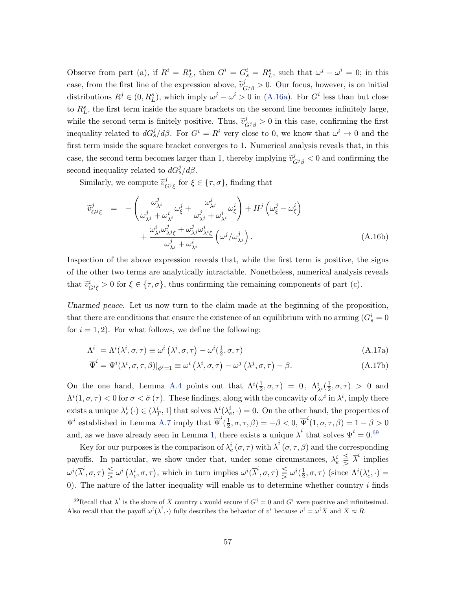Observe from part (a), if  $R^i = R^s_L$ , then  $G^i = G^i_s = R^s_L$ , such that  $\omega^j - \omega^i = 0$ ; in this case, from the first line of the expression above,  $\tilde{v}_{G^j\beta}^j > 0$ . Our focus, however, is on initial distributions  $R^j \in (0, R_L^s)$ , which imply  $\omega^j - \omega^i > 0$  in [\(A.16a\)](#page-56-2). For  $G^i$  less than but close to  $R_L^s$ , the first term inside the square brackets on the second line becomes infinitely large, while the second term is finitely positive. Thus,  $\tilde{v}_{Gj\beta}^j > 0$  in this case, confirming the first inequality related to  $dG_s^j/d\beta$ . For  $G^i = R^i$  very close to 0, we know that  $\omega^i \to 0$  and the first term inside the square bracket converges to 1. Numerical analysis reveals that, in this case, the second term becomes larger than 1, thereby implying  $\tilde{v}_{Gj\beta}^j < 0$  and confirming the second inequality related to  $dG_s^j/d\beta$ .

Similarly, we compute  $\tilde{v}_{\zeta}^j$  $\mathcal{G}_{Gj_{\xi}}$  for  $\xi \in {\{\tau, \sigma\}}$ , finding that

$$
\widetilde{v}_{G^{j}\xi}^{j} = -\left(\frac{\omega_{\lambda^{i}}^{j}}{\omega_{\lambda^{j}}^{j} + \omega_{\lambda^{i}}^{i}}\omega_{\xi}^{j} + \frac{\omega_{\lambda^{j}}^{j}}{\omega_{\lambda^{j}}^{j} + \omega_{\lambda^{i}}^{i}}\omega_{\xi}^{i}\right) + H^{j}\left(\omega_{\xi}^{j} - \omega_{\xi}^{i}\right) + \frac{\omega_{\lambda^{i}}^{i}\omega_{\lambda^{j}\xi}^{j} + \omega_{\lambda^{j}}^{j}\omega_{\lambda^{i}\xi}^{i}}{\omega_{\lambda^{j}}^{j} + \omega_{\lambda^{i}}^{i}}\left(\omega^{j}/\omega_{\lambda^{j}}^{j}\right).
$$
\n(A.16b)

Inspection of the above expression reveals that, while the first term is positive, the signs of the other two terms are analytically intractable. Nonetheless, numerical analysis reveals that  $\tilde{v}_{G^{i}\xi}^{i} > 0$  for  $\xi \in {\tau, \sigma}$ , thus confirming the remaining components of part (c).

Unarmed peace. Let us now turn to the claim made at the beginning of the proposition, that there are conditions that ensure the existence of an equilibrium with no arming  $(G_s^i = 0)$ for  $i = 1, 2$ . For what follows, we define the following:

$$
\Lambda^{i} = \Lambda^{i}(\lambda^{i}, \sigma, \tau) \equiv \omega^{i}(\lambda^{i}, \sigma, \tau) - \omega^{i}(\frac{1}{2}, \sigma, \tau)
$$
\n(A.17a)

$$
\overline{\Psi}^i = \Psi^i(\lambda^i, \sigma, \tau, \beta)|_{\phi^i = 1} \equiv \omega^i(\lambda^i, \sigma, \tau) - \omega^j(\lambda^j, \sigma, \tau) - \beta.
$$
\n(A.17b)

On the one hand, Lemma [A.4](#page-47-0) points out that  $\Lambda^i(\frac{1}{2})$  $(\frac{1}{2}, \sigma, \tau) = 0, \ \Lambda^i_{\lambda^i}(\frac{1}{2})$  $(\frac{1}{2}, \sigma, \tau) > 0$  and  $\Lambda^{i}(1,\sigma,\tau) < 0$  for  $\sigma < \check{\sigma}(\tau)$ . These findings, along with the concavity of  $\omega^{i}$  in  $\lambda^{i}$ , imply there exists a unique  $\lambda_e^i(\cdot) \in (\lambda_T^i, 1]$  that solves  $\Lambda^i(\lambda_e^i, \cdot) = 0$ . On the other hand, the properties of  $\Psi^i$  established in Lemma [A.7](#page-51-0) imply that  $\overline{\Psi}^i(\frac{1}{2})$  $(\frac{1}{2}, \sigma, \tau, \beta) = -\beta < 0, \overline{\Psi}^i(1, \sigma, \tau, \beta) = 1 - \beta > 0$ and, as we have already seen in Lemma [1,](#page-18-0) there exists a unique  $\overline{\lambda}^i$  that solves  $\overline{\Psi}^i = 0.69$  $\overline{\Psi}^i = 0.69$ 

Key for our purposes is the comparison of  $\lambda_e^i$   $(\sigma, \tau)$  with  $\overline{\lambda}^i$   $(\sigma, \tau, \beta)$  and the corresponding payoffs. In particular, we show under that, under some circumstances,  $\lambda_e^i \leq \overline{\lambda}^i$  implies  $\omega^{i}(\overline{\lambda}^{i}, \sigma, \tau) \leqq \omega^{i}(\lambda_{e}^{i}, \sigma, \tau)$ , which in turn implies  $\omega^{i}(\overline{\lambda}^{i}, \sigma, \tau) \leqq \omega^{i}(\frac{1}{2})$  $(\frac{1}{2}, \sigma, \tau)$  (since  $\Lambda^i(\lambda_e^i, \cdot)$  = 0). The nature of the latter inequality will enable us to determine whether country  $i$  finds

<span id="page-57-0"></span><sup>&</sup>lt;sup>69</sup>Recall that  $\overline{\lambda}^i$  is the share of  $\overline{X}$  country i would secure if  $G^j = 0$  and  $G^i$  were positive and infinitesimal. Also recall that the payoff  $\omega^i(\overline{\lambda}^i, \cdot)$  fully describes the behavior of  $v^i$  because  $v^i = \omega^i \overline{X}$  and  $\overline{X} \approx \overline{R}$ .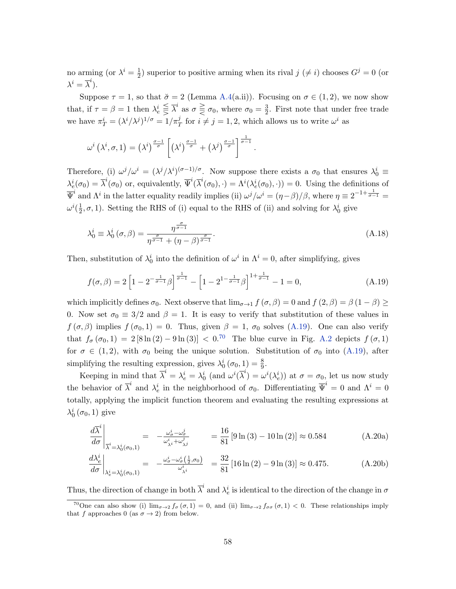no arming (or  $\lambda^i = \frac{1}{2}$  $\frac{1}{2}$ ) superior to positive arming when its rival  $j \neq i$ ) chooses  $G^{j} = 0$  (or  $\lambda^i = \overline{\lambda}^i$ ).

Suppose  $\tau = 1$ , so that  $\breve{\sigma} = 2$  (Lemma [A.4\(](#page-47-0)a.ii)). Focusing on  $\sigma \in (1, 2)$ , we now show that, if  $\tau = \beta = 1$  then  $\lambda_e^i \leq \overline{\lambda}^i$  as  $\sigma \geq \sigma_0$ , where  $\sigma_0 = \frac{3}{2}$  $\frac{3}{2}$ . First note that under free trade we have  $\pi_T^i = (\lambda^i/\lambda^j)^{1/\sigma} = 1/\pi_T^j$  for  $i \neq j = 1, 2$ , which allows us to write  $\omega^i$  as

$$
\omega^{i}(\lambda^{i}, \sigma, 1) = (\lambda^{i})^{\frac{\sigma-1}{\sigma}} \left[ (\lambda^{i})^{\frac{\sigma-1}{\sigma}} + (\lambda^{j})^{\frac{\sigma-1}{\sigma}} \right]^{\frac{1}{\sigma-1}}.
$$

Therefore, (i)  $\omega^j/\omega^i = (\lambda^j/\lambda^i)^{(\sigma-1)/\sigma}$ . Now suppose there exists a  $\sigma_0$  that ensures  $\lambda_0^i \equiv$  $\lambda_e^i(\sigma_0) = \overline{\lambda}^i(\sigma_0)$  or, equivalently,  $\overline{\Psi}^i(\overline{\lambda}^i(\sigma_0), \cdot) = \Lambda^i(\lambda_e^i(\sigma_0), \cdot) = 0$ . Using the definitions of  $\overline{\Psi}^i$  and  $\Lambda^i$  in the latter equality readily implies (ii)  $\omega^j/\omega^i = (\eta - \beta)/\beta$ , where  $\eta \equiv 2^{-1+\frac{1}{\sigma-1}} =$  $\omega^{i}(\frac{1}{2}% ,\vec{r}^{\prime })=\left( \frac{1}{2},\vec{r}^{\prime }\right) ^{i}$  $\frac{1}{2}, \sigma, 1$ ). Setting the RHS of (i) equal to the RHS of (ii) and solving for  $\lambda_0^i$  give

$$
\lambda_0^i \equiv \lambda_0^i \left( \sigma, \beta \right) = \frac{\eta^{\frac{\sigma}{\sigma - 1}}}{\eta^{\frac{\sigma}{\sigma - 1}} + (\eta - \beta)^{\frac{\sigma}{\sigma - 1}}}.
$$
\n(A.18)

Then, substitution of  $\lambda_0^i$  into the definition of  $\omega^i$  in  $\Lambda^i = 0$ , after simplifying, gives

<span id="page-58-0"></span>
$$
f(\sigma,\beta) = 2\left[1 - 2^{-\frac{1}{\sigma-1}}\beta\right]^{\frac{1}{\sigma-1}} - \left[1 - 2^{1-\frac{1}{\sigma-1}}\beta\right]^{1+\frac{1}{\sigma-1}} - 1 = 0,
$$
\n(A.19)

which implicitly defines  $\sigma_0$ . Next observe that  $\lim_{\sigma\to 1} f(\sigma,\beta) = 0$  and  $f(2,\beta) = \beta(1-\beta) \ge$ 0. Now set  $\sigma_0 \equiv 3/2$  and  $\beta = 1$ . It is easy to verify that substitution of these values in  $f(\sigma, \beta)$  implies  $f(\sigma_0, 1) = 0$ . Thus, given  $\beta = 1$ ,  $\sigma_0$  solves [\(A.19\)](#page-58-0). One can also verify that  $f_{\sigma}(\sigma_0, 1) = 2 [8 \ln(2) - 9 \ln(3)] < 0^{70}$  $f_{\sigma}(\sigma_0, 1) = 2 [8 \ln(2) - 9 \ln(3)] < 0^{70}$  $f_{\sigma}(\sigma_0, 1) = 2 [8 \ln(2) - 9 \ln(3)] < 0^{70}$  The blue curve in Fig. [A.2](#page-69-0) depicts  $f(\sigma, 1)$ for  $\sigma \in (1, 2)$ , with  $\sigma_0$  being the unique solution. Substitution of  $\sigma_0$  into [\(A.19\)](#page-58-0), after simplifying the resulting expression, gives  $\lambda_0^i(\sigma_0, 1) = \frac{8}{9}$ .

Keeping in mind that  $\overline{\lambda}^i = \lambda_e^i = \lambda_0^i$  (and  $\omega^i(\overline{\lambda}^i) = \omega^i(\lambda_e^i)$ ) at  $\sigma = \sigma_0$ , let us now study the behavior of  $\overline{\lambda}^i$  and  $\lambda_e^i$  in the neighborhood of  $\sigma_0$ . Differentiating  $\overline{\Psi}^i = 0$  and  $\Lambda^i = 0$ totally, applying the implicit function theorem and evaluating the resulting expressions at  $\lambda_0^i\left(\sigma_0, 1\right)$  give

<span id="page-58-2"></span>
$$
\left. \frac{d\overline{\lambda}^i}{d\sigma} \right|_{\overline{\lambda}^i = \lambda_0^i(\sigma_0, 1)} = -\frac{\omega_\sigma^i - \omega_\sigma^j}{\omega_{\lambda^i}^i + \omega_{\lambda^j}^j} = \frac{16}{81} \left[ 9 \ln(3) - 10 \ln(2) \right] \approx 0.584 \tag{A.20a}
$$

$$
\frac{d\lambda_e^i}{d\sigma}\bigg|_{\lambda_e^i = \lambda_0^i(\sigma_0, 1)} = -\frac{\omega_\sigma^i - \omega_\sigma^i(\frac{1}{2}, \sigma_0)}{\omega_{\lambda^i}^i} = \frac{32}{81} \left[16\ln(2) - 9\ln(3)\right] \approx 0.475. \tag{A.20b}
$$

Thus, the direction of change in both  $\overline{\lambda}^i$  and  $\lambda_e^i$  is identical to the direction of the change in  $\sigma$ 

<span id="page-58-1"></span><sup>&</sup>lt;sup>70</sup>One can also show (i)  $\lim_{\sigma\to 2} f_{\sigma}(\sigma,1) = 0$ , and (ii)  $\lim_{\sigma\to 2} f_{\sigma}(\sigma,1) < 0$ . These relationships imply that f approaches 0 (as  $\sigma \to 2$ ) from below.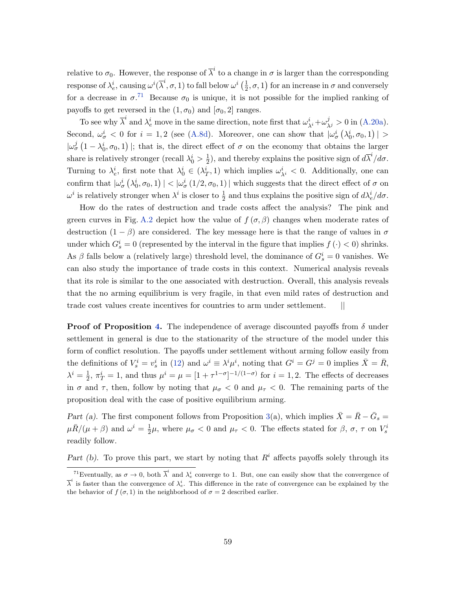relative to  $\sigma_0$ . However, the response of  $\overline{\lambda}^i$  to a change in  $\sigma$  is larger than the corresponding response of  $\lambda_e^i$ , causing  $\omega^i(\overline{\lambda}^i, \sigma, 1)$  to fall below  $\omega^i\left(\frac{1}{2}\right)$  $(\frac{1}{2}, \sigma, 1)$  for an increase in  $\sigma$  and conversely for a decrease in  $\sigma^{71}$  $\sigma^{71}$  $\sigma^{71}$  Because  $\sigma_0$  is unique, it is not possible for the implied ranking of payoffs to get reversed in the  $(1, \sigma_0)$  and  $[\sigma_0, 2]$  ranges.

To see why  $\overline{\lambda}^i$  and  $\lambda_e^i$  move in the same direction, note first that  $\omega_{\lambda^i}^i + \omega_{\lambda^j}^j > 0$  in [\(A.20a\)](#page-58-2). Second,  $\omega_{\sigma}^{i} < 0$  for  $i = 1, 2$  (see [\(A.8d\)](#page-46-2). Moreover, one can show that  $|\omega_{\sigma}^{i}(\lambda_{0}^{i}, \sigma_{0}, 1)| >$  $|\omega_{\sigma}^{j}(1-\lambda_{0}^{i},\sigma_{0},1)|$ ; that is, the direct effect of  $\sigma$  on the economy that obtains the larger share is relatively stronger (recall  $\lambda_0^i > \frac{1}{2}$  $\frac{1}{2}$ , and thereby explains the positive sign of  $d\overline{\lambda}^i/d\sigma$ . Turning to  $\lambda_e^i$ , first note that  $\lambda_0^i \in (\lambda_T^i, 1)$  which implies  $\omega_{\lambda_i}^i < 0$ . Additionally, one can confirm that  $|\omega_{\sigma}^{i}(\lambda_{0}^{i}, \sigma_{0}, 1)| < |\omega_{\sigma}^{i}(1/2, \sigma_{0}, 1)|$  which suggests that the direct effect of  $\sigma$  on  $\omega^i$  is relatively stronger when  $\lambda^i$  is closer to  $\frac{1}{2}$  and thus explains the positive sign of  $d\lambda_e^i/d\sigma$ .

How do the rates of destruction and trade costs affect the analysis? The pink and green curves in Fig. [A.2](#page-69-0) depict how the value of  $f(\sigma, \beta)$  changes when moderate rates of destruction  $(1 - \beta)$  are considered. The key message here is that the range of values in  $\sigma$ under which  $G_s^i = 0$  (represented by the interval in the figure that implies  $f(\cdot) < 0$ ) shrinks. As  $\beta$  falls below a (relatively large) threshold level, the dominance of  $G_s^i = 0$  vanishes. We can also study the importance of trade costs in this context. Numerical analysis reveals that its role is similar to the one associated with destruction. Overall, this analysis reveals that the no arming equilibrium is very fragile, in that even mild rates of destruction and trade cost values create incentives for countries to arm under settlement. ||

**Proof of Proposition [4.](#page-23-2)** The independence of average discounted payoffs from  $\delta$  under settlement in general is due to the stationarity of the structure of the model under this form of conflict resolution. The payoffs under settlement without arming follow easily from the definitions of  $V_s^i = v_s^i$  in [\(12\)](#page-16-4) and  $\omega^i \equiv \lambda^i \mu^i$ , noting that  $G^i = G^j = 0$  implies  $\bar{X} = \bar{R}$ ,  $\lambda^i=\frac{1}{2}$  $\frac{1}{2}$ ,  $\pi_T^i = 1$ , and thus  $\mu^i = \mu = [1 + \tau^{1-\sigma}]^{-1/(1-\sigma)}$  for  $i = 1, 2$ . The effects of decreases in  $\sigma$  and  $\tau$ , then, follow by noting that  $\mu_{\sigma} < 0$  and  $\mu_{\tau} < 0$ . The remaining parts of the proposition deal with the case of positive equilibrium arming.

Part (a). The first component follows from Proposition [3\(](#page-21-0)a), which implies  $\bar{X} = \bar{R} - \bar{G}_s =$  $\mu \bar{R}/(\mu + \beta)$  and  $\omega^i = \frac{1}{2}$  $\frac{1}{2}\mu$ , where  $\mu_{\sigma} < 0$  and  $\mu_{\tau} < 0$ . The effects stated for  $\beta$ ,  $\sigma$ ,  $\tau$  on  $V_s^i$ readily follow.

Part (b). To prove this part, we start by noting that  $R<sup>i</sup>$  affects payoffs solely through its

<span id="page-59-0"></span><sup>&</sup>lt;sup>71</sup>Eventually, as  $\sigma \to 0$ , both  $\overline{\lambda}^i$  and  $\lambda_e^i$  converge to 1. But, one can easily show that the convergence of  $\overline{\lambda}^i$  is faster than the convergence of  $\lambda_e^i$ . This difference in the rate of convergence can be explained by the the behavior of  $f(\sigma, 1)$  in the neighborhood of  $\sigma = 2$  described earlier.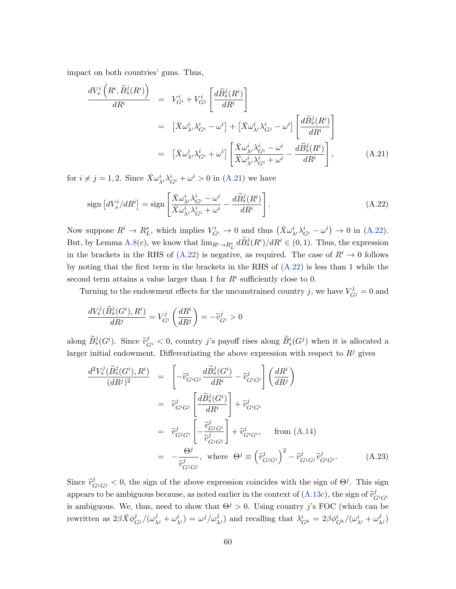impact on both countries' guns. Thus,

<span id="page-60-0"></span>
$$
\frac{dV_s^i\left(R^i, \tilde{B}_s^j(R^i)\right)}{dR^i} = V_{G^i}^i + V_{G^j}^i \left[\frac{d\tilde{B}_s^j(R^i)}{dR^i}\right]
$$
\n
$$
= \left[\bar{X}\omega_{\lambda i}^i \lambda_{G^i}^i - \omega^i\right] + \left[\bar{X}\omega_{\lambda i}^i \lambda_{G^j}^i - \omega^i\right] \left[\frac{d\tilde{B}_s^j(R^i)}{dR^i}\right]
$$
\n
$$
= \left[\bar{X}\omega_{\lambda i}^i \lambda_{G^i}^i + \omega^i\right] \left[\frac{\bar{X}\omega_{\lambda i}^i \lambda_{G^i}^i - \omega^i}{\bar{X}\omega_{\lambda i}^i \lambda_{G^i}^i + \omega^i} - \frac{d\tilde{B}_s^j(R^i)}{dR^i}\right],
$$
\n(A.21)

for  $i \neq j = 1, 2$ . Since  $\bar{X} \omega_{\lambda i}^{i} \lambda_{G^{i}}^{i} + \omega^{i} > 0$  in [\(A.21\)](#page-60-0) we have

<span id="page-60-1"></span>
$$
\text{sign}\left[dV_s^i/dR^i\right] = \text{sign}\left[\frac{\bar{X}\omega_{\lambda i}^i\lambda_{G^i}^i - \omega^i}{\bar{X}\omega_{\lambda i}^i\lambda_{G^i}^i + \omega^i} - \frac{d\widetilde{B}_s^j(R^i)}{dR^i}\right].\tag{A.22}
$$

Now suppose  $R^i \to R_L^s$ , which implies  $V_{G^i}^i \to 0$  and thus  $(\bar{X} \omega_{\lambda^i}^i \lambda_{G^i}^i - \omega^i) \to 0$  in [\(A.22\)](#page-60-1). But, by Lemma [A.8\(](#page-54-0)c), we know that  $\lim_{R^i \to R^s_L} d\widetilde{B}^j_s(R^i)/dR^i \in (0,1)$ . Thus, the expression in the brackets in the RHS of [\(A.22\)](#page-60-1) is negative, as required. The case of  $R^i \to 0$  follows by noting that the first term in the brackets in the RHS of [\(A.22\)](#page-60-1) is less than 1 while the second term attains a value larger than 1 for  $R<sup>i</sup>$  sufficiently close to 0.

Turning to the endowment effects for the unconstrained country j, we have  $V_{Gj}^{j} = 0$  and

$$
\frac{dV_s^j(\widetilde{B}_s^j(G^i),R^i)}{dR^j} = V_{G^i}^j\left(\frac{dR^i}{dR^j}\right) = -\widetilde{v}_{G^i}^j > 0
$$

along  $\widetilde{B}_s^j(G^i)$ . Since  $\widetilde{v}_{G^i}^j < 0$ , country j's payoff rises along  $\widetilde{B}_s^i(G^j)$  when it is allocated a larger initial endowment. Differentiating the above expression with respect to  $R<sup>j</sup>$  gives

<span id="page-60-2"></span>
$$
\frac{d^2 V_s^j(\widetilde{B}_s^j(G^i), R^i)}{(dR^j)^2} = \left[ -\widetilde{v}_{G^iG^j}^i \frac{d\widetilde{B}_s^j(G^i)}{dR^i} - \widetilde{v}_{G^iG^i}^j \right] \left( \frac{dR^i}{dR^j} \right)
$$
  
\n
$$
= \widetilde{v}_{G^iG^j}^j \left[ \frac{d\widetilde{B}_s^j(G^i)}{dR^i} \right] + \widetilde{v}_{G^iG^i}^j
$$
  
\n
$$
= \widetilde{v}_{G^jG^i}^j \left[ -\frac{\widetilde{v}_{G^jG^i}^j}{\widetilde{v}_{G^jG^j}^j} \right] + \widetilde{v}_{G^iG^i}^j, \quad \text{from (A.14)}
$$
  
\n
$$
= -\frac{\Theta^j}{\widetilde{v}_{G^jG^j}^j}, \quad \text{where } \Theta^j \equiv (\widetilde{v}_{G^jG^i}^j)^2 - \widetilde{v}_{G^jG^j}^j \widetilde{v}_{G^iG^i}^j. \quad (A.23)
$$

Since  $\tilde{v}_{G^jG^j}^j < 0$ , the sign of the above expression coincides with the sign of  $\Theta^j$ . This sign appears to be ambiguous because, as noted earlier in the context of  $(A.13c)$ , the sign of  $\tilde{v}_C^j$  $G^iG^i$ is ambiguous. We, thus, need to show that  $\Theta^{j} > 0$ . Using country j's FOC (which can be rewritten as  $2\beta \bar{X} \phi_{G}^j/(\omega_{\lambda^j}^j + \omega_{\lambda^i}^i) = \omega^j/\omega_{\lambda^j}^j$  and recalling that  $\lambda_{G^k}^i = 2\beta \phi_{G^k}^i/(\omega_{\lambda^i}^i + \omega_{\lambda^j}^j)$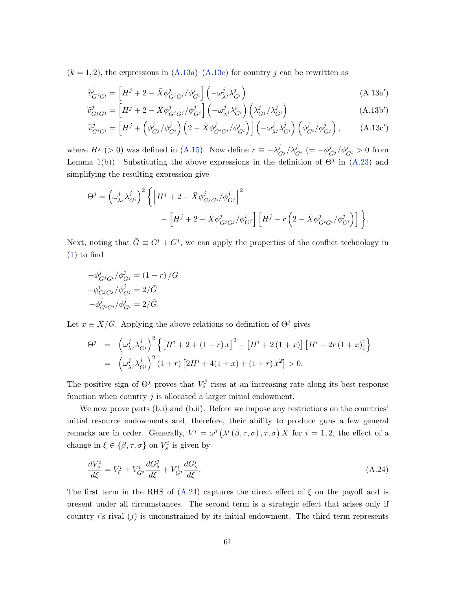$(k = 1, 2)$ , the expressions in  $(A.13a)$ – $(A.13c)$  for country j can be rewritten as

<span id="page-61-0"></span>
$$
\widetilde{v}_{G^jG^i}^j = \left[ H^j + 2 - \bar{X} \phi_{G^jG^i}^j / \phi_{G^i}^j \right] \left( -\omega_{\lambda^j}^j \lambda_{G^i}^j \right)
$$
\n(A.13a')\n
$$
\widetilde{v}_{G^jG^i}^j = \left[ H^j + 2 - \bar{X} \phi_{G^jG^i}^j / \phi_{G^i}^j \right] \left( -\omega_{\lambda^j}^j \lambda_{G^i}^j \right)
$$
\n(A.13a')

$$
\widetilde{v}_{G^jG^j}^j = \left[H^j + 2 - \bar{X}\phi_{G^jG^j}^j / \phi_{G^j}^j\right] \left(-\omega_{\lambda^j}^j \lambda_{G^i}^i\right) \left(\lambda_{G^j}^j / \lambda_{G^i}^j\right)
$$
\n(A.13b')

$$
\widetilde{v}_{G^iG^i}^j = \left[ H^j + \left( \phi_{G^j}^j / \phi_{G^i}^j \right) \left( 2 - \bar{X} \phi_{G^iG^i}^j / \phi_{G^i}^j \right) \right] \left( -\omega_{\lambda^j}^j \lambda_{G^i}^j \right) \left( \phi_{G^i}^j / \phi_{G^j}^j \right), \tag{A.13c'}
$$

where  $H^j$  (> 0) was defined in [\(A.15\)](#page-56-1). Now define  $r \equiv -\lambda_{G^j}^j/\lambda_{G^i}^j$  (=  $-\phi_{G^j}^j/\phi_{G^i}^j > 0$  from Lemma [1\(](#page-18-0)b)). Substituting the above expressions in the definition of  $\Theta^j$  in [\(A.23\)](#page-60-2) and simplifying the resulting expression give

$$
\Theta^{j} = \left(\omega_{\lambda^{j}}^{j} \lambda_{G^{i}}^{j}\right)^{2} \left\{ \left[H^{j} + 2 - \bar{X} \phi_{G^{j}G^{i}}^{j} / \phi_{G^{j}}^{j}\right]^{2} - \left[H^{j} + 2 - \bar{X} \phi_{G^{j}G^{j}}^{j} / \phi_{G^{j}}^{i}\right] \left[H^{j} - r\left(2 - \bar{X} \phi_{G^{i}G^{i}}^{j} / \phi_{G^{i}}^{j}\right)\right] \right\}.
$$

Next, noting that  $\bar{G} \equiv G^i + G^j$ , we can apply the properties of the conflict technology in [\(1\)](#page-6-2) to find

$$
-\phi_{G^jG^i}^j/\phi_{G^j}^j = (1 - r) / \bar{G}
$$

$$
-\phi_{G^jG^j}^i/\phi_{G^j}^j = 2/\bar{G}
$$

$$
-\phi_{G^iG^i}^j/\phi_{G^i}^j = 2/\bar{G}.
$$

Let  $x \equiv \bar{X}/\bar{G}$ . Applying the above relations to definition of  $\Theta^j$  gives

$$
\Theta^{j} = \left(\omega_{\lambda^{j}}^{j} \lambda_{G^{i}}^{j}\right)^{2} \left\{ \left[H^{i} + 2 + (1 - r) x\right]^{2} - \left[H^{i} + 2(1 + x)\right] \left[H^{i} - 2r(1 + x)\right] \right\}
$$

$$
= \left(\omega_{\lambda^{j}}^{j} \lambda_{G^{i}}^{j}\right)^{2} (1 + r) \left[2H^{i} + 4(1 + x) + (1 + r) x^{2}\right] > 0.
$$

The positive sign of  $\Theta^j$  proves that  $V_s^j$  rises at an increasing rate along its best-response function when country  $j$  is allocated a larger initial endowment.

We now prove parts (b.i) and (b.ii). Before we impose any restrictions on the countries' initial resource endowments and, therefore, their ability to produce guns a few general remarks are in order. Generally,  $V^i = \omega^i (\lambda^i (\beta, \tau, \sigma), \tau, \sigma) \bar{X}$  for  $i = 1, 2$ , the effect of a change in  $\xi \in \{\beta, \tau, \sigma\}$  on  $V_s^i$  is given by

$$
\frac{dV_s^i}{d\xi} = V_\xi^i + V_{G^j}^i \frac{dG_s^j}{d\xi} + V_{G^i}^i \frac{dG_s^i}{d\xi}.\tag{A.24}
$$

The first term in the RHS of  $(A.24)$  captures the direct effect of  $\xi$  on the payoff and is present under all circumstances. The second term is a strategic effect that arises only if country is rival  $(i)$  is unconstrained by its initial endowment. The third term represents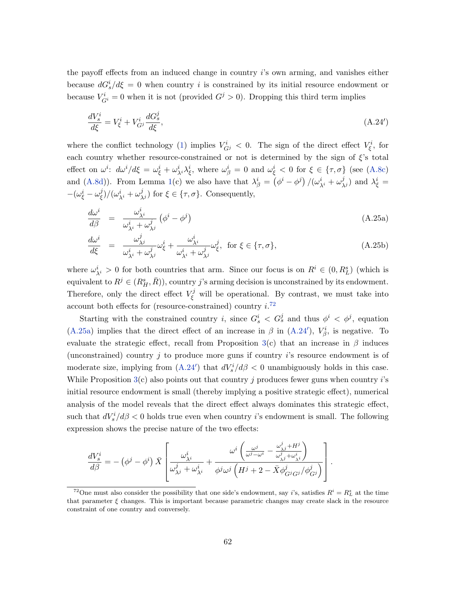the payoff effects from an induced change in country i's own arming, and vanishes either because  $dG_s^i/d\xi = 0$  when country i is constrained by its initial resource endowment or because  $V_{G}^{i} = 0$  when it is not (provided  $G^{j} > 0$ ). Dropping this third term implies

<span id="page-62-2"></span>
$$
\frac{dV_s^i}{d\xi} = V_\xi^i + V_{G^j}^i \frac{dG_s^j}{d\xi},\tag{A.24'}
$$

where the conflict technology [\(1\)](#page-6-2) implies  $V_{Gj}^i < 0$ . The sign of the direct effect  $V_{\xi}^i$ , for each country whether resource-constrained or not is determined by the sign of  $\xi$ 's total effect on  $\omega^i$ :  $d\omega^i/d\xi = \omega^i_{\xi} + \omega^i_{\lambda^i}\lambda^i_{\xi}$ , where  $\omega^i_{\beta} = 0$  and  $\omega^i_{\xi} < 0$  for  $\xi \in {\tau, \sigma}$  (see [\(A.8c\)](#page-46-1) and [\(A.8d\)](#page-46-2)). From Lemma [1\(](#page-18-0)c) we also have that  $\lambda^i_\beta = (\phi^i - \phi^j)/(\omega^i_{\lambda^i} + \omega^j_{\lambda^j})$  and  $\lambda^i_\xi =$  $-(\omega^i_\xi-\omega^j_\xi$  $(\xi)/(\omega_{\lambda^i}^i + \omega_{\lambda^j}^j)$  for  $\xi \in {\tau, \sigma}$ . Consequently,

<span id="page-62-1"></span>
$$
\frac{d\omega^i}{d\beta} = \frac{\omega^i_{\lambda^i}}{\omega^i_{\lambda^i} + \omega^j_{\lambda^j}} \left(\phi^i - \phi^j\right)
$$
\n(A.25a)

$$
\frac{d\omega^i}{d\xi} = \frac{\omega^j_{\lambda^j}}{\omega^i_{\lambda^i} + \omega^j_{\lambda^j}} \omega^i_{\xi} + \frac{\omega^i_{\lambda^i}}{\omega^i_{\lambda^i} + \omega^j_{\lambda^j}} \omega^j_{\xi}, \text{ for } \xi \in \{\tau, \sigma\},\tag{A.25b}
$$

where  $\omega_{\lambda^i}^i > 0$  for both countries that arm. Since our focus is on  $R^i \in (0, R_L^s)$  (which is equivalent to  $R^j \in (R_H^s, \bar{R})$ , country j's arming decision is unconstrained by its endowment. Therefore, only the direct effect  $V_{\xi}^{j}$  will be operational. By contrast, we must take into account both effects for (resource-constrained) country  $i$ <sup>[72](#page-62-0)</sup>

Starting with the constrained country i, since  $G_s^i < G_s^j$  and thus  $\phi^i < \phi^j$ , equation [\(A.25a\)](#page-62-1) implies that the direct effect of an increase in  $\beta$  in [\(A.24](#page-62-2)'),  $V^i_{\beta}$ , is negative. To evaluate the strategic effect, recall from Proposition [3\(](#page-21-0)c) that an increase in  $\beta$  induces (unconstrained) country  $j$  to produce more guns if country  $i$ 's resource endowment is of moderate size, implying from  $(A.24')$  $(A.24')$  that  $dV_s^i/d\beta < 0$  unambiguously holds in this case. While Proposition  $3(c)$  $3(c)$  also points out that country j produces fewer guns when country i's initial resource endowment is small (thereby implying a positive strategic effect), numerical analysis of the model reveals that the direct effect always dominates this strategic effect, such that  $dV_s^i/d\beta < 0$  holds true even when country *i*'s endowment is small. The following expression shows the precise nature of the two effects:

$$
\frac{dV_s^i}{d\beta} = -(\phi^j - \phi^i) \bar{X} \left[ \frac{\omega_{\lambda^i}^i}{\omega_{\lambda^j}^j + \omega_{\lambda^i}^i} + \frac{\omega^i \left( \frac{\omega^j}{\omega^j - \omega^i} - \frac{\omega_{\lambda^j}^j + H^j}{\omega_{\lambda^j}^j + \omega_{\lambda^i}^i} \right)}{\phi^j \omega^j \left( H^j + 2 - \bar{X} \phi_{G^j G^j}^j / \phi_{G^j}^j \right)} \right].
$$

<span id="page-62-0"></span><sup>&</sup>lt;sup>72</sup>One must also consider the possibility that one side's endowment, say *i*'s, satisfies  $R^i = R^s_L$  at the time that parameter  $\xi$  changes. This is important because parametric changes may create slack in the resource constraint of one country and conversely.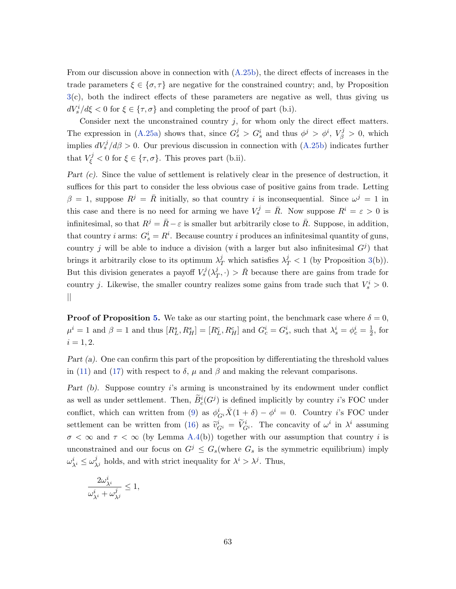From our discussion above in connection with [\(A.25b\)](#page-62-1), the direct effects of increases in the trade parameters  $\xi \in {\{\sigma, \tau\}}$  are negative for the constrained country; and, by Proposition [3\(](#page-21-0)c), both the indirect effects of these parameters are negative as well, thus giving us  $dV_s^i/d\xi < 0$  for  $\xi \in {\tau, \sigma}$  and completing the proof of part (b.i).

Consider next the unconstrained country  $j$ , for whom only the direct effect matters. The expression in [\(A.25a\)](#page-62-1) shows that, since  $G_s^j > G_s^i$  and thus  $\phi^j > \phi^i$ ,  $V_\beta^j > 0$ , which implies  $dV_s^j/d\beta > 0$ . Our previous discussion in connection with [\(A.25b\)](#page-62-1) indicates further that  $V_{\xi}^{j} < 0$  for  $\xi \in {\tau, \sigma}$ . This proves part (b.ii).

Part (c). Since the value of settlement is relatively clear in the presence of destruction, it suffices for this part to consider the less obvious case of positive gains from trade. Letting  $\beta = 1$ , suppose  $R^{j} = \overline{R}$  initially, so that country i is inconsequential. Since  $\omega^{j} = 1$  in this case and there is no need for arming we have  $V_s^j = \bar{R}$ . Now suppose  $R^i = \varepsilon > 0$  is infinitesimal, so that  $R^j = \bar{R} - \varepsilon$  is smaller but arbitrarily close to  $\bar{R}$ . Suppose, in addition, that country *i* arms:  $G_s^i = R^i$ . Because country *i* produces an infinitesimal quantity of guns, country j will be able to induce a division (with a larger but also infinitesimal  $G<sup>j</sup>$ ) that brings it arbitrarily close to its optimum  $\lambda_T^j$  which satisfies  $\lambda_T^j < 1$  (by Proposition [3\(](#page-21-0)b)). But this division generates a payoff  $V_s^j(\lambda_\tau^j)$  $(\frac{j}{T}, \cdot) > \bar{R}$  because there are gains from trade for country j. Likewise, the smaller country realizes some gains from trade such that  $V_s^i > 0$ . ||

**Proof of Proposition [5.](#page-25-0)** We take as our starting point, the benchmark case where  $\delta = 0$ ,  $\mu^i = 1$  and  $\beta = 1$  and thus  $[R_L^s, R_H^s] = [R_L^c, R_H^c]$  and  $G_c^i = G_s^i$ , such that  $\lambda_s^i = \phi_c^i = \frac{1}{2}$  $\frac{1}{2}$ , for  $i = 1, 2.$ 

Part (a). One can confirm this part of the proposition by differentiating the threshold values in [\(11\)](#page-12-4) and [\(17\)](#page-21-1) with respect to  $\delta$ ,  $\mu$  and  $\beta$  and making the relevant comparisons.

Part (b). Suppose country is arming is unconstrained by its endowment under conflict as well as under settlement. Then,  $\tilde{B}_c^i(G^j)$  is defined implicitly by country *i*'s FOC under conflict, which can written from [\(9\)](#page-11-3) as  $\phi_G^i \bar{X}(1+\delta) - \phi^i = 0$ . Country *i*'s FOC under settlement can be written from [\(16\)](#page-19-0) as  $\tilde{v}_{G^i}^i = \tilde{V}_{G^i}^i$ . The concavity of  $\omega^i$  in  $\lambda^i$  assuming  $\sigma < \infty$  and  $\tau < \infty$  (by Lemma [A.4\(](#page-47-0)b)) together with our assumption that country i is unconstrained and our focus on  $G^j \n\t\leq G_s$  (where  $G_s$  is the symmetric equilibrium) imply  $\omega_{\lambda^i}^i \leq \omega_{\lambda^j}^j$  holds, and with strict inequality for  $\lambda^i > \lambda^j$ . Thus,

$$
\frac{2\omega_{\lambda^i}^i}{\omega_{\lambda^i}^i+\omega_{\lambda^j}^j}\leq 1,
$$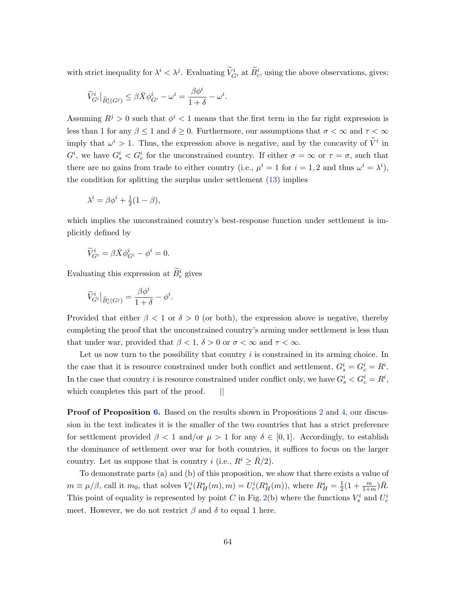with strict inequality for  $\lambda^i < \lambda^j$ . Evaluating  $\widetilde{V}_{G^i}^i$  at  $\widetilde{B}_c^i$ , using the above observations, gives:

$$
\widetilde{V}_{G^i}^i\big|_{\widetilde{B}^i_c(G^j)}\leq \beta\bar{X}\phi^i_{G^i}-\omega^i=\frac{\beta\phi^i}{1+\delta}-\omega^i.
$$

Assuming  $R^j > 0$  such that  $\phi^i < 1$  means that the first term in the far right expression is less than 1 for any  $\beta \leq 1$  and  $\delta \geq 0$ . Furthermore, our assumptions that  $\sigma < \infty$  and  $\tau < \infty$ imply that  $\omega^i > 1$ . Thus, the expression above is negative, and by the concavity of  $\tilde{V}^i$  in  $G^i$ , we have  $G_s^i < G_c^i$  for the unconstrained country. If either  $\sigma = \infty$  or  $\tau = \sigma$ , such that there are no gains from trade to either country (i.e.,  $\mu^{i} = 1$  for  $i = 1, 2$  and thus  $\omega^{i} = \lambda^{i}$ ), the condition for splitting the surplus under settlement [\(13\)](#page-17-2) implies

$$
\lambda^i = \beta \phi^i + \frac{1}{2}(1 - \beta),
$$

which implies the unconstrained country's best-response function under settlement is implicitly defined by

$$
\widetilde{V}_{G^i}^i = \beta \bar{X} \phi_{G^i}^i - \phi^i = 0.
$$

Evaluating this expression at  $\widetilde{B}_c^i$  gives

$$
\widetilde{V}_{G^i}^i\big|_{\widetilde{B}_c^i(G^j)} = \frac{\beta \phi^i}{1+\delta} - \phi^i.
$$

Provided that either  $\beta < 1$  or  $\delta > 0$  (or both), the expression above is negative, thereby completing the proof that the unconstrained country's arming under settlement is less than that under war, provided that  $\beta < 1$ ,  $\delta > 0$  or  $\sigma < \infty$  and  $\tau < \infty$ .

Let us now turn to the possibility that country  $i$  is constrained in its arming choice. In the case that it is resource constrained under both conflict and settlement,  $G_s^i = G_c^i = R^i$ . In the case that country i is resource constrained under conflict only, we have  $G_s^i < G_c^i = R^i$ , which completes this part of the proof.  $||$ 

**Proof of Proposition [6.](#page-27-1)** Based on the results shown in Propositions [2](#page-14-0) and [4,](#page-23-2) our discussion in the text indicates it is the smaller of the two countries that has a strict preference for settlement provided  $\beta < 1$  and/or  $\mu > 1$  for any  $\delta \in [0,1]$ . Accordingly, to establish the dominance of settlement over war for both countries, it suffices to focus on the larger country. Let us suppose that is country i (i.e.,  $R^i \geq \bar{R}/2$ ).

To demonstrate parts (a) and (b) of this proposition, we show that there exists a value of  $m \equiv \mu/\beta$ , call it  $m_0$ , that solves  $V_s^i(R_H^s(m), m) = U_c^i(R_H^s(m))$ , where  $R_H^s = \frac{1}{2}$  $\frac{1}{2}(1+\frac{m}{1+m})\bar{R}.$ This point of equality is represented by point C in Fig. [2\(](#page-38-0)b) where the functions  $V_s^i$  and  $U_c^i$ meet. However, we do not restrict  $\beta$  and  $\delta$  to equal 1 here.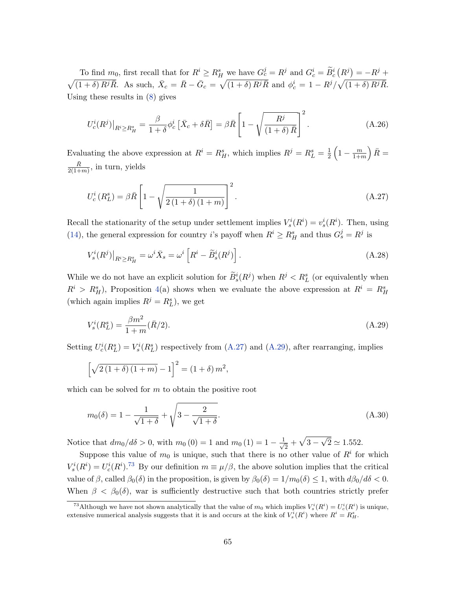To find  $m_0$ , first recall that for  $R^i \ge R_H^s$  we have  $G_c^j = R^j$  and  $G_c^i = \widetilde{B}_c^i (R^j) = -R^j +$  $\sqrt{(1+\delta) R^{j} \bar{R}}$ . As such,  $\bar{X}_{c} = \bar{R} - \bar{G}_{c} = \sqrt{(1+\delta) R^{j} \bar{R}}$  and  $\phi_{c}^{i} = 1 - R^{j} / \sqrt{(1+\delta) R^{j} \bar{R}}$ . Using these results in [\(8\)](#page-11-2) gives

$$
U_c^i(R^j)|_{R^i \ge R_H^s} = \frac{\beta}{1+\delta} \phi_c^i \left[ \bar{X}_c + \delta \bar{R} \right] = \beta \bar{R} \left[ 1 - \sqrt{\frac{R^j}{(1+\delta)\bar{R}}} \right]^2.
$$
 (A.26)

Evaluating the above expression at  $R^i = R_H^s$ , which implies  $R^j = R_L^s = \frac{1}{2}$  $\frac{1}{2}\left(1-\frac{m}{1+r}\right)$  $\left(\frac{m}{1+m}\right)\bar{R}=$  $\bar{R}$  $\frac{R}{2(1+m)}$ , in turn, yields

<span id="page-65-0"></span>
$$
U_c^i(R_L^s) = \beta \bar{R} \left[ 1 - \sqrt{\frac{1}{2(1+\delta)(1+m)}} \right]^2.
$$
 (A.27)

Recall the stationarity of the setup under settlement implies  $V_s^i(R^i) = v_s^i(R^i)$ . Then, using [\(14\)](#page-17-5), the general expression for country *i*'s payoff when  $R^i \geq R_H^s$  and thus  $G_s^j = R^j$  is

$$
V_s^i(R^j)|_{R^i \ge R_H^s} = \omega^i \bar{X}_s = \omega^i \left[ R^i - \tilde{B}_s^i(R^j) \right]. \tag{A.28}
$$

While we do not have an explicit solution for  $\widetilde{B}_s^i(R^j)$  when  $R^j < R_L^s$  (or equivalently when  $R^i > R_H^s$ , Proposition [4\(](#page-23-2)a) shows when we evaluate the above expression at  $R^i = R_H^s$ (which again implies  $R^j = R_L^s$ ), we get

<span id="page-65-1"></span>
$$
V_s^i(R_L^s) = \frac{\beta m^2}{1+m} (\bar{R}/2). \tag{A.29}
$$

Setting  $U_c^i(R_L^s) = V_s^i(R_L^s)$  respectively from [\(A.27\)](#page-65-0) and [\(A.29\)](#page-65-1), after rearranging, implies

$$
\[\sqrt{2(1+\delta)(1+m)} - 1\]^2 = (1+\delta)m^2,
$$

which can be solved for  $m$  to obtain the positive root

$$
m_0(\delta) = 1 - \frac{1}{\sqrt{1+\delta}} + \sqrt{3 - \frac{2}{\sqrt{1+\delta}}}.
$$
\n(A.30)

Notice that  $dm_0/d\delta > 0$ , with  $m_0(0) = 1$  and  $m_0(1) = 1 - \frac{1}{\sqrt{2}}$  $\frac{1}{2} + \sqrt{3 - 1}$ √  $2 \simeq 1.552.$ 

Suppose this value of  $m_0$  is unique, such that there is no other value of  $R<sup>i</sup>$  for which  $V_s^i(R^i) = U_c^i(R^i)$ .<sup>[73](#page-65-2)</sup> By our definition  $m \equiv \mu/\beta$ , the above solution implies that the critical value of  $\beta$ , called  $\beta_0(\delta)$  in the proposition, is given by  $\beta_0(\delta) = 1/m_0(\delta) \leq 1$ , with  $d\beta_0/d\delta < 0$ . When  $\beta < \beta_0(\delta)$ , war is sufficiently destructive such that both countries strictly prefer

<span id="page-65-2"></span><sup>&</sup>lt;sup>73</sup>Although we have not shown analytically that the value of  $m_0$  which implies  $V_s^i(R^i) = U_c^i(R^i)$  is unique, extensive numerical analysis suggests that it is and occurs at the kink of  $V_s^i(R^i)$  where  $R^i = R_H^s$ .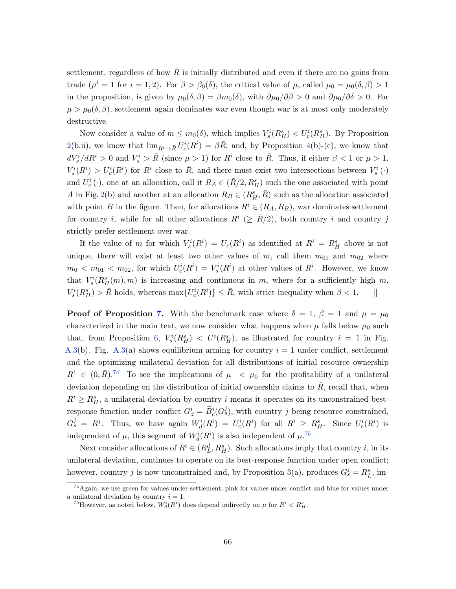settlement, regardless of how  $R$  is initially distributed and even if there are no gains from trade  $(\mu^{i} = 1 \text{ for } i = 1, 2)$ . For  $\beta > \beta_0(\delta)$ , the critical value of  $\mu$ , called  $\mu_0 = \mu_0(\delta, \beta) > 1$ in the proposition, is given by  $\mu_0(\delta, \beta) = \beta m_0(\delta)$ , with  $\partial \mu_0/\partial \beta > 0$  and  $\partial \mu_0/\partial \delta > 0$ . For  $\mu > \mu_0(\delta, \beta)$ , settlement again dominates war even though war is at most only moderately destructive.

Now consider a value of  $m \leq m_0(\delta)$ , which implies  $V_s^i(R_H^s) < U_c^i(R_H^s)$ . By Proposition [2\(](#page-14-0)b.ii), we know that  $\lim_{R^i \to \bar{R}} U_c^i(R^i) = \beta \bar{R}$ ; and, by Proposition [4\(](#page-23-2)b)-(c), we know that  $dV_s^i/dR^i > 0$  and  $V_s^i > \bar{R}$  (since  $\mu > 1$ ) for  $R^i$  close to  $\bar{R}$ . Thus, if either  $\beta < 1$  or  $\mu > 1$ ,  $V_s^i(R^i) > U_c^i(R^i)$  for  $R^i$  close to  $\overline{R}$ , and there must exist two intersections between  $V_s^i(\cdot)$ and  $U_c^i(\cdot)$ , one at an allocation, call it  $R_A \in (\bar{R}/2, R_H^s)$  such the one associated with point A in Fig. [2\(](#page-38-0)b) and another at an allocation  $R_B \in (R_H^s, \overline{R})$  such as the allocation associated with point B in the figure. Then, for allocations  $R^i \in (R_A, R_B)$ , war dominates settlement for country *i*, while for all other allocations  $R^i$  ( $\geq \bar{R}/2$ ), both country *i* and country *j* strictly prefer settlement over war.

If the value of m for which  $V_s^i(R^i) = U_c(R^i)$  as identified at  $R^i = R_H^s$  above is not unique, there will exist at least two other values of  $m$ , call them  $m_{01}$  and  $m_{02}$  where  $m_0 < m_{01} < m_{02}$ , for which  $U_c^i(R^i) = V_s^i(R^i)$  at other values of  $R^i$ . However, we know that  $V_s^i(R_H^s(m), m)$  is increasing and continuous in m, where for a sufficiently high m,  $V_s^i(R_H^s) > \bar{R}$  holds, whereas  $\max\{U_c^i(R^i)\} \leq \bar{R}$ , with strict inequality when  $\beta < 1$ . ||

**Proof of Proposition [7.](#page-30-3)** With the benchmark case where  $\delta = 1$ ,  $\beta = 1$  and  $\mu = \mu_0$ characterized in the main text, we now consider what happens when  $\mu$  falls below  $\mu_0$  such that, from Proposition [6,](#page-27-1)  $V_s^i(R_H^s) < U^i(R_H^s)$ , as illustrated for country  $i = 1$  in Fig. [A.3\(](#page-70-0)b). Fig. A.3(a) shows equilibrium arming for country  $i = 1$  under conflict, settlement and the optimizing unilateral deviation for all distributions of initial resource ownership  $R^1 \in (0,\bar{R})^{74}$  $R^1 \in (0,\bar{R})^{74}$  $R^1 \in (0,\bar{R})^{74}$  To see the implications of  $\mu \prec \mu_0$  for the profitability of a unilateral deviation depending on the distribution of initial ownership claims to  $\bar{R}$ , recall that, when  $R^i \geq R_H^s$ , a unilateral deviation by country i means it operates on its unconstrained bestresponse function under conflict  $G_d^i = \tilde{B}_c^i(G_s^j)$ , with country j being resource constrained,  $G_s^j = R^j$ . Thus, we have again  $W_d^i(R^i) = U_c^i(R^i)$  for all  $R^i \geq R_H^s$ . Since  $U_c^i(R^i)$  is independent of  $\mu$ , this segment of  $W_d^i(R^i)$  is also independent of  $\mu$ .<sup>[75](#page-66-1)</sup>

Next consider allocations of  $R^i \in (R^d_L, R^s_H)$ . Such allocations imply that country *i*, in its unilateral deviation, continues to operate on its best-response function under open conflict; however, country j is now unconstrained and, by Proposition 3(a), produces  $G_s^j = R_L^s$ , im-

<span id="page-66-0"></span><sup>74</sup>Again, we use green for values under settlement, pink for values under conflict and blue for values under a unilateral deviation by country  $i = 1$ .

<span id="page-66-1"></span><sup>&</sup>lt;sup>75</sup>However, as noted below,  $W_d^i(R^i)$  does depend indirectly on  $\mu$  for  $R^i < R_H^s$ .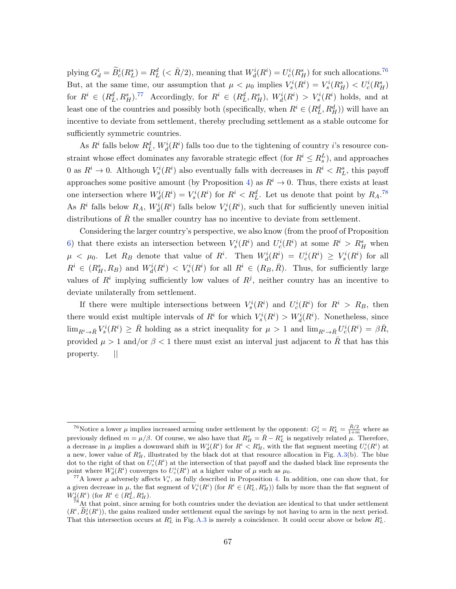plying  $G_d^i = \widetilde{B}_c^i(R_L^s) = R_L^d \ (<\bar{R}/2)$ , meaning that  $W_d^i(R^i) = U_c^i(R_H^s)$  for such allocations.<sup>[76](#page-67-0)</sup> But, at the same time, our assumption that  $\mu < \mu_0$  implies  $V_s^i(R^i) = V_s^i(R_H^s) < U_c^i(R_H^s)$ for  $R^i \in (R^d_L, R^s_H)$ .<sup>[77](#page-67-1)</sup> Accordingly, for  $R^i \in (R^d_L, R^s_H)$ ,  $W^i_d(R^i) > V^i_s(R^i)$  holds, and at least one of the countries and possibly both (specifically, when  $R^i \in (R^d_L, R^d_H)$ ) will have an incentive to deviate from settlement, thereby precluding settlement as a stable outcome for sufficiently symmetric countries.

As  $R^i$  falls below  $R^d_L$ ,  $W^i_d(R^i)$  falls too due to the tightening of country *i*'s resource constraint whose effect dominates any favorable strategic effect (for  $R^i \leq R_s^L$ ), and approaches 0 as  $R^i \to 0$ . Although  $V_s^i(R^i)$  also eventually falls with decreases in  $R^i < R_L^s$ , this payoff approaches some positive amount (by Proposition [4\)](#page-23-2) as  $R^i \to 0$ . Thus, there exists at least one intersection where  $W_d^i(R^i) = V_s^i(R^i)$  for  $R^i < R_L^d$ . Let us denote that point by  $R_A$ .<sup>[78](#page-67-2)</sup> As  $R^i$  falls below  $R_A$ ,  $W_d^i(R^i)$  falls below  $V_s^i(R^i)$ , such that for sufficiently uneven initial distributions of  $R$  the smaller country has no incentive to deviate from settlement.

Considering the larger country's perspective, we also know (from the proof of Proposition [6\)](#page-27-1) that there exists an intersection between  $V_s^i(R^i)$  and  $U_c^i(R^i)$  at some  $R^i > R_H^s$  when  $\mu \leq \mu_0$ . Let  $R_B$  denote that value of  $R^i$ . Then  $W_d^i(R^i) = U_c^i(R^i) \geq V_s^i(R^i)$  for all  $R^i \in (R_H^s, R_B)$  and  $W_d^i(R^i) < V_s^i(R^i)$  for all  $R^i \in (R_B, \bar{R})$ . Thus, for sufficiently large values of  $R^i$  implying sufficiently low values of  $R^j$ , neither country has an incentive to deviate unilaterally from settlement.

If there were multiple intersections between  $V_s^i(R^i)$  and  $U_c^i(R^i)$  for  $R^i > R_B$ , then there would exist multiple intervals of  $R^i$  for which  $V^i_s(R^i) > W^i_d(R^i)$ . Nonetheless, since  $\lim_{R^i\to \bar R}V^i_s(R^i)\geq \bar R$  holding as a strict inequality for  $\mu>1$  and  $\lim_{R^i\to \bar R}U^i_c(R^i)=\beta\bar R$ , provided  $\mu > 1$  and/or  $\beta < 1$  there must exist an interval just adjacent to  $\overline{R}$  that has this property. ||

<span id="page-67-0"></span><sup>&</sup>lt;sup>76</sup>Notice a lower  $\mu$  implies increased arming under settlement by the opponent:  $G_s^j = R_L^s = \frac{\bar{R}/2}{1+m}$  where as previously defined  $m = \mu/\beta$ . Of course, we also have that  $R_H^s = \bar{R} - R_L^s$  is negatively related  $\mu$ . Therefore, a decrease in  $\mu$  implies a downward shift in  $W_d^i(R^i)$  for  $R^i < R_H^s$ , with the flat segment meeting  $U_c^i(R^i)$  at a new, lower value of  $R_H^s$ , illustrated by the black dot at that resource allocation in Fig. [A.3\(](#page-70-0)b). The blue dot to the right of that on  $U_c^i(R^i)$  at the intersection of that payoff and the dashed black line represents the point where  $W_d^i(R^i)$  converges to  $U_c^i(R^i)$  at a higher value of  $\mu$  such as  $\mu_0$ .

<span id="page-67-1"></span><sup>&</sup>lt;sup>77</sup>A lower  $\mu$  adversely affects  $V_s^i$ , as fully described in Proposition [4.](#page-23-2) In addition, one can show that, for a given decrease in  $\mu$ , the flat segment of  $V_s^i(R^i)$  (for  $R^i \in (R^s_L, R^s_H)$ ) falls by more than the flat segment of  $W_d^i(R^i)$  (for  $R^i \in (R_L^d, R_H^s)$ .

<span id="page-67-2"></span> $78$ At that point, since arming for both countries under the deviation are identical to that under settlement  $(R^i, \tilde{B}_s^j(R^i))$ , the gains realized under settlement equal the savings by not having to arm in the next period. That this intersection occurs at  $R_L^s$  in Fig.[A.3](#page-70-0) is merely a coincidence. It could occur above or below  $R_L^s$ .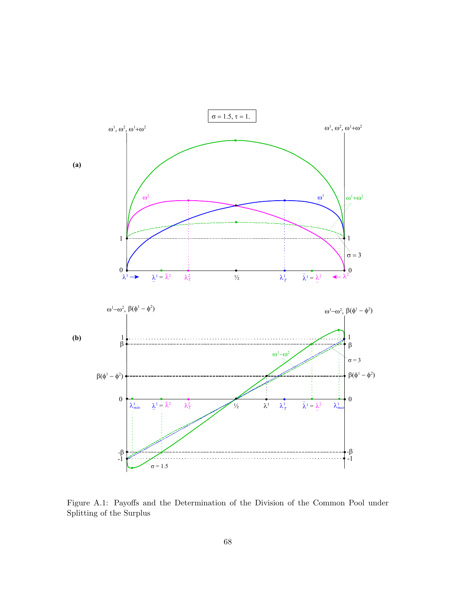

<span id="page-68-0"></span>Figure A.1: Payoffs and the Determination of the Division of the Common Pool under Splitting of the Surplus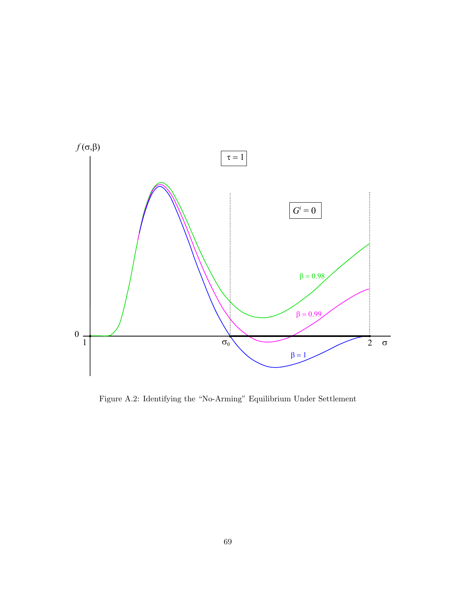

<span id="page-69-0"></span>Figure A.2: Identifying the "No-Arming" Equilibrium Under Settlement